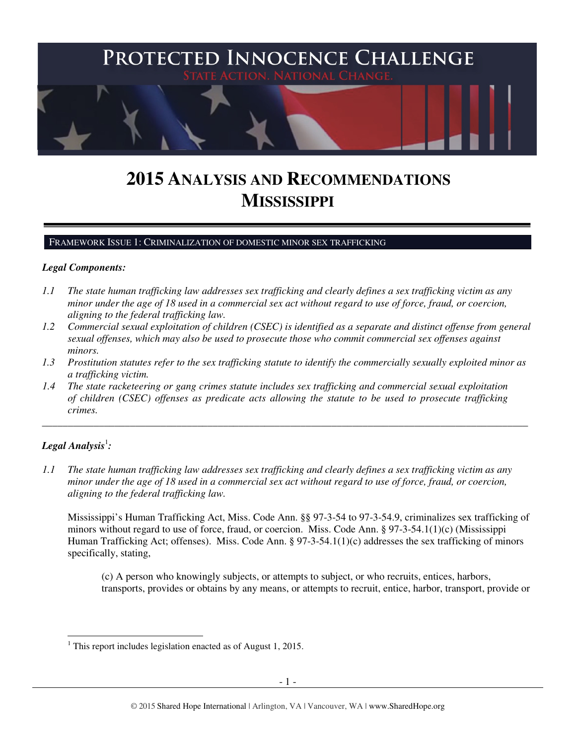

# **2015 ANALYSIS AND RECOMMENDATIONS MISSISSIPPI**

#### FRAMEWORK ISSUE 1: CRIMINALIZATION OF DOMESTIC MINOR SEX TRAFFICKING

#### *Legal Components:*

- *1.1 The state human trafficking law addresses sex trafficking and clearly defines a sex trafficking victim as any minor under the age of 18 used in a commercial sex act without regard to use of force, fraud, or coercion, aligning to the federal trafficking law.*
- *1.2 Commercial sexual exploitation of children (CSEC) is identified as a separate and distinct offense from general sexual offenses, which may also be used to prosecute those who commit commercial sex offenses against minors.*
- *1.3 Prostitution statutes refer to the sex trafficking statute to identify the commercially sexually exploited minor as a trafficking victim.*

\_\_\_\_\_\_\_\_\_\_\_\_\_\_\_\_\_\_\_\_\_\_\_\_\_\_\_\_\_\_\_\_\_\_\_\_\_\_\_\_\_\_\_\_\_\_\_\_\_\_\_\_\_\_\_\_\_\_\_\_\_\_\_\_\_\_\_\_\_\_\_\_\_\_\_\_\_\_\_\_\_\_\_\_\_\_\_\_\_\_\_\_\_\_

*1.4 The state racketeering or gang crimes statute includes sex trafficking and commercial sexual exploitation of children (CSEC) offenses as predicate acts allowing the statute to be used to prosecute trafficking crimes.* 

# $\bm{\mathit{Legal\, Analysis^!}}$ :

 $\ddot{\phantom{a}}$ 

*1.1 The state human trafficking law addresses sex trafficking and clearly defines a sex trafficking victim as any minor under the age of 18 used in a commercial sex act without regard to use of force, fraud, or coercion, aligning to the federal trafficking law.*

Mississippi's Human Trafficking Act, Miss. Code Ann. §§ 97-3-54 to 97-3-54.9, criminalizes sex trafficking of minors without regard to use of force, fraud, or coercion. Miss. Code Ann. § 97-3-54.1(1)(c) (Mississippi Human Trafficking Act; offenses). Miss. Code Ann. § 97-3-54.1(1)(c) addresses the sex trafficking of minors specifically, stating,

(c) A person who knowingly subjects, or attempts to subject, or who recruits, entices, harbors, transports, provides or obtains by any means, or attempts to recruit, entice, harbor, transport, provide or

<sup>&</sup>lt;sup>1</sup> This report includes legislation enacted as of August 1, 2015.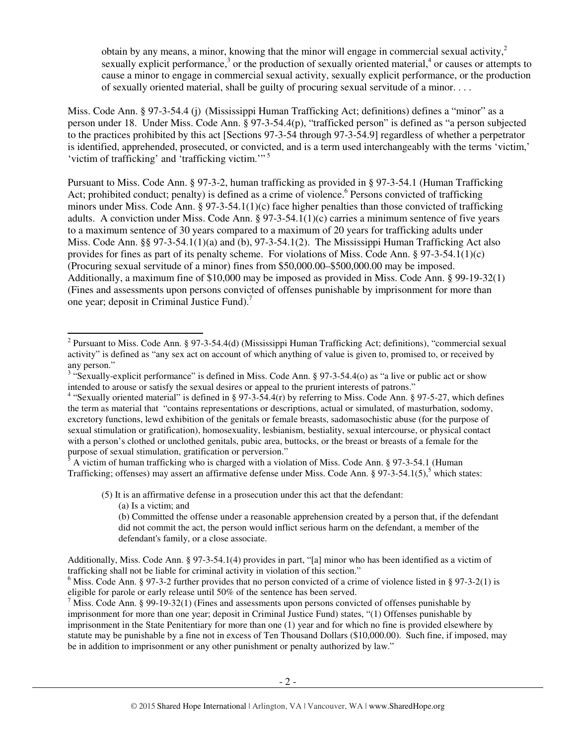obtain by any means, a minor, knowing that the minor will engage in commercial sexual activity,  $2\pi$ sexually explicit performance,<sup>3</sup> or the production of sexually oriented material,<sup>4</sup> or causes or attempts to cause a minor to engage in commercial sexual activity, sexually explicit performance, or the production of sexually oriented material, shall be guilty of procuring sexual servitude of a minor. . . .

Miss. Code Ann. § 97-3-54.4 (j) (Mississippi Human Trafficking Act; definitions) defines a "minor" as a person under 18. Under Miss. Code Ann. § 97-3-54.4(p), "trafficked person" is defined as "a person subjected to the practices prohibited by this act [Sections 97-3-54 through 97-3-54.9] regardless of whether a perpetrator is identified, apprehended, prosecuted, or convicted, and is a term used interchangeably with the terms 'victim,' 'victim of trafficking' and 'trafficking victim.'"<sup>5</sup>

Pursuant to Miss. Code Ann. § 97-3-2, human trafficking as provided in § 97-3-54.1 (Human Trafficking Act; prohibited conduct; penalty) is defined as a crime of violence.<sup>6</sup> Persons convicted of trafficking minors under Miss. Code Ann. § 97-3-54.1(1)(c) face higher penalties than those convicted of trafficking adults. A conviction under Miss. Code Ann. § 97-3-54.1(1)(c) carries a minimum sentence of five years to a maximum sentence of 30 years compared to a maximum of 20 years for trafficking adults under Miss. Code Ann. §§ 97-3-54.1(1)(a) and (b), 97-3-54.1(2). The Mississippi Human Trafficking Act also provides for fines as part of its penalty scheme. For violations of Miss. Code Ann. § 97-3-54.1(1)(c) (Procuring sexual servitude of a minor) fines from \$50,000.00–\$500,000.00 may be imposed. Additionally, a maximum fine of \$10,000 may be imposed as provided in Miss. Code Ann. § 99-19-32(1) (Fines and assessments upon persons convicted of offenses punishable by imprisonment for more than one year; deposit in Criminal Justice Fund).<sup>7</sup>

 A victim of human trafficking who is charged with a violation of Miss. Code Ann. § 97-3-54.1 (Human Trafficking; offenses) may assert an affirmative defense under Miss. Code Ann. § 97-3-54.1(5),<sup>5</sup> which states:

(5) It is an affirmative defense in a prosecution under this act that the defendant:

(a) Is a victim; and

Additionally, Miss. Code Ann. § 97-3-54.1(4) provides in part, "[a] minor who has been identified as a victim of trafficking shall not be liable for criminal activity in violation of this section."

<sup>&</sup>lt;sup>2</sup> Pursuant to Miss. Code Ann. § 97-3-54.4(d) (Mississippi Human Trafficking Act; definitions), "commercial sexual activity" is defined as "any sex act on account of which anything of value is given to, promised to, or received by any person."

<sup>&</sup>lt;sup>3</sup> "Sexually-explicit performance" is defined in Miss. Code Ann. § 97-3-54.4(o) as "a live or public act or show intended to arouse or satisfy the sexual desires or appeal to the prurient interests of patrons."

<sup>&</sup>lt;sup>4</sup> "Sexually oriented material" is defined in § 97-3-54.4(r) by referring to Miss. Code Ann. § 97-5-27, which defines the term as material that "contains representations or descriptions, actual or simulated, of masturbation, sodomy, excretory functions, lewd exhibition of the genitals or female breasts, sadomasochistic abuse (for the purpose of sexual stimulation or gratification), homosexuality, lesbianism, bestiality, sexual intercourse, or physical contact with a person's clothed or unclothed genitals, pubic area, buttocks, or the breast or breasts of a female for the purpose of sexual stimulation, gratification or perversion."<br><sup>5</sup> A visitim of human trafficking who is abarged with a viole

<sup>(</sup>b) Committed the offense under a reasonable apprehension created by a person that, if the defendant did not commit the act, the person would inflict serious harm on the defendant, a member of the defendant's family, or a close associate.

 $6$  Miss. Code Ann. § 97-3-2 further provides that no person convicted of a crime of violence listed in § 97-3-2(1) is eligible for parole or early release until 50% of the sentence has been served.

<sup>&</sup>lt;sup>7</sup> Miss. Code Ann. § 99-19-32(1) (Fines and assessments upon persons convicted of offenses punishable by imprisonment for more than one year; deposit in Criminal Justice Fund) states, "(1) Offenses punishable by imprisonment in the State Penitentiary for more than one (1) year and for which no fine is provided elsewhere by statute may be punishable by a fine not in excess of Ten Thousand Dollars (\$10,000.00). Such fine, if imposed, may be in addition to imprisonment or any other punishment or penalty authorized by law."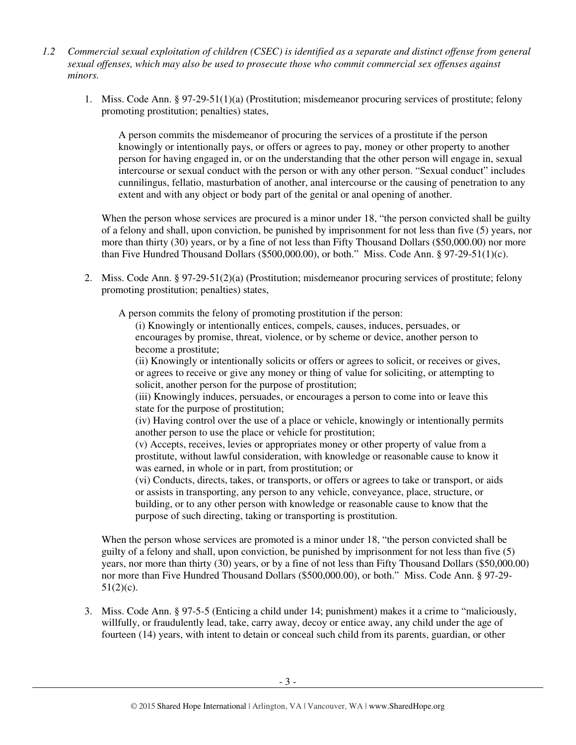- *1.2 Commercial sexual exploitation of children (CSEC) is identified as a separate and distinct offense from general sexual offenses, which may also be used to prosecute those who commit commercial sex offenses against minors.*
	- 1. Miss. Code Ann. § 97-29-51(1)(a) (Prostitution; misdemeanor procuring services of prostitute; felony promoting prostitution; penalties) states,

A person commits the misdemeanor of procuring the services of a prostitute if the person knowingly or intentionally pays, or offers or agrees to pay, money or other property to another person for having engaged in, or on the understanding that the other person will engage in, sexual intercourse or sexual conduct with the person or with any other person. "Sexual conduct" includes cunnilingus, fellatio, masturbation of another, anal intercourse or the causing of penetration to any extent and with any object or body part of the genital or anal opening of another.

When the person whose services are procured is a minor under 18, "the person convicted shall be guilty of a felony and shall, upon conviction, be punished by imprisonment for not less than five (5) years, nor more than thirty (30) years, or by a fine of not less than Fifty Thousand Dollars (\$50,000.00) nor more than Five Hundred Thousand Dollars (\$500,000.00), or both." Miss. Code Ann. § 97-29-51(1)(c).

2. Miss. Code Ann. § 97-29-51(2)(a) (Prostitution; misdemeanor procuring services of prostitute; felony promoting prostitution; penalties) states,

A person commits the felony of promoting prostitution if the person:

(i) Knowingly or intentionally entices, compels, causes, induces, persuades, or encourages by promise, threat, violence, or by scheme or device, another person to become a prostitute;

(ii) Knowingly or intentionally solicits or offers or agrees to solicit, or receives or gives, or agrees to receive or give any money or thing of value for soliciting, or attempting to solicit, another person for the purpose of prostitution;

(iii) Knowingly induces, persuades, or encourages a person to come into or leave this state for the purpose of prostitution;

(iv) Having control over the use of a place or vehicle, knowingly or intentionally permits another person to use the place or vehicle for prostitution;

(v) Accepts, receives, levies or appropriates money or other property of value from a prostitute, without lawful consideration, with knowledge or reasonable cause to know it was earned, in whole or in part, from prostitution; or

(vi) Conducts, directs, takes, or transports, or offers or agrees to take or transport, or aids or assists in transporting, any person to any vehicle, conveyance, place, structure, or building, or to any other person with knowledge or reasonable cause to know that the purpose of such directing, taking or transporting is prostitution.

When the person whose services are promoted is a minor under 18, "the person convicted shall be guilty of a felony and shall, upon conviction, be punished by imprisonment for not less than five (5) years, nor more than thirty (30) years, or by a fine of not less than Fifty Thousand Dollars (\$50,000.00) nor more than Five Hundred Thousand Dollars (\$500,000.00), or both." Miss. Code Ann. § 97-29-  $51(2)(c)$ .

3. Miss. Code Ann. § 97-5-5 (Enticing a child under 14; punishment) makes it a crime to "maliciously, willfully, or fraudulently lead, take, carry away, decoy or entice away, any child under the age of fourteen (14) years, with intent to detain or conceal such child from its parents, guardian, or other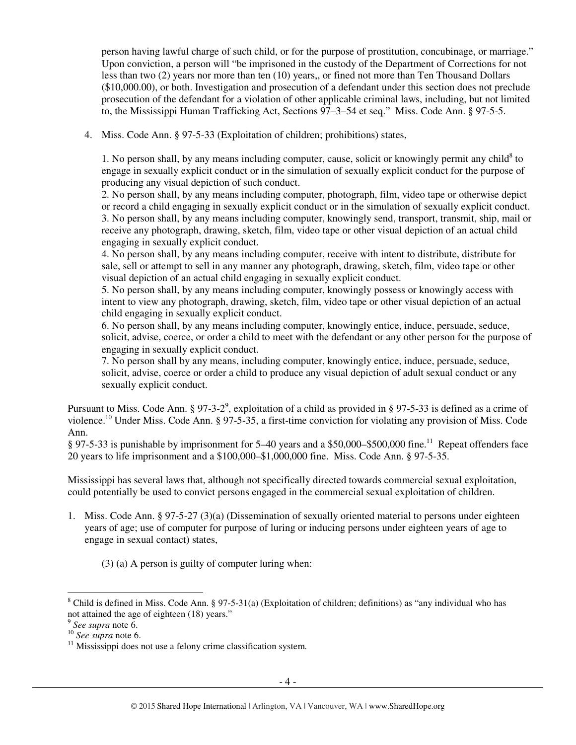person having lawful charge of such child, or for the purpose of prostitution, concubinage, or marriage." Upon conviction, a person will "be imprisoned in the custody of the Department of Corrections for not less than two (2) years nor more than ten (10) years,, or fined not more than Ten Thousand Dollars (\$10,000.00), or both. Investigation and prosecution of a defendant under this section does not preclude prosecution of the defendant for a violation of other applicable criminal laws, including, but not limited to, the Mississippi Human Trafficking Act, Sections 97–3–54 et seq." Miss. Code Ann. § 97-5-5.

4. Miss. Code Ann. § 97-5-33 (Exploitation of children; prohibitions) states,

1. No person shall, by any means including computer, cause, solicit or knowingly permit any child<sup>8</sup> to engage in sexually explicit conduct or in the simulation of sexually explicit conduct for the purpose of producing any visual depiction of such conduct.

2. No person shall, by any means including computer, photograph, film, video tape or otherwise depict or record a child engaging in sexually explicit conduct or in the simulation of sexually explicit conduct. 3. No person shall, by any means including computer, knowingly send, transport, transmit, ship, mail or receive any photograph, drawing, sketch, film, video tape or other visual depiction of an actual child engaging in sexually explicit conduct.

4. No person shall, by any means including computer, receive with intent to distribute, distribute for sale, sell or attempt to sell in any manner any photograph, drawing, sketch, film, video tape or other visual depiction of an actual child engaging in sexually explicit conduct.

5. No person shall, by any means including computer, knowingly possess or knowingly access with intent to view any photograph, drawing, sketch, film, video tape or other visual depiction of an actual child engaging in sexually explicit conduct.

6. No person shall, by any means including computer, knowingly entice, induce, persuade, seduce, solicit, advise, coerce, or order a child to meet with the defendant or any other person for the purpose of engaging in sexually explicit conduct.

7. No person shall by any means, including computer, knowingly entice, induce, persuade, seduce, solicit, advise, coerce or order a child to produce any visual depiction of adult sexual conduct or any sexually explicit conduct.

Pursuant to Miss. Code Ann. § 97-3-2<sup>9</sup>, exploitation of a child as provided in § 97-5-33 is defined as a crime of violence.<sup>10</sup> Under Miss. Code Ann. § 97-5-35, a first-time conviction for violating any provision of Miss. Code Ann.

§ 97-5-33 is punishable by imprisonment for 5–40 years and a \$50,000–\$500,000 fine.<sup>11</sup> Repeat offenders face 20 years to life imprisonment and a \$100,000–\$1,000,000 fine. Miss. Code Ann. § 97-5-35.

Mississippi has several laws that, although not specifically directed towards commercial sexual exploitation, could potentially be used to convict persons engaged in the commercial sexual exploitation of children.

1. Miss. Code Ann. § 97-5-27 (3)(a) (Dissemination of sexually oriented material to persons under eighteen years of age; use of computer for purpose of luring or inducing persons under eighteen years of age to engage in sexual contact) states,

(3) (a) A person is guilty of computer luring when:

 $\overline{a}$ <sup>8</sup> Child is defined in Miss. Code Ann. § 97-5-31(a) (Exploitation of children; definitions) as "any individual who has not attained the age of eighteen (18) years."

<sup>9</sup> *See supra* note 6.

<sup>10</sup> *See supra* note 6.

<sup>&</sup>lt;sup>11</sup> Mississippi does not use a felony crime classification system.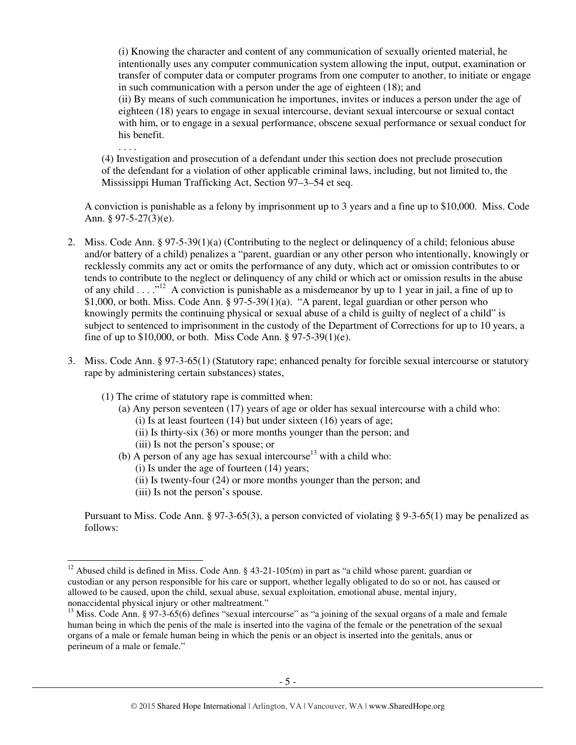(i) Knowing the character and content of any communication of sexually oriented material, he intentionally uses any computer communication system allowing the input, output, examination or transfer of computer data or computer programs from one computer to another, to initiate or engage in such communication with a person under the age of eighteen (18); and

(ii) By means of such communication he importunes, invites or induces a person under the age of eighteen (18) years to engage in sexual intercourse, deviant sexual intercourse or sexual contact with him, or to engage in a sexual performance, obscene sexual performance or sexual conduct for his benefit.

. . . .

 $\overline{a}$ 

(4) Investigation and prosecution of a defendant under this section does not preclude prosecution of the defendant for a violation of other applicable criminal laws, including, but not limited to, the Mississippi Human Trafficking Act, Section 97–3–54 et seq.

A conviction is punishable as a felony by imprisonment up to 3 years and a fine up to \$10,000. Miss. Code Ann. § 97-5-27(3)(e).

- 2. Miss. Code Ann. § 97-5-39(1)(a) (Contributing to the neglect or delinquency of a child; felonious abuse and/or battery of a child) penalizes a "parent, guardian or any other person who intentionally, knowingly or recklessly commits any act or omits the performance of any duty, which act or omission contributes to or tends to contribute to the neglect or delinquency of any child or which act or omission results in the abuse of any child . . . ."<sup>12</sup> A conviction is punishable as a misdemeanor by up to 1 year in jail, a fine of up to \$1,000, or both. Miss. Code Ann. § 97-5-39(1)(a). "A parent, legal guardian or other person who knowingly permits the continuing physical or sexual abuse of a child is guilty of neglect of a child" is subject to sentenced to imprisonment in the custody of the Department of Corrections for up to 10 years, a fine of up to \$10,000, or both. Miss Code Ann. § 97-5-39(1)(e).
- 3. Miss. Code Ann. § 97-3-65(1) (Statutory rape; enhanced penalty for forcible sexual intercourse or statutory rape by administering certain substances) states,
	- (1) The crime of statutory rape is committed when:
		- (a) Any person seventeen (17) years of age or older has sexual intercourse with a child who: (i) Is at least fourteen (14) but under sixteen (16) years of age;
			- (ii) Is thirty-six (36) or more months younger than the person; and
			- (iii) Is not the person's spouse; or
		- (b) A person of any age has sexual intercourse<sup>13</sup> with a child who:
			- (i) Is under the age of fourteen (14) years;
			- (ii) Is twenty-four (24) or more months younger than the person; and
			- (iii) Is not the person's spouse.

Pursuant to Miss. Code Ann. § 97-3-65(3), a person convicted of violating § 9-3-65(1) may be penalized as follows:

<sup>&</sup>lt;sup>12</sup> Abused child is defined in Miss. Code Ann. § 43-21-105(m) in part as "a child whose parent, guardian or custodian or any person responsible for his care or support, whether legally obligated to do so or not, has caused or allowed to be caused, upon the child, sexual abuse, sexual exploitation, emotional abuse, mental injury, nonaccidental physical injury or other maltreatment."

<sup>&</sup>lt;sup>13</sup> Miss. Code Ann. § 97-3-65(6) defines "sexual intercourse" as "a joining of the sexual organs of a male and female human being in which the penis of the male is inserted into the vagina of the female or the penetration of the sexual organs of a male or female human being in which the penis or an object is inserted into the genitals, anus or perineum of a male or female."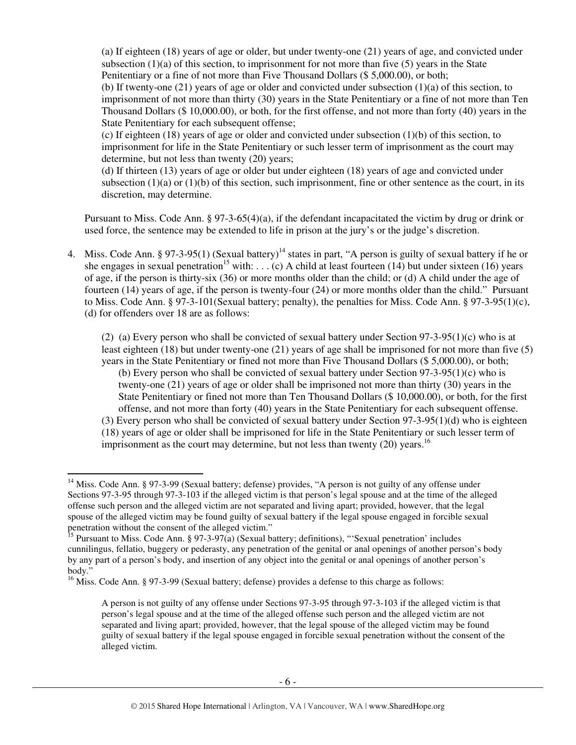(a) If eighteen (18) years of age or older, but under twenty-one (21) years of age, and convicted under subsection  $(1)(a)$  of this section, to imprisonment for not more than five (5) years in the State Penitentiary or a fine of not more than Five Thousand Dollars (\$ 5,000.00), or both; (b) If twenty-one (21) years of age or older and convicted under subsection (1)(a) of this section, to imprisonment of not more than thirty (30) years in the State Penitentiary or a fine of not more than Ten Thousand Dollars (\$ 10,000.00), or both, for the first offense, and not more than forty (40) years in the State Penitentiary for each subsequent offense;

(c) If eighteen (18) years of age or older and convicted under subsection (1)(b) of this section, to imprisonment for life in the State Penitentiary or such lesser term of imprisonment as the court may determine, but not less than twenty (20) years;

(d) If thirteen (13) years of age or older but under eighteen (18) years of age and convicted under subsection  $(1)(a)$  or  $(1)(b)$  of this section, such imprisonment, fine or other sentence as the court, in its discretion, may determine.

Pursuant to Miss. Code Ann. § 97-3-65(4)(a), if the defendant incapacitated the victim by drug or drink or used force, the sentence may be extended to life in prison at the jury's or the judge's discretion.

4. Miss. Code Ann. § 97-3-95(1) (Sexual battery)<sup>14</sup> states in part, "A person is guilty of sexual battery if he or she engages in sexual penetration<sup>15</sup> with: . . . (c) A child at least fourteen (14) but under sixteen (16) years of age, if the person is thirty-six (36) or more months older than the child; or (d) A child under the age of fourteen (14) years of age, if the person is twenty-four (24) or more months older than the child." Pursuant to Miss. Code Ann. § 97-3-101(Sexual battery; penalty), the penalties for Miss. Code Ann. § 97-3-95(1)(c), (d) for offenders over 18 are as follows:

(2) (a) Every person who shall be convicted of sexual battery under Section  $97-3-95(1)(c)$  who is at least eighteen (18) but under twenty-one (21) years of age shall be imprisoned for not more than five (5) years in the State Penitentiary or fined not more than Five Thousand Dollars (\$ 5,000.00), or both; (b) Every person who shall be convicted of sexual battery under Section  $97-3-95(1)(c)$  who is twenty-one (21) years of age or older shall be imprisoned not more than thirty (30) years in the State Penitentiary or fined not more than Ten Thousand Dollars (\$ 10,000.00), or both, for the first offense, and not more than forty (40) years in the State Penitentiary for each subsequent offense. (3) Every person who shall be convicted of sexual battery under Section 97-3-95(1)(d) who is eighteen (18) years of age or older shall be imprisoned for life in the State Penitentiary or such lesser term of imprisonment as the court may determine, but not less than twenty  $(20)$  years.<sup>16</sup>

 $\overline{a}$ 

<sup>&</sup>lt;sup>14</sup> Miss. Code Ann. § 97-3-99 (Sexual battery; defense) provides, "A person is not guilty of any offense under Sections 97-3-95 through 97-3-103 if the alleged victim is that person's legal spouse and at the time of the alleged offense such person and the alleged victim are not separated and living apart; provided, however, that the legal spouse of the alleged victim may be found guilty of sexual battery if the legal spouse engaged in forcible sexual penetration without the consent of the alleged victim."

<sup>&</sup>lt;sup>15</sup> Pursuant to Miss. Code Ann. § 97-3-97(a) (Sexual battery; definitions), "'Sexual penetration' includes cunnilingus, fellatio, buggery or pederasty, any penetration of the genital or anal openings of another person's body by any part of a person's body, and insertion of any object into the genital or anal openings of another person's body."

<sup>&</sup>lt;sup>16</sup> Miss. Code Ann. § 97-3-99 (Sexual battery; defense) provides a defense to this charge as follows:

A person is not guilty of any offense under Sections 97-3-95 through 97-3-103 if the alleged victim is that person's legal spouse and at the time of the alleged offense such person and the alleged victim are not separated and living apart; provided, however, that the legal spouse of the alleged victim may be found guilty of sexual battery if the legal spouse engaged in forcible sexual penetration without the consent of the alleged victim.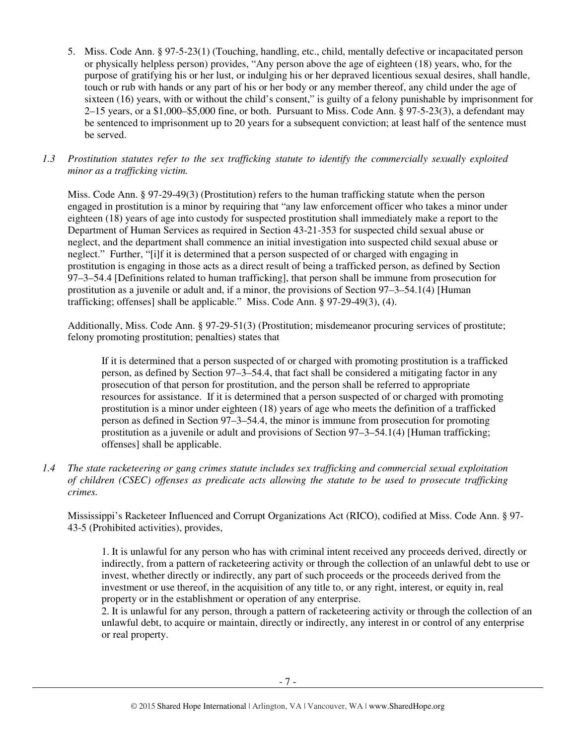- 5. Miss. Code Ann. § 97-5-23(1) (Touching, handling, etc., child, mentally defective or incapacitated person or physically helpless person) provides, "Any person above the age of eighteen (18) years, who, for the purpose of gratifying his or her lust, or indulging his or her depraved licentious sexual desires, shall handle, touch or rub with hands or any part of his or her body or any member thereof, any child under the age of sixteen (16) years, with or without the child's consent," is guilty of a felony punishable by imprisonment for 2–15 years, or a \$1,000–\$5,000 fine, or both. Pursuant to Miss. Code Ann. § 97-5-23(3), a defendant may be sentenced to imprisonment up to 20 years for a subsequent conviction; at least half of the sentence must be served.
- *1.3 Prostitution statutes refer to the sex trafficking statute to identify the commercially sexually exploited minor as a trafficking victim.*

Miss. Code Ann. § 97-29-49(3) (Prostitution) refers to the human trafficking statute when the person engaged in prostitution is a minor by requiring that "any law enforcement officer who takes a minor under eighteen (18) years of age into custody for suspected prostitution shall immediately make a report to the Department of Human Services as required in Section 43-21-353 for suspected child sexual abuse or neglect, and the department shall commence an initial investigation into suspected child sexual abuse or neglect." Further, "[i]f it is determined that a person suspected of or charged with engaging in prostitution is engaging in those acts as a direct result of being a trafficked person, as defined by Section 97–3–54.4 [Definitions related to human trafficking], that person shall be immune from prosecution for prostitution as a juvenile or adult and, if a minor, the provisions of Section 97–3–54.1(4) [Human trafficking; offenses] shall be applicable." Miss. Code Ann. § 97-29-49(3), (4).

Additionally, Miss. Code Ann. § 97-29-51(3) (Prostitution; misdemeanor procuring services of prostitute; felony promoting prostitution; penalties) states that

If it is determined that a person suspected of or charged with promoting prostitution is a trafficked person, as defined by Section 97–3–54.4, that fact shall be considered a mitigating factor in any prosecution of that person for prostitution, and the person shall be referred to appropriate resources for assistance. If it is determined that a person suspected of or charged with promoting prostitution is a minor under eighteen (18) years of age who meets the definition of a trafficked person as defined in Section 97–3–54.4, the minor is immune from prosecution for promoting prostitution as a juvenile or adult and provisions of Section 97–3–54.1(4) [Human trafficking; offenses] shall be applicable.

*1.4 The state racketeering or gang crimes statute includes sex trafficking and commercial sexual exploitation of children (CSEC) offenses as predicate acts allowing the statute to be used to prosecute trafficking crimes.* 

Mississippi's Racketeer Influenced and Corrupt Organizations Act (RICO), codified at Miss. Code Ann. § 97- 43-5 (Prohibited activities), provides,

1. It is unlawful for any person who has with criminal intent received any proceeds derived, directly or indirectly, from a pattern of racketeering activity or through the collection of an unlawful debt to use or invest, whether directly or indirectly, any part of such proceeds or the proceeds derived from the investment or use thereof, in the acquisition of any title to, or any right, interest, or equity in, real property or in the establishment or operation of any enterprise.

2. It is unlawful for any person, through a pattern of racketeering activity or through the collection of an unlawful debt, to acquire or maintain, directly or indirectly, any interest in or control of any enterprise or real property.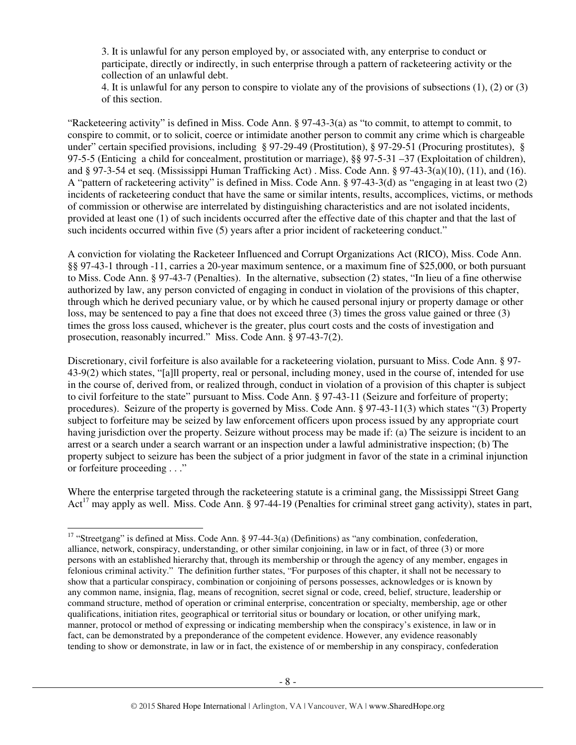3. It is unlawful for any person employed by, or associated with, any enterprise to conduct or participate, directly or indirectly, in such enterprise through a pattern of racketeering activity or the collection of an unlawful debt.

4. It is unlawful for any person to conspire to violate any of the provisions of subsections (1), (2) or (3) of this section.

"Racketeering activity" is defined in Miss. Code Ann. § 97-43-3(a) as "to commit, to attempt to commit, to conspire to commit, or to solicit, coerce or intimidate another person to commit any crime which is chargeable under" certain specified provisions, including § 97-29-49 (Prostitution), § 97-29-51 (Procuring prostitutes), § 97-5-5 (Enticing a child for concealment, prostitution or marriage), §§ 97-5-31 –37 (Exploitation of children), and § 97-3-54 et seq. (Mississippi Human Trafficking Act) . Miss. Code Ann. § 97-43-3(a)(10), (11), and (16). A "pattern of racketeering activity" is defined in Miss. Code Ann. § 97-43-3(d) as "engaging in at least two (2) incidents of racketeering conduct that have the same or similar intents, results, accomplices, victims, or methods of commission or otherwise are interrelated by distinguishing characteristics and are not isolated incidents, provided at least one (1) of such incidents occurred after the effective date of this chapter and that the last of such incidents occurred within five (5) years after a prior incident of racketeering conduct."

A conviction for violating the Racketeer Influenced and Corrupt Organizations Act (RICO), Miss. Code Ann. §§ 97-43-1 through -11, carries a 20-year maximum sentence, or a maximum fine of \$25,000, or both pursuant to Miss. Code Ann. § 97-43-7 (Penalties). In the alternative, subsection (2) states, "In lieu of a fine otherwise authorized by law, any person convicted of engaging in conduct in violation of the provisions of this chapter, through which he derived pecuniary value, or by which he caused personal injury or property damage or other loss, may be sentenced to pay a fine that does not exceed three (3) times the gross value gained or three (3) times the gross loss caused, whichever is the greater, plus court costs and the costs of investigation and prosecution, reasonably incurred." Miss. Code Ann. § 97-43-7(2).

Discretionary, civil forfeiture is also available for a racketeering violation, pursuant to Miss. Code Ann. § 97- 43-9(2) which states, "[a]ll property, real or personal, including money, used in the course of, intended for use in the course of, derived from, or realized through, conduct in violation of a provision of this chapter is subject to civil forfeiture to the state" pursuant to Miss. Code Ann. § 97-43-11 (Seizure and forfeiture of property; procedures). Seizure of the property is governed by Miss. Code Ann. § 97-43-11(3) which states "(3) Property subject to forfeiture may be seized by law enforcement officers upon process issued by any appropriate court having jurisdiction over the property. Seizure without process may be made if: (a) The seizure is incident to an arrest or a search under a search warrant or an inspection under a lawful administrative inspection; (b) The property subject to seizure has been the subject of a prior judgment in favor of the state in a criminal injunction or forfeiture proceeding . . ."

Where the enterprise targeted through the racketeering statute is a criminal gang, the Mississippi Street Gang Act<sup>17</sup> may apply as well. Miss. Code Ann. § 97-44-19 (Penalties for criminal street gang activity), states in part,

 $\overline{a}$ 

<sup>&</sup>lt;sup>17</sup> "Streetgang" is defined at Miss. Code Ann. § 97-44-3(a) (Definitions) as "any combination, confederation, alliance, network, conspiracy, understanding, or other similar conjoining, in law or in fact, of three (3) or more persons with an established hierarchy that, through its membership or through the agency of any member, engages in felonious criminal activity." The definition further states, "For purposes of this chapter, it shall not be necessary to show that a particular conspiracy, combination or conjoining of persons possesses, acknowledges or is known by any common name, insignia, flag, means of recognition, secret signal or code, creed, belief, structure, leadership or command structure, method of operation or criminal enterprise, concentration or specialty, membership, age or other qualifications, initiation rites, geographical or territorial situs or boundary or location, or other unifying mark, manner, protocol or method of expressing or indicating membership when the conspiracy's existence, in law or in fact, can be demonstrated by a preponderance of the competent evidence. However, any evidence reasonably tending to show or demonstrate, in law or in fact, the existence of or membership in any conspiracy, confederation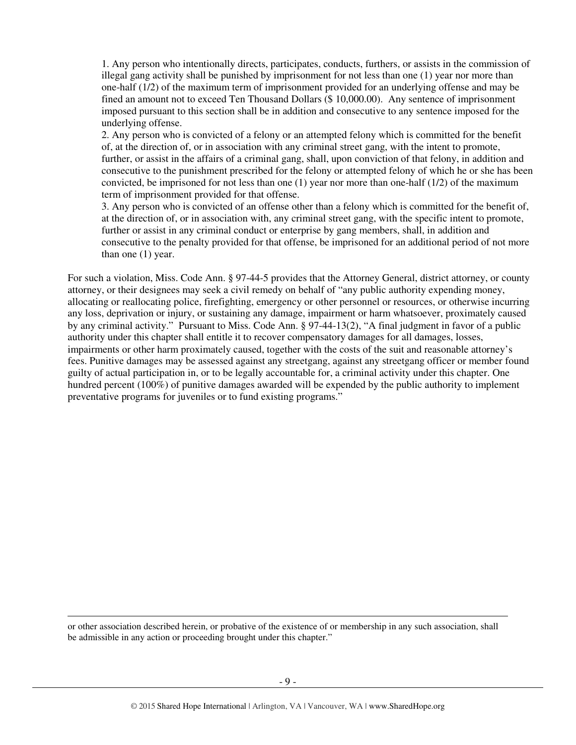1. Any person who intentionally directs, participates, conducts, furthers, or assists in the commission of illegal gang activity shall be punished by imprisonment for not less than one (1) year nor more than one-half (1/2) of the maximum term of imprisonment provided for an underlying offense and may be fined an amount not to exceed Ten Thousand Dollars (\$ 10,000.00). Any sentence of imprisonment imposed pursuant to this section shall be in addition and consecutive to any sentence imposed for the underlying offense.

2. Any person who is convicted of a felony or an attempted felony which is committed for the benefit of, at the direction of, or in association with any criminal street gang, with the intent to promote, further, or assist in the affairs of a criminal gang, shall, upon conviction of that felony, in addition and consecutive to the punishment prescribed for the felony or attempted felony of which he or she has been convicted, be imprisoned for not less than one  $(1)$  year nor more than one-half  $(1/2)$  of the maximum term of imprisonment provided for that offense.

3. Any person who is convicted of an offense other than a felony which is committed for the benefit of, at the direction of, or in association with, any criminal street gang, with the specific intent to promote, further or assist in any criminal conduct or enterprise by gang members, shall, in addition and consecutive to the penalty provided for that offense, be imprisoned for an additional period of not more than one (1) year.

For such a violation, Miss. Code Ann. § 97-44-5 provides that the Attorney General, district attorney, or county attorney, or their designees may seek a civil remedy on behalf of "any public authority expending money, allocating or reallocating police, firefighting, emergency or other personnel or resources, or otherwise incurring any loss, deprivation or injury, or sustaining any damage, impairment or harm whatsoever, proximately caused by any criminal activity." Pursuant to Miss. Code Ann. § 97-44-13(2), "A final judgment in favor of a public authority under this chapter shall entitle it to recover compensatory damages for all damages, losses, impairments or other harm proximately caused, together with the costs of the suit and reasonable attorney's fees. Punitive damages may be assessed against any streetgang, against any streetgang officer or member found guilty of actual participation in, or to be legally accountable for, a criminal activity under this chapter. One hundred percent (100%) of punitive damages awarded will be expended by the public authority to implement preventative programs for juveniles or to fund existing programs."

or other association described herein, or probative of the existence of or membership in any such association, shall be admissible in any action or proceeding brought under this chapter."

 $\overline{a}$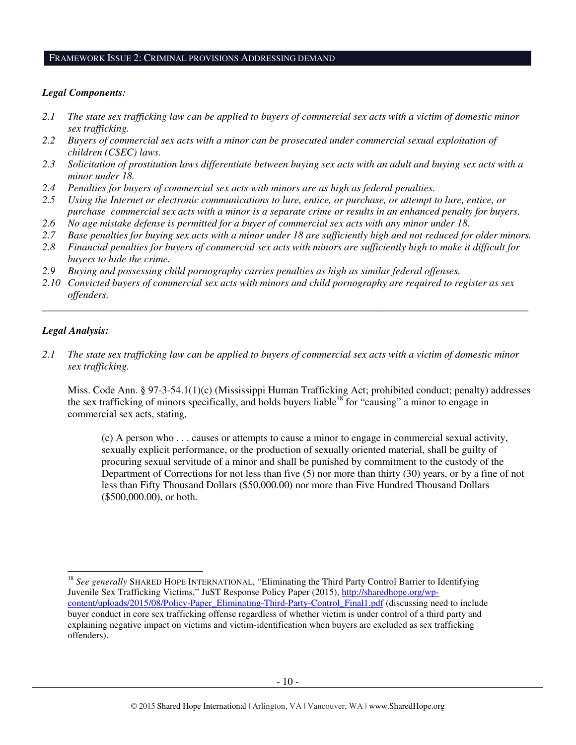#### FRAMEWORK ISSUE 2: CRIMINAL PROVISIONS ADDRESSING DEMAND

#### *Legal Components:*

- *2.1 The state sex trafficking law can be applied to buyers of commercial sex acts with a victim of domestic minor sex trafficking.*
- 2.2 Buyers of commercial sex acts with a minor can be prosecuted under commercial sexual exploitation of *children (CSEC) laws.*
- *2.3 Solicitation of prostitution laws differentiate between buying sex acts with an adult and buying sex acts with a minor under 18.*
- *2.4 Penalties for buyers of commercial sex acts with minors are as high as federal penalties.*
- *2.5 Using the Internet or electronic communications to lure, entice, or purchase, or attempt to lure, entice, or purchase commercial sex acts with a minor is a separate crime or results in an enhanced penalty for buyers.*
- *2.6 No age mistake defense is permitted for a buyer of commercial sex acts with any minor under 18.*
- *2.7 Base penalties for buying sex acts with a minor under 18 are sufficiently high and not reduced for older minors.*
- *2.8 Financial penalties for buyers of commercial sex acts with minors are sufficiently high to make it difficult for buyers to hide the crime.*
- *2.9 Buying and possessing child pornography carries penalties as high as similar federal offenses.*
- *2.10 Convicted buyers of commercial sex acts with minors and child pornography are required to register as sex offenders.*

\_\_\_\_\_\_\_\_\_\_\_\_\_\_\_\_\_\_\_\_\_\_\_\_\_\_\_\_\_\_\_\_\_\_\_\_\_\_\_\_\_\_\_\_\_\_\_\_\_\_\_\_\_\_\_\_\_\_\_\_\_\_\_\_\_\_\_\_\_\_\_\_\_\_\_\_\_\_\_\_\_\_\_\_\_\_\_\_\_\_\_\_\_\_

#### *Legal Analysis:*

 $\ddot{\phantom{a}}$ 

*2.1 The state sex trafficking law can be applied to buyers of commercial sex acts with a victim of domestic minor sex trafficking.* 

Miss. Code Ann. § 97-3-54.1(1)(c) (Mississippi Human Trafficking Act; prohibited conduct; penalty) addresses the sex trafficking of minors specifically, and holds buyers liable<sup>18</sup> for "causing" a minor to engage in commercial sex acts, stating,

(c) A person who . . . causes or attempts to cause a minor to engage in commercial sexual activity, sexually explicit performance, or the production of sexually oriented material, shall be guilty of procuring sexual servitude of a minor and shall be punished by commitment to the custody of the Department of Corrections for not less than five (5) nor more than thirty (30) years, or by a fine of not less than Fifty Thousand Dollars (\$50,000.00) nor more than Five Hundred Thousand Dollars (\$500,000.00), or both.

<sup>&</sup>lt;sup>18</sup> See generally SHARED HOPE INTERNATIONAL, "Eliminating the Third Party Control Barrier to Identifying Juvenile Sex Trafficking Victims," JuST Response Policy Paper (2015), http://sharedhope.org/wpcontent/uploads/2015/08/Policy-Paper\_Eliminating-Third-Party-Control\_Final1.pdf (discussing need to include buyer conduct in core sex trafficking offense regardless of whether victim is under control of a third party and explaining negative impact on victims and victim-identification when buyers are excluded as sex trafficking offenders).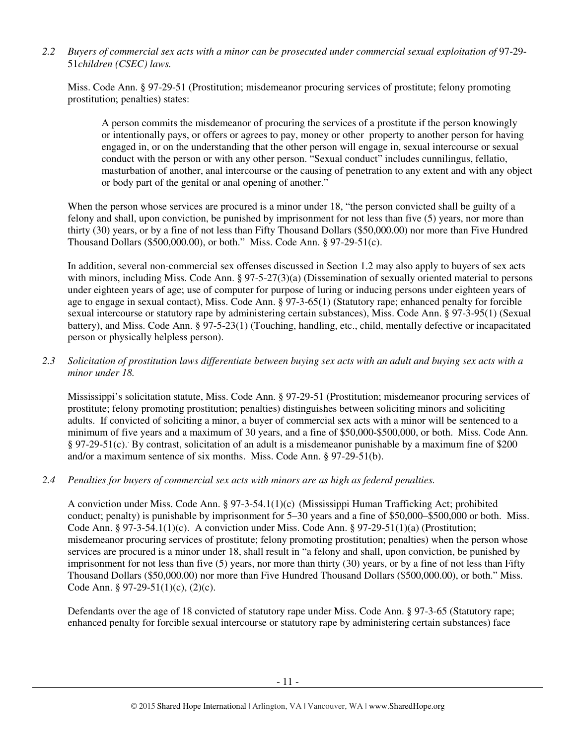*2.2 Buyers of commercial sex acts with a minor can be prosecuted under commercial sexual exploitation of* 97-29- 51*children (CSEC) laws.* 

Miss. Code Ann. § 97-29-51 (Prostitution; misdemeanor procuring services of prostitute; felony promoting prostitution; penalties) states:

A person commits the misdemeanor of procuring the services of a prostitute if the person knowingly or intentionally pays, or offers or agrees to pay, money or other property to another person for having engaged in, or on the understanding that the other person will engage in, sexual intercourse or sexual conduct with the person or with any other person. "Sexual conduct" includes cunnilingus, fellatio, masturbation of another, anal intercourse or the causing of penetration to any extent and with any object or body part of the genital or anal opening of another."

When the person whose services are procured is a minor under 18, "the person convicted shall be guilty of a felony and shall, upon conviction, be punished by imprisonment for not less than five (5) years, nor more than thirty (30) years, or by a fine of not less than Fifty Thousand Dollars (\$50,000.00) nor more than Five Hundred Thousand Dollars (\$500,000.00), or both." Miss. Code Ann. § 97-29-51(c).

In addition, several non-commercial sex offenses discussed in Section 1.2 may also apply to buyers of sex acts with minors, including Miss. Code Ann. § 97-5-27(3)(a) (Dissemination of sexually oriented material to persons under eighteen years of age; use of computer for purpose of luring or inducing persons under eighteen years of age to engage in sexual contact), Miss. Code Ann. § 97-3-65(1) (Statutory rape; enhanced penalty for forcible sexual intercourse or statutory rape by administering certain substances), Miss. Code Ann. § 97-3-95(1) (Sexual battery), and Miss. Code Ann. § 97-5-23(1) (Touching, handling, etc., child, mentally defective or incapacitated person or physically helpless person).

#### *2.3 Solicitation of prostitution laws differentiate between buying sex acts with an adult and buying sex acts with a minor under 18.*

Mississippi's solicitation statute, Miss. Code Ann. § 97-29-51 (Prostitution; misdemeanor procuring services of prostitute; felony promoting prostitution; penalties) distinguishes between soliciting minors and soliciting adults. If convicted of soliciting a minor, a buyer of commercial sex acts with a minor will be sentenced to a minimum of five years and a maximum of 30 years, and a fine of \$50,000-\$500,000, or both. Miss. Code Ann. § 97-29-51(c). By contrast, solicitation of an adult is a misdemeanor punishable by a maximum fine of \$200 and/or a maximum sentence of six months. Miss. Code Ann. § 97-29-51(b).

## *2.4 Penalties for buyers of commercial sex acts with minors are as high as federal penalties.*

A conviction under Miss. Code Ann. § 97-3-54.1(1)(c) (Mississippi Human Trafficking Act; prohibited conduct; penalty) is punishable by imprisonment for 5–30 years and a fine of \$50,000–\$500,000 or both. Miss. Code Ann. § 97-3-54.1(1)(c). A conviction under Miss. Code Ann. § 97-29-51(1)(a) (Prostitution; misdemeanor procuring services of prostitute; felony promoting prostitution; penalties) when the person whose services are procured is a minor under 18, shall result in "a felony and shall, upon conviction, be punished by imprisonment for not less than five (5) years, nor more than thirty (30) years, or by a fine of not less than Fifty Thousand Dollars (\$50,000.00) nor more than Five Hundred Thousand Dollars (\$500,000.00), or both." Miss. Code Ann. § 97-29-51(1)(c), (2)(c).

Defendants over the age of 18 convicted of statutory rape under Miss. Code Ann. § 97-3-65 (Statutory rape; enhanced penalty for forcible sexual intercourse or statutory rape by administering certain substances) face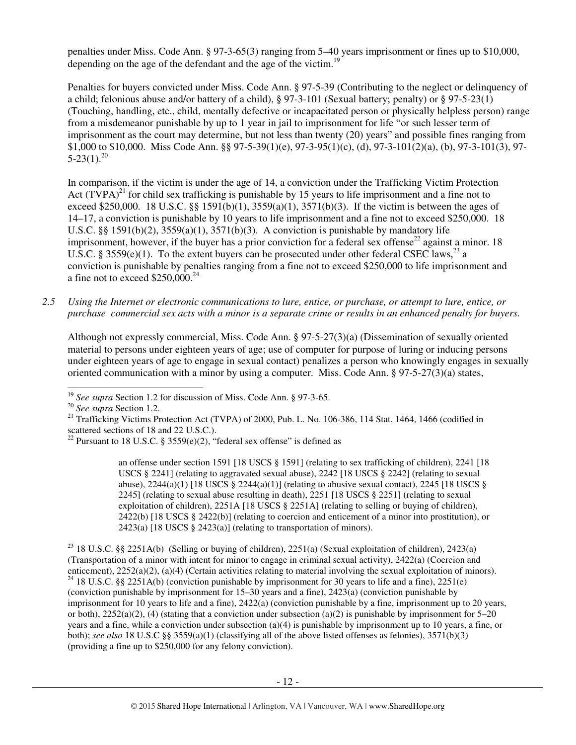penalties under Miss. Code Ann. § 97-3-65(3) ranging from 5–40 years imprisonment or fines up to \$10,000, depending on the age of the defendant and the age of the victim.<sup>19</sup>

Penalties for buyers convicted under Miss. Code Ann. § 97-5-39 (Contributing to the neglect or delinquency of a child; felonious abuse and/or battery of a child), § 97-3-101 (Sexual battery; penalty) or § 97-5-23(1) (Touching, handling, etc., child, mentally defective or incapacitated person or physically helpless person) range from a misdemeanor punishable by up to 1 year in jail to imprisonment for life "or such lesser term of imprisonment as the court may determine, but not less than twenty (20) years" and possible fines ranging from \$1,000 to \$10,000. Miss Code Ann. §§ 97-5-39(1)(e), 97-3-95(1)(c), (d), 97-3-101(2)(a), (b), 97-3-101(3), 97-  $5-23(1).^{20}$ 

In comparison, if the victim is under the age of 14, a conviction under the Trafficking Victim Protection Act  $(TVPA)^{21}$  for child sex trafficking is punishable by 15 years to life imprisonment and a fine not to exceed \$250,000. 18 U.S.C. §§ 1591(b)(1),  $3559(a)(1)$ ,  $3571(b)(3)$ . If the victim is between the ages of 14–17, a conviction is punishable by 10 years to life imprisonment and a fine not to exceed \$250,000. 18 U.S.C. §§ 1591(b)(2),  $3559(a)(1)$ ,  $3571(b)(3)$ . A conviction is punishable by mandatory life imprisonment, however, if the buyer has a prior conviction for a federal sex offense<sup>22</sup> against a minor. 18 U.S.C. § 3559(e)(1). To the extent buyers can be prosecuted under other federal CSEC laws,<sup>23</sup> a conviction is punishable by penalties ranging from a fine not to exceed \$250,000 to life imprisonment and a fine not to exceed  $$250,000.<sup>24</sup>$ 

*2.5 Using the Internet or electronic communications to lure, entice, or purchase, or attempt to lure, entice, or purchase commercial sex acts with a minor is a separate crime or results in an enhanced penalty for buyers.* 

Although not expressly commercial, Miss. Code Ann. § 97-5-27(3)(a) (Dissemination of sexually oriented material to persons under eighteen years of age; use of computer for purpose of luring or inducing persons under eighteen years of age to engage in sexual contact) penalizes a person who knowingly engages in sexually oriented communication with a minor by using a computer. Miss. Code Ann. § 97-5-27(3)(a) states,

an offense under section 1591 [18 USCS § 1591] (relating to sex trafficking of children), 2241 [18 USCS § 2241] (relating to aggravated sexual abuse), 2242 [18 USCS § 2242] (relating to sexual abuse),  $2244(a)(1)$  [18 USCS §  $2244(a)(1)$ ] (relating to abusive sexual contact),  $2245$  [18 USCS § 2245] (relating to sexual abuse resulting in death), 2251 [18 USCS § 2251] (relating to sexual exploitation of children), 2251A [18 USCS § 2251A] (relating to selling or buying of children), 2422(b) [18 USCS § 2422(b)] (relating to coercion and enticement of a minor into prostitution), or 2423(a) [18 USCS § 2423(a)] (relating to transportation of minors).

<sup>23</sup> 18 U.S.C. §§ 2251A(b) (Selling or buying of children), 2251(a) (Sexual exploitation of children), 2423(a) (Transportation of a minor with intent for minor to engage in criminal sexual activity), 2422(a) (Coercion and enticement), 2252(a)(2), (a)(4) (Certain activities relating to material involving the sexual exploitation of minors). <sup>24</sup> 18 U.S.C. §§ 2251A(b) (conviction punishable by imprisonment for 30 years to life and a fine), 2251(e) (conviction punishable by imprisonment for 15–30 years and a fine), 2423(a) (conviction punishable by imprisonment for 10 years to life and a fine), 2422(a) (conviction punishable by a fine, imprisonment up to 20 years, or both),  $2252(a)(2)$ , (4) (stating that a conviction under subsection (a)(2) is punishable by imprisonment for 5–20 years and a fine, while a conviction under subsection (a)(4) is punishable by imprisonment up to 10 years, a fine, or both); *see also* 18 U.S.C §§ 3559(a)(1) (classifying all of the above listed offenses as felonies), 3571(b)(3) (providing a fine up to \$250,000 for any felony conviction).

 $\overline{a}$ <sup>19</sup> *See supra* Section 1.2 for discussion of Miss. Code Ann. § 97-3-65.

<sup>20</sup> *See supra* Section 1.2.

<sup>&</sup>lt;sup>21</sup> Trafficking Victims Protection Act (TVPA) of 2000, Pub. L. No. 106-386, 114 Stat. 1464, 1466 (codified in scattered sections of 18 and 22 U.S.C.).

<sup>&</sup>lt;sup>22</sup> Pursuant to 18 U.S.C. § 3559 $(e)(2)$ , "federal sex offense" is defined as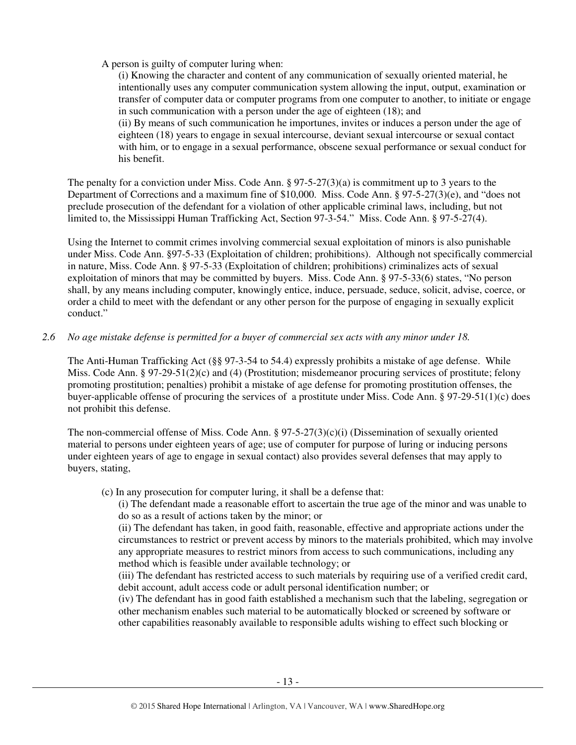#### A person is guilty of computer luring when:

(i) Knowing the character and content of any communication of sexually oriented material, he intentionally uses any computer communication system allowing the input, output, examination or transfer of computer data or computer programs from one computer to another, to initiate or engage in such communication with a person under the age of eighteen (18); and (ii) By means of such communication he importunes, invites or induces a person under the age of eighteen (18) years to engage in sexual intercourse, deviant sexual intercourse or sexual contact with him, or to engage in a sexual performance, obscene sexual performance or sexual conduct for his benefit.

The penalty for a conviction under Miss. Code Ann. § 97-5-27(3)(a) is commitment up to 3 years to the Department of Corrections and a maximum fine of \$10,000. Miss. Code Ann. § 97-5-27(3)(e), and "does not preclude prosecution of the defendant for a violation of other applicable criminal laws, including, but not limited to, the Mississippi Human Trafficking Act, Section 97-3-54." Miss. Code Ann. § 97-5-27(4).

Using the Internet to commit crimes involving commercial sexual exploitation of minors is also punishable under Miss. Code Ann. §97-5-33 (Exploitation of children; prohibitions). Although not specifically commercial in nature, Miss. Code Ann. § 97-5-33 (Exploitation of children; prohibitions) criminalizes acts of sexual exploitation of minors that may be committed by buyers. Miss. Code Ann. § 97-5-33(6) states, "No person shall, by any means including computer, knowingly entice, induce, persuade, seduce, solicit, advise, coerce, or order a child to meet with the defendant or any other person for the purpose of engaging in sexually explicit conduct."

#### *2.6 No age mistake defense is permitted for a buyer of commercial sex acts with any minor under 18.*

The Anti-Human Trafficking Act (§§ 97-3-54 to 54.4) expressly prohibits a mistake of age defense. While Miss. Code Ann. § 97-29-51(2)(c) and (4) (Prostitution; misdemeanor procuring services of prostitute; felony promoting prostitution; penalties) prohibit a mistake of age defense for promoting prostitution offenses, the buyer-applicable offense of procuring the services of a prostitute under Miss. Code Ann. § 97-29-51(1)(c) does not prohibit this defense.

The non-commercial offense of Miss. Code Ann.  $\S 97-5-27(3)(c)(i)$  (Dissemination of sexually oriented material to persons under eighteen years of age; use of computer for purpose of luring or inducing persons under eighteen years of age to engage in sexual contact) also provides several defenses that may apply to buyers, stating,

(c) In any prosecution for computer luring, it shall be a defense that:

(i) The defendant made a reasonable effort to ascertain the true age of the minor and was unable to do so as a result of actions taken by the minor; or

(ii) The defendant has taken, in good faith, reasonable, effective and appropriate actions under the circumstances to restrict or prevent access by minors to the materials prohibited, which may involve any appropriate measures to restrict minors from access to such communications, including any method which is feasible under available technology; or

(iii) The defendant has restricted access to such materials by requiring use of a verified credit card, debit account, adult access code or adult personal identification number; or

(iv) The defendant has in good faith established a mechanism such that the labeling, segregation or other mechanism enables such material to be automatically blocked or screened by software or other capabilities reasonably available to responsible adults wishing to effect such blocking or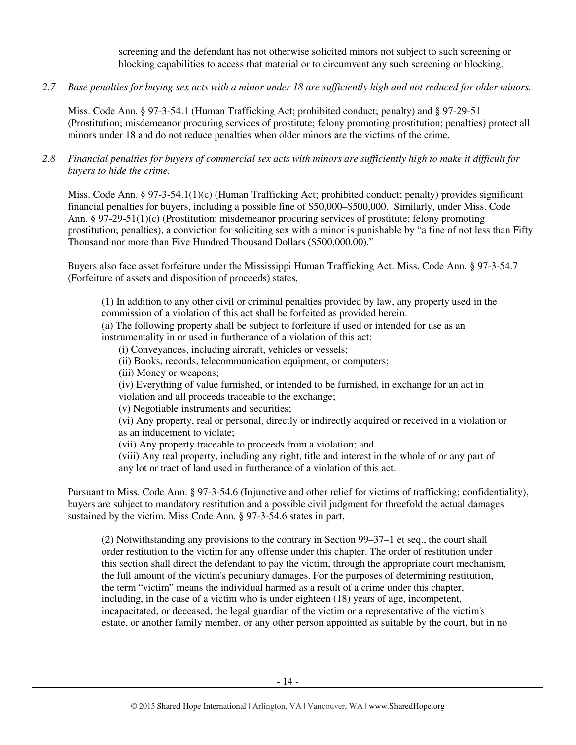screening and the defendant has not otherwise solicited minors not subject to such screening or blocking capabilities to access that material or to circumvent any such screening or blocking.

*2.7 Base penalties for buying sex acts with a minor under 18 are sufficiently high and not reduced for older minors.* 

Miss. Code Ann. § 97-3-54.1 (Human Trafficking Act; prohibited conduct; penalty) and § 97-29-51 (Prostitution; misdemeanor procuring services of prostitute; felony promoting prostitution; penalties) protect all minors under 18 and do not reduce penalties when older minors are the victims of the crime.

*2.8 Financial penalties for buyers of commercial sex acts with minors are sufficiently high to make it difficult for buyers to hide the crime.* 

Miss. Code Ann. § 97-3-54.1(1)(c) (Human Trafficking Act; prohibited conduct; penalty) provides significant financial penalties for buyers, including a possible fine of \$50,000–\$500,000. Similarly, under Miss. Code Ann. § 97-29-51(1)(c) (Prostitution; misdemeanor procuring services of prostitute; felony promoting prostitution; penalties), a conviction for soliciting sex with a minor is punishable by "a fine of not less than Fifty Thousand nor more than Five Hundred Thousand Dollars (\$500,000.00)."

Buyers also face asset forfeiture under the Mississippi Human Trafficking Act. Miss. Code Ann. § 97-3-54.7 (Forfeiture of assets and disposition of proceeds) states,

(1) In addition to any other civil or criminal penalties provided by law, any property used in the commission of a violation of this act shall be forfeited as provided herein.

(a) The following property shall be subject to forfeiture if used or intended for use as an instrumentality in or used in furtherance of a violation of this act:

(i) Conveyances, including aircraft, vehicles or vessels;

- (ii) Books, records, telecommunication equipment, or computers;
- (iii) Money or weapons;

(iv) Everything of value furnished, or intended to be furnished, in exchange for an act in violation and all proceeds traceable to the exchange;

(v) Negotiable instruments and securities;

(vi) Any property, real or personal, directly or indirectly acquired or received in a violation or as an inducement to violate;

(vii) Any property traceable to proceeds from a violation; and

(viii) Any real property, including any right, title and interest in the whole of or any part of any lot or tract of land used in furtherance of a violation of this act.

Pursuant to Miss. Code Ann. § 97-3-54.6 (Injunctive and other relief for victims of trafficking; confidentiality), buyers are subject to mandatory restitution and a possible civil judgment for threefold the actual damages sustained by the victim. Miss Code Ann. § 97-3-54.6 states in part,

(2) Notwithstanding any provisions to the contrary in Section 99–37–1 et seq., the court shall order restitution to the victim for any offense under this chapter. The order of restitution under this section shall direct the defendant to pay the victim, through the appropriate court mechanism, the full amount of the victim's pecuniary damages. For the purposes of determining restitution, the term "victim" means the individual harmed as a result of a crime under this chapter, including, in the case of a victim who is under eighteen (18) years of age, incompetent, incapacitated, or deceased, the legal guardian of the victim or a representative of the victim's estate, or another family member, or any other person appointed as suitable by the court, but in no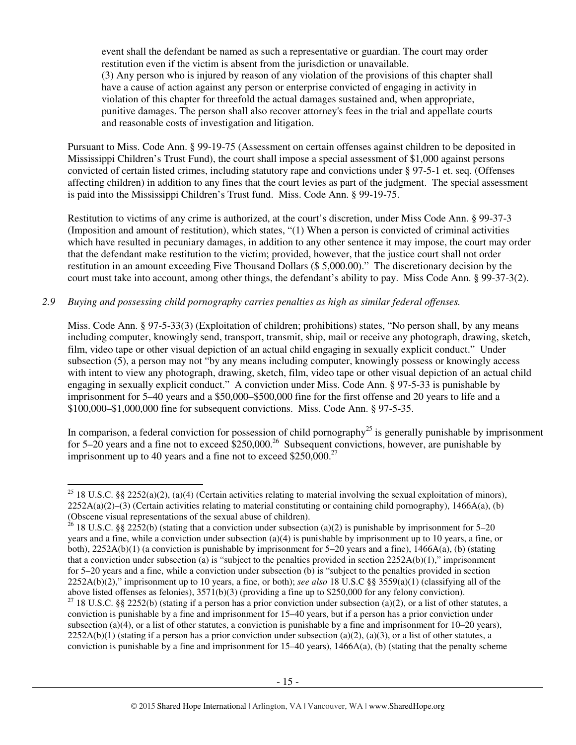event shall the defendant be named as such a representative or guardian. The court may order restitution even if the victim is absent from the jurisdiction or unavailable. (3) Any person who is injured by reason of any violation of the provisions of this chapter shall have a cause of action against any person or enterprise convicted of engaging in activity in violation of this chapter for threefold the actual damages sustained and, when appropriate, punitive damages. The person shall also recover attorney's fees in the trial and appellate courts and reasonable costs of investigation and litigation.

Pursuant to Miss. Code Ann. § 99-19-75 (Assessment on certain offenses against children to be deposited in Mississippi Children's Trust Fund), the court shall impose a special assessment of \$1,000 against persons convicted of certain listed crimes, including statutory rape and convictions under § 97-5-1 et. seq. (Offenses affecting children) in addition to any fines that the court levies as part of the judgment. The special assessment is paid into the Mississippi Children's Trust fund. Miss. Code Ann. § 99-19-75.

Restitution to victims of any crime is authorized, at the court's discretion, under Miss Code Ann. § 99-37-3 (Imposition and amount of restitution), which states, "(1) When a person is convicted of criminal activities which have resulted in pecuniary damages, in addition to any other sentence it may impose, the court may order that the defendant make restitution to the victim; provided, however, that the justice court shall not order restitution in an amount exceeding Five Thousand Dollars (\$ 5,000.00)." The discretionary decision by the court must take into account, among other things, the defendant's ability to pay. Miss Code Ann. § 99-37-3(2).

#### *2.9 Buying and possessing child pornography carries penalties as high as similar federal offenses.*

 $\overline{a}$ 

Miss. Code Ann. § 97-5-33(3) (Exploitation of children; prohibitions) states, "No person shall, by any means including computer, knowingly send, transport, transmit, ship, mail or receive any photograph, drawing, sketch, film, video tape or other visual depiction of an actual child engaging in sexually explicit conduct." Under subsection (5), a person may not "by any means including computer, knowingly possess or knowingly access with intent to view any photograph, drawing, sketch, film, video tape or other visual depiction of an actual child engaging in sexually explicit conduct." A conviction under Miss. Code Ann. § 97-5-33 is punishable by imprisonment for 5–40 years and a \$50,000–\$500,000 fine for the first offense and 20 years to life and a \$100,000–\$1,000,000 fine for subsequent convictions. Miss. Code Ann. § 97-5-35.

In comparison, a federal conviction for possession of child pornography<sup>25</sup> is generally punishable by imprisonment for 5–20 years and a fine not to exceed  $$250,000.<sup>26</sup>$  Subsequent convictions, however, are punishable by imprisonment up to 40 years and a fine not to exceed  $$250,000.<sup>27</sup>$ 

<sup>&</sup>lt;sup>25</sup> 18 U.S.C. §§ 2252(a)(2), (a)(4) (Certain activities relating to material involving the sexual exploitation of minors),  $2252A(a)(2)$ –(3) (Certain activities relating to material constituting or containing child pornography), 1466A(a), (b) (Obscene visual representations of the sexual abuse of children).

<sup>&</sup>lt;sup>26</sup> 18 U.S.C. §§ 2252(b) (stating that a conviction under subsection (a)(2) is punishable by imprisonment for 5–20 years and a fine, while a conviction under subsection (a)(4) is punishable by imprisonment up to 10 years, a fine, or both), 2252A(b)(1) (a conviction is punishable by imprisonment for 5–20 years and a fine), 1466A(a), (b) (stating that a conviction under subsection (a) is "subject to the penalties provided in section  $2252A(b)(1)$ ," imprisonment for 5–20 years and a fine, while a conviction under subsection (b) is "subject to the penalties provided in section 2252A(b)(2)," imprisonment up to 10 years, a fine, or both); *see also* 18 U.S.C §§ 3559(a)(1) (classifying all of the above listed offenses as felonies), 3571(b)(3) (providing a fine up to \$250,000 for any felony conviction).

<sup>&</sup>lt;sup>27</sup> 18 U.S.C. §§ 2252(b) (stating if a person has a prior conviction under subsection (a)(2), or a list of other statutes, a conviction is punishable by a fine and imprisonment for 15–40 years, but if a person has a prior conviction under subsection (a)(4), or a list of other statutes, a conviction is punishable by a fine and imprisonment for  $10-20$  years),  $2252A(b)(1)$  (stating if a person has a prior conviction under subsection (a)(2), (a)(3), or a list of other statutes, a conviction is punishable by a fine and imprisonment for 15–40 years), 1466A(a), (b) (stating that the penalty scheme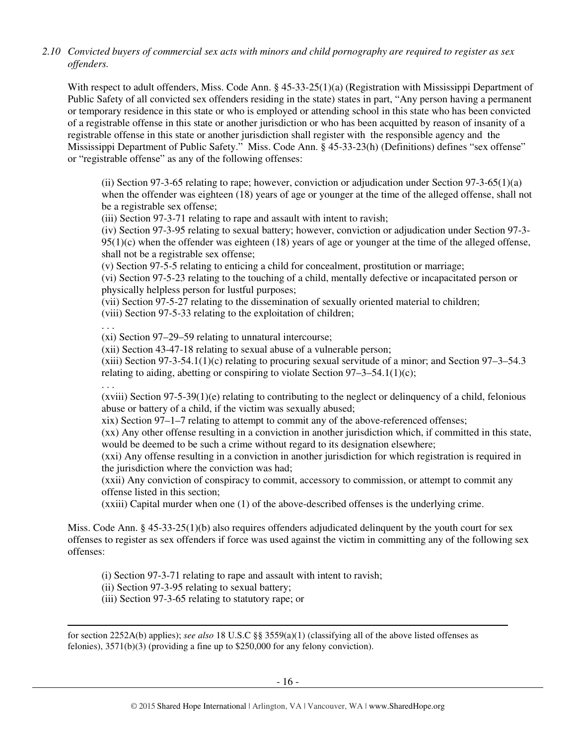*2.10 Convicted buyers of commercial sex acts with minors and child pornography are required to register as sex offenders.*

With respect to adult offenders, Miss. Code Ann. § 45-33-25(1)(a) (Registration with Mississippi Department of Public Safety of all convicted sex offenders residing in the state) states in part, "Any person having a permanent or temporary residence in this state or who is employed or attending school in this state who has been convicted of a registrable offense in this state or another jurisdiction or who has been acquitted by reason of insanity of a registrable offense in this state or another jurisdiction shall register with the responsible agency and the Mississippi Department of Public Safety." Miss. Code Ann. § 45-33-23(h) (Definitions) defines "sex offense" or "registrable offense" as any of the following offenses:

(ii) Section 97-3-65 relating to rape; however, conviction or adjudication under Section 97-3-65(1)(a) when the offender was eighteen (18) years of age or younger at the time of the alleged offense, shall not be a registrable sex offense;

(iii) Section 97-3-71 relating to rape and assault with intent to ravish;

(iv) Section 97-3-95 relating to sexual battery; however, conviction or adjudication under Section 97-3-  $95(1)(c)$  when the offender was eighteen (18) years of age or younger at the time of the alleged offense, shall not be a registrable sex offense;

(v) Section 97-5-5 relating to enticing a child for concealment, prostitution or marriage;

(vi) Section 97-5-23 relating to the touching of a child, mentally defective or incapacitated person or physically helpless person for lustful purposes;

(vii) Section 97-5-27 relating to the dissemination of sexually oriented material to children;

(viii) Section 97-5-33 relating to the exploitation of children;

. . .

(xi) Section 97–29–59 relating to unnatural intercourse;

(xii) Section 43-47-18 relating to sexual abuse of a vulnerable person;

 $(xiii)$  Section 97-3-54.1(1)(c) relating to procuring sexual servitude of a minor; and Section 97-3-54.3 relating to aiding, abetting or conspiring to violate Section  $97-3-54.1(1)(c)$ ;

. . .  $(xviii)$  Section 97-5-39(1)(e) relating to contributing to the neglect or delinquency of a child, felonious abuse or battery of a child, if the victim was sexually abused;

xix) Section 97–1–7 relating to attempt to commit any of the above-referenced offenses;

(xx) Any other offense resulting in a conviction in another jurisdiction which, if committed in this state, would be deemed to be such a crime without regard to its designation elsewhere;

(xxi) Any offense resulting in a conviction in another jurisdiction for which registration is required in the jurisdiction where the conviction was had;

(xxii) Any conviction of conspiracy to commit, accessory to commission, or attempt to commit any offense listed in this section;

(xxiii) Capital murder when one (1) of the above-described offenses is the underlying crime.

Miss. Code Ann. § 45-33-25(1)(b) also requires offenders adjudicated delinquent by the youth court for sex offenses to register as sex offenders if force was used against the victim in committing any of the following sex offenses:

(i) Section 97-3-71 relating to rape and assault with intent to ravish;

(ii) Section 97-3-95 relating to sexual battery;

(iii) Section 97-3-65 relating to statutory rape; or

 $\overline{a}$ for section 2252A(b) applies); *see also* 18 U.S.C §§ 3559(a)(1) (classifying all of the above listed offenses as felonies), 3571(b)(3) (providing a fine up to \$250,000 for any felony conviction).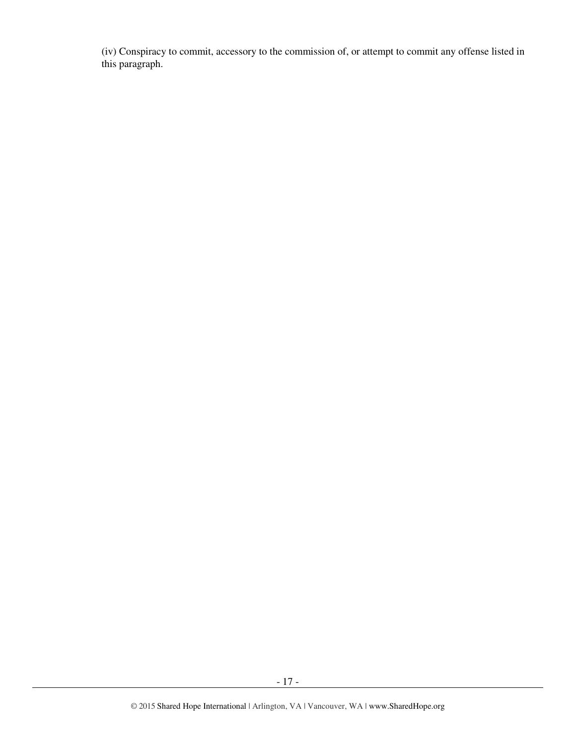(iv) Conspiracy to commit, accessory to the commission of, or attempt to commit any offense listed in this paragraph.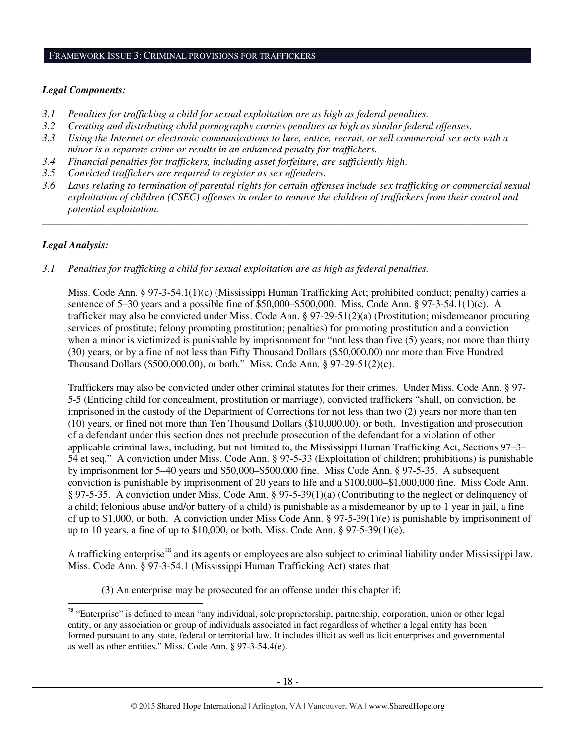#### FRAMEWORK ISSUE 3: CRIMINAL PROVISIONS FOR TRAFFICKERS

#### *Legal Components:*

- *3.1 Penalties for trafficking a child for sexual exploitation are as high as federal penalties.*
- *3.2 Creating and distributing child pornography carries penalties as high as similar federal offenses.*
- *3.3 Using the Internet or electronic communications to lure, entice, recruit, or sell commercial sex acts with a minor is a separate crime or results in an enhanced penalty for traffickers.*
- *3.4 Financial penalties for traffickers, including asset forfeiture, are sufficiently high*.
- *3.5 Convicted traffickers are required to register as sex offenders.*
- *3.6 Laws relating to termination of parental rights for certain offenses include sex trafficking or commercial sexual exploitation of children (CSEC) offenses in order to remove the children of traffickers from their control and potential exploitation.*

*\_\_\_\_\_\_\_\_\_\_\_\_\_\_\_\_\_\_\_\_\_\_\_\_\_\_\_\_\_\_\_\_\_\_\_\_\_\_\_\_\_\_\_\_\_\_\_\_\_\_\_\_\_\_\_\_\_\_\_\_\_\_\_\_\_\_\_\_\_\_\_\_\_\_\_\_\_\_\_\_\_\_\_\_\_\_\_\_\_\_\_\_\_\_* 

#### *Legal Analysis:*

*3.1 Penalties for trafficking a child for sexual exploitation are as high as federal penalties.* 

Miss. Code Ann. § 97-3-54.1(1)(c) (Mississippi Human Trafficking Act; prohibited conduct; penalty) carries a sentence of 5–30 years and a possible fine of \$50,000–\$500,000. Miss. Code Ann. § 97-3-54.1(1)(c). A trafficker may also be convicted under Miss. Code Ann. § 97-29-51(2)(a) (Prostitution; misdemeanor procuring services of prostitute; felony promoting prostitution; penalties) for promoting prostitution and a conviction when a minor is victimized is punishable by imprisonment for "not less than five (5) years, nor more than thirty (30) years, or by a fine of not less than Fifty Thousand Dollars (\$50,000.00) nor more than Five Hundred Thousand Dollars (\$500,000.00), or both." Miss. Code Ann. § 97-29-51(2)(c).

Traffickers may also be convicted under other criminal statutes for their crimes. Under Miss. Code Ann. § 97- 5-5 (Enticing child for concealment, prostitution or marriage), convicted traffickers "shall, on conviction, be imprisoned in the custody of the Department of Corrections for not less than two (2) years nor more than ten (10) years, or fined not more than Ten Thousand Dollars (\$10,000.00), or both. Investigation and prosecution of a defendant under this section does not preclude prosecution of the defendant for a violation of other applicable criminal laws, including, but not limited to, the Mississippi Human Trafficking Act, Sections 97–3– 54 et seq." A conviction under Miss. Code Ann. § 97-5-33 (Exploitation of children; prohibitions) is punishable by imprisonment for 5–40 years and \$50,000–\$500,000 fine. Miss Code Ann. § 97-5-35. A subsequent conviction is punishable by imprisonment of 20 years to life and a \$100,000–\$1,000,000 fine. Miss Code Ann. § 97-5-35. A conviction under Miss. Code Ann. § 97-5-39(1)(a) (Contributing to the neglect or delinquency of a child; felonious abuse and/or battery of a child) is punishable as a misdemeanor by up to 1 year in jail, a fine of up to \$1,000, or both. A conviction under Miss Code Ann. § 97-5-39(1)(e) is punishable by imprisonment of up to 10 years, a fine of up to \$10,000, or both. Miss. Code Ann. § 97-5-39(1)(e).

A trafficking enterprise<sup>28</sup> and its agents or employees are also subject to criminal liability under Mississippi law. Miss. Code Ann. § 97-3-54.1 (Mississippi Human Trafficking Act) states that

(3) An enterprise may be prosecuted for an offense under this chapter if:

 $\overline{a}$ <sup>28</sup> "Enterprise" is defined to mean "any individual, sole proprietorship, partnership, corporation, union or other legal entity, or any association or group of individuals associated in fact regardless of whether a legal entity has been formed pursuant to any state, federal or territorial law. It includes illicit as well as licit enterprises and governmental as well as other entities." Miss. Code Ann. § 97-3-54.4(e).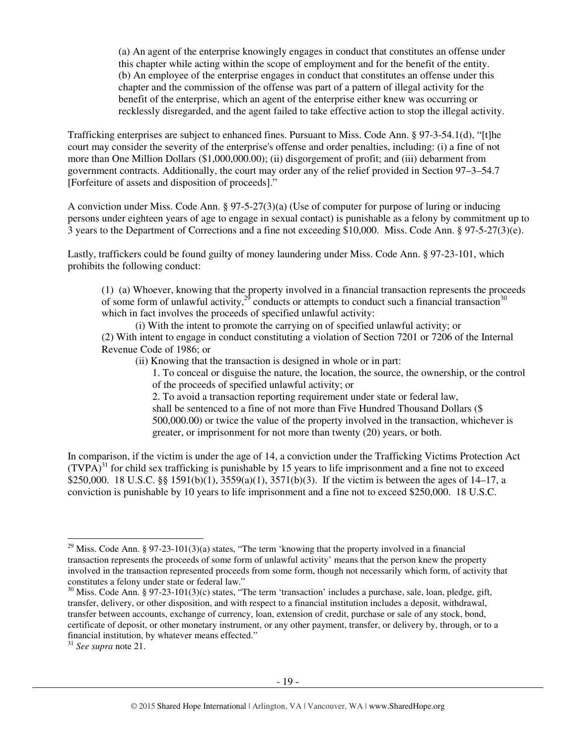(a) An agent of the enterprise knowingly engages in conduct that constitutes an offense under this chapter while acting within the scope of employment and for the benefit of the entity. (b) An employee of the enterprise engages in conduct that constitutes an offense under this chapter and the commission of the offense was part of a pattern of illegal activity for the benefit of the enterprise, which an agent of the enterprise either knew was occurring or recklessly disregarded, and the agent failed to take effective action to stop the illegal activity.

Trafficking enterprises are subject to enhanced fines. Pursuant to Miss. Code Ann. § 97-3-54.1(d), "[t]he court may consider the severity of the enterprise's offense and order penalties, including: (i) a fine of not more than One Million Dollars (\$1,000,000.00); (ii) disgorgement of profit; and (iii) debarment from government contracts. Additionally, the court may order any of the relief provided in Section 97–3–54.7 [Forfeiture of assets and disposition of proceeds]."

A conviction under Miss. Code Ann. § 97-5-27(3)(a) (Use of computer for purpose of luring or inducing persons under eighteen years of age to engage in sexual contact) is punishable as a felony by commitment up to 3 years to the Department of Corrections and a fine not exceeding \$10,000. Miss. Code Ann. § 97-5-27(3)(e).

Lastly, traffickers could be found guilty of money laundering under Miss. Code Ann. § 97-23-101, which prohibits the following conduct:

(1) (a) Whoever, knowing that the property involved in a financial transaction represents the proceeds of some form of unlawful activity, $2^9$  conducts or attempts to conduct such a financial transaction<sup>30</sup> which in fact involves the proceeds of specified unlawful activity:

(i) With the intent to promote the carrying on of specified unlawful activity; or (2) With intent to engage in conduct constituting a violation of Section 7201 or 7206 of the Internal Revenue Code of 1986; or

(ii) Knowing that the transaction is designed in whole or in part:

1. To conceal or disguise the nature, the location, the source, the ownership, or the control of the proceeds of specified unlawful activity; or

2. To avoid a transaction reporting requirement under state or federal law, shall be sentenced to a fine of not more than Five Hundred Thousand Dollars (\$ 500,000.00) or twice the value of the property involved in the transaction, whichever is greater, or imprisonment for not more than twenty (20) years, or both.

In comparison, if the victim is under the age of 14, a conviction under the Trafficking Victims Protection Act  $(TVPA)<sup>31</sup>$  for child sex trafficking is punishable by 15 years to life imprisonment and a fine not to exceed \$250,000. 18 U.S.C. §§ 1591(b)(1), 3559(a)(1), 3571(b)(3). If the victim is between the ages of 14–17, a conviction is punishable by 10 years to life imprisonment and a fine not to exceed \$250,000. 18 U.S.C.

 $\overline{a}$ 

<sup>&</sup>lt;sup>29</sup> Miss. Code Ann. § 97-23-101(3)(a) states, "The term 'knowing that the property involved in a financial transaction represents the proceeds of some form of unlawful activity' means that the person knew the property involved in the transaction represented proceeds from some form, though not necessarily which form, of activity that constitutes a felony under state or federal law."

<sup>&</sup>lt;sup>30</sup> Miss. Code Ann. § 97-23-101(3)(c) states, "The term 'transaction' includes a purchase, sale, loan, pledge, gift, transfer, delivery, or other disposition, and with respect to a financial institution includes a deposit, withdrawal, transfer between accounts, exchange of currency, loan, extension of credit, purchase or sale of any stock, bond, certificate of deposit, or other monetary instrument, or any other payment, transfer, or delivery by, through, or to a financial institution, by whatever means effected."

<sup>31</sup> *See supra* note 21.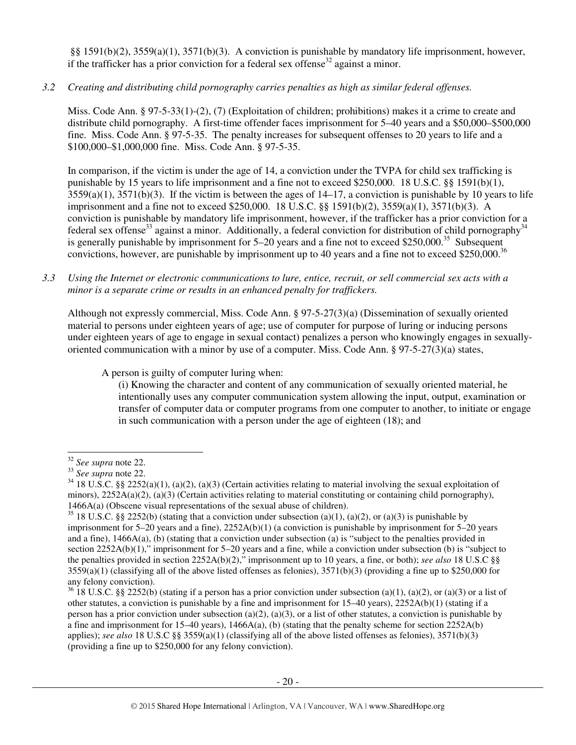§§ 1591(b)(2), 3559(a)(1), 3571(b)(3). A conviction is punishable by mandatory life imprisonment, however, if the trafficker has a prior conviction for a federal sex offense<sup>32</sup> against a minor.

*3.2 Creating and distributing child pornography carries penalties as high as similar federal offenses.*

Miss. Code Ann. § 97-5-33(1)-(2), (7) (Exploitation of children; prohibitions) makes it a crime to create and distribute child pornography. A first-time offender faces imprisonment for 5–40 years and a \$50,000–\$500,000 fine. Miss. Code Ann. § 97-5-35. The penalty increases for subsequent offenses to 20 years to life and a \$100,000–\$1,000,000 fine. Miss. Code Ann. § 97-5-35.

In comparison, if the victim is under the age of 14, a conviction under the TVPA for child sex trafficking is punishable by 15 years to life imprisonment and a fine not to exceed \$250,000. 18 U.S.C. §§ 1591(b)(1),  $3559(a)(1)$ ,  $3571(b)(3)$ . If the victim is between the ages of  $14-17$ , a conviction is punishable by 10 years to life imprisonment and a fine not to exceed \$250,000. 18 U.S.C. §§ 1591(b)(2), 3559(a)(1), 3571(b)(3). A conviction is punishable by mandatory life imprisonment, however, if the trafficker has a prior conviction for a federal sex offense<sup>33</sup> against a minor. Additionally, a federal conviction for distribution of child pornography<sup>34</sup> is generally punishable by imprisonment for 5–20 years and a fine not to exceed \$250,000.<sup>35</sup> Subsequent convictions, however, are punishable by imprisonment up to 40 years and a fine not to exceed \$250,000.<sup>36</sup>

#### *3.3 Using the Internet or electronic communications to lure, entice, recruit, or sell commercial sex acts with a minor is a separate crime or results in an enhanced penalty for traffickers.*

Although not expressly commercial, Miss. Code Ann. § 97-5-27(3)(a) (Dissemination of sexually oriented material to persons under eighteen years of age; use of computer for purpose of luring or inducing persons under eighteen years of age to engage in sexual contact) penalizes a person who knowingly engages in sexuallyoriented communication with a minor by use of a computer. Miss. Code Ann. § 97-5-27(3)(a) states,

A person is guilty of computer luring when:

(i) Knowing the character and content of any communication of sexually oriented material, he intentionally uses any computer communication system allowing the input, output, examination or transfer of computer data or computer programs from one computer to another, to initiate or engage in such communication with a person under the age of eighteen (18); and

 $\overline{a}$ <sup>32</sup> *See supra* note 22.

<sup>33</sup> *See supra* note 22.

 $34$  18 U.S.C. §§ 2252(a)(1), (a)(2), (a)(3) (Certain activities relating to material involving the sexual exploitation of minors),  $2252A(a)(2)$ ,  $(a)(3)$  (Certain activities relating to material constituting or containing child pornography), 1466A(a) (Obscene visual representations of the sexual abuse of children).

<sup>&</sup>lt;sup>35</sup> 18 U.S.C. §§ 2252(b) (stating that a conviction under subsection (a)(1), (a)(2), or (a)(3) is punishable by imprisonment for 5–20 years and a fine), 2252A(b)(1) (a conviction is punishable by imprisonment for 5–20 years and a fine), 1466A(a), (b) (stating that a conviction under subsection (a) is "subject to the penalties provided in section 2252A(b)(1)," imprisonment for 5–20 years and a fine, while a conviction under subsection (b) is "subject to the penalties provided in section 2252A(b)(2)," imprisonment up to 10 years, a fine, or both); *see also* 18 U.S.C §§  $3559(a)(1)$  (classifying all of the above listed offenses as felonies),  $3571(b)(3)$  (providing a fine up to \$250,000 for any felony conviction).

 $36\overline{18}$  U.S.C. §§ 2252(b) (stating if a person has a prior conviction under subsection (a)(1), (a)(2), or (a)(3) or a list of other statutes, a conviction is punishable by a fine and imprisonment for  $15-40$  years),  $2252A(b)(1)$  (stating if a person has a prior conviction under subsection (a)(2), (a)(3), or a list of other statutes, a conviction is punishable by a fine and imprisonment for 15–40 years),  $1466A(a)$ , (b) (stating that the penalty scheme for section 2252A(b) applies); *see also* 18 U.S.C §§ 3559(a)(1) (classifying all of the above listed offenses as felonies), 3571(b)(3) (providing a fine up to \$250,000 for any felony conviction).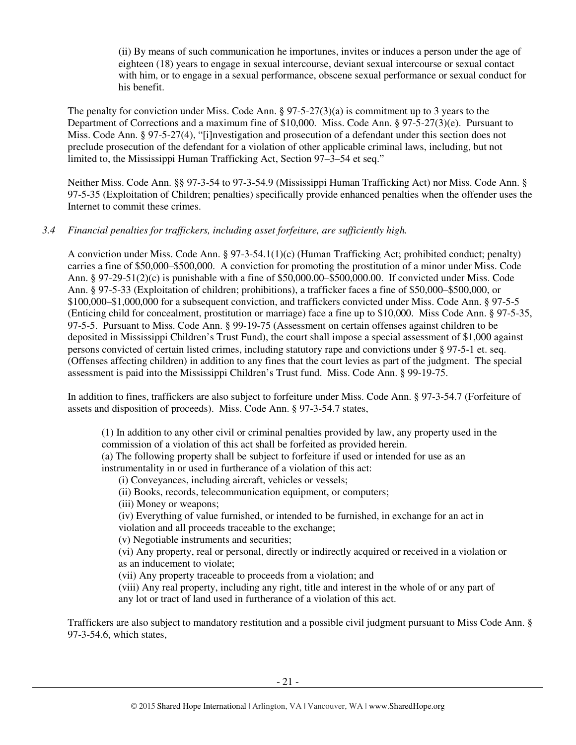(ii) By means of such communication he importunes, invites or induces a person under the age of eighteen (18) years to engage in sexual intercourse, deviant sexual intercourse or sexual contact with him, or to engage in a sexual performance, obscene sexual performance or sexual conduct for his benefit.

The penalty for conviction under Miss. Code Ann. § 97-5-27(3)(a) is commitment up to 3 years to the Department of Corrections and a maximum fine of \$10,000. Miss. Code Ann. § 97-5-27(3)(e). Pursuant to Miss. Code Ann. § 97-5-27(4), "[i]nvestigation and prosecution of a defendant under this section does not preclude prosecution of the defendant for a violation of other applicable criminal laws, including, but not limited to, the Mississippi Human Trafficking Act, Section 97–3–54 et seq."

Neither Miss. Code Ann. §§ 97-3-54 to 97-3-54.9 (Mississippi Human Trafficking Act) nor Miss. Code Ann. § 97-5-35 (Exploitation of Children; penalties) specifically provide enhanced penalties when the offender uses the Internet to commit these crimes.

#### *3.4 Financial penalties for traffickers, including asset forfeiture, are sufficiently high.*

A conviction under Miss. Code Ann. § 97-3-54.1(1)(c) (Human Trafficking Act; prohibited conduct; penalty) carries a fine of \$50,000–\$500,000. A conviction for promoting the prostitution of a minor under Miss. Code Ann. § 97-29-51(2)(c) is punishable with a fine of \$50,000.00–\$500,000.00. If convicted under Miss. Code Ann. § 97-5-33 (Exploitation of children; prohibitions), a trafficker faces a fine of \$50,000–\$500,000, or \$100,000–\$1,000,000 for a subsequent conviction, and traffickers convicted under Miss. Code Ann. § 97-5-5 (Enticing child for concealment, prostitution or marriage) face a fine up to \$10,000. Miss Code Ann. § 97-5-35, 97-5-5. Pursuant to Miss. Code Ann. § 99-19-75 (Assessment on certain offenses against children to be deposited in Mississippi Children's Trust Fund), the court shall impose a special assessment of \$1,000 against persons convicted of certain listed crimes, including statutory rape and convictions under § 97-5-1 et. seq. (Offenses affecting children) in addition to any fines that the court levies as part of the judgment. The special assessment is paid into the Mississippi Children's Trust fund. Miss. Code Ann. § 99-19-75.

In addition to fines, traffickers are also subject to forfeiture under Miss. Code Ann. § 97-3-54.7 (Forfeiture of assets and disposition of proceeds). Miss. Code Ann. § 97-3-54.7 states,

(1) In addition to any other civil or criminal penalties provided by law, any property used in the commission of a violation of this act shall be forfeited as provided herein.

(a) The following property shall be subject to forfeiture if used or intended for use as an instrumentality in or used in furtherance of a violation of this act:

(i) Conveyances, including aircraft, vehicles or vessels;

(ii) Books, records, telecommunication equipment, or computers;

(iii) Money or weapons;

(iv) Everything of value furnished, or intended to be furnished, in exchange for an act in violation and all proceeds traceable to the exchange;

(v) Negotiable instruments and securities;

(vi) Any property, real or personal, directly or indirectly acquired or received in a violation or as an inducement to violate;

(vii) Any property traceable to proceeds from a violation; and

(viii) Any real property, including any right, title and interest in the whole of or any part of any lot or tract of land used in furtherance of a violation of this act.

Traffickers are also subject to mandatory restitution and a possible civil judgment pursuant to Miss Code Ann. § 97-3-54.6, which states,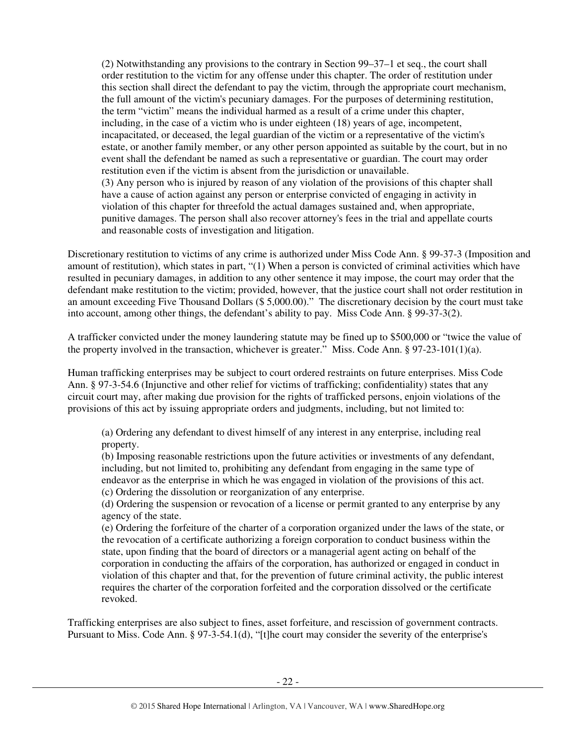(2) Notwithstanding any provisions to the contrary in Section 99–37–1 et seq., the court shall order restitution to the victim for any offense under this chapter. The order of restitution under this section shall direct the defendant to pay the victim, through the appropriate court mechanism, the full amount of the victim's pecuniary damages. For the purposes of determining restitution, the term "victim" means the individual harmed as a result of a crime under this chapter, including, in the case of a victim who is under eighteen (18) years of age, incompetent, incapacitated, or deceased, the legal guardian of the victim or a representative of the victim's estate, or another family member, or any other person appointed as suitable by the court, but in no event shall the defendant be named as such a representative or guardian. The court may order restitution even if the victim is absent from the jurisdiction or unavailable. (3) Any person who is injured by reason of any violation of the provisions of this chapter shall have a cause of action against any person or enterprise convicted of engaging in activity in violation of this chapter for threefold the actual damages sustained and, when appropriate, punitive damages. The person shall also recover attorney's fees in the trial and appellate courts and reasonable costs of investigation and litigation.

Discretionary restitution to victims of any crime is authorized under Miss Code Ann. § 99-37-3 (Imposition and amount of restitution), which states in part, "(1) When a person is convicted of criminal activities which have resulted in pecuniary damages, in addition to any other sentence it may impose, the court may order that the defendant make restitution to the victim; provided, however, that the justice court shall not order restitution in an amount exceeding Five Thousand Dollars (\$ 5,000.00)." The discretionary decision by the court must take into account, among other things, the defendant's ability to pay. Miss Code Ann. § 99-37-3(2).

A trafficker convicted under the money laundering statute may be fined up to \$500,000 or "twice the value of the property involved in the transaction, whichever is greater." Miss. Code Ann.  $\S 97-23-101(1)(a)$ .

Human trafficking enterprises may be subject to court ordered restraints on future enterprises. Miss Code Ann. § 97-3-54.6 (Injunctive and other relief for victims of trafficking; confidentiality) states that any circuit court may, after making due provision for the rights of trafficked persons, enjoin violations of the provisions of this act by issuing appropriate orders and judgments, including, but not limited to:

(a) Ordering any defendant to divest himself of any interest in any enterprise, including real property.

(b) Imposing reasonable restrictions upon the future activities or investments of any defendant, including, but not limited to, prohibiting any defendant from engaging in the same type of endeavor as the enterprise in which he was engaged in violation of the provisions of this act. (c) Ordering the dissolution or reorganization of any enterprise.

(d) Ordering the suspension or revocation of a license or permit granted to any enterprise by any agency of the state.

(e) Ordering the forfeiture of the charter of a corporation organized under the laws of the state, or the revocation of a certificate authorizing a foreign corporation to conduct business within the state, upon finding that the board of directors or a managerial agent acting on behalf of the corporation in conducting the affairs of the corporation, has authorized or engaged in conduct in violation of this chapter and that, for the prevention of future criminal activity, the public interest requires the charter of the corporation forfeited and the corporation dissolved or the certificate revoked.

Trafficking enterprises are also subject to fines, asset forfeiture, and rescission of government contracts. Pursuant to Miss. Code Ann. § 97-3-54.1(d), "[t]he court may consider the severity of the enterprise's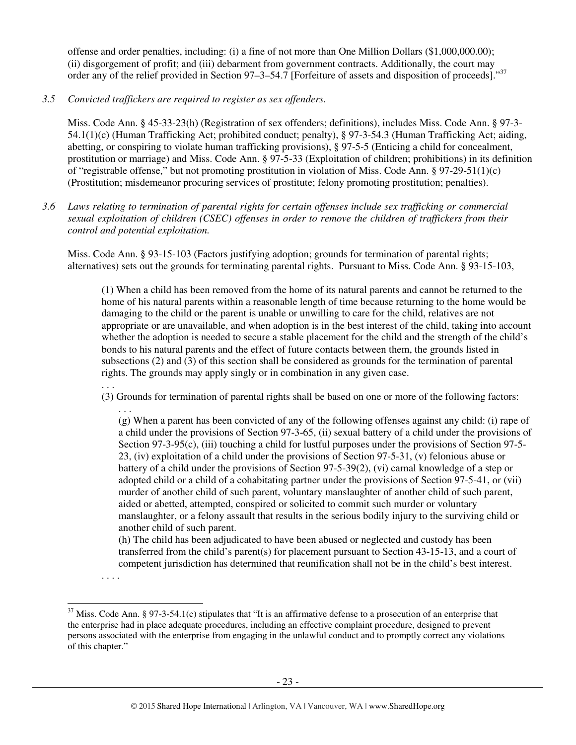offense and order penalties, including: (i) a fine of not more than One Million Dollars (\$1,000,000.00); (ii) disgorgement of profit; and (iii) debarment from government contracts. Additionally, the court may order any of the relief provided in Section 97–3–54.7 [Forfeiture of assets and disposition of proceeds]."<sup>37</sup>

*3.5 Convicted traffickers are required to register as sex offenders.*

Miss. Code Ann. § 45-33-23(h) (Registration of sex offenders; definitions), includes Miss. Code Ann. § 97-3- 54.1(1)(c) (Human Trafficking Act; prohibited conduct; penalty), § 97-3-54.3 (Human Trafficking Act; aiding, abetting, or conspiring to violate human trafficking provisions), § 97-5-5 (Enticing a child for concealment, prostitution or marriage) and Miss. Code Ann. § 97-5-33 (Exploitation of children; prohibitions) in its definition of "registrable offense," but not promoting prostitution in violation of Miss. Code Ann. § 97-29-51(1)(c) (Prostitution; misdemeanor procuring services of prostitute; felony promoting prostitution; penalties).

*3.6 Laws relating to termination of parental rights for certain offenses include sex trafficking or commercial sexual exploitation of children (CSEC) offenses in order to remove the children of traffickers from their control and potential exploitation.* 

Miss. Code Ann. § 93-15-103 (Factors justifying adoption; grounds for termination of parental rights; alternatives) sets out the grounds for terminating parental rights. Pursuant to Miss. Code Ann. § 93-15-103,

(1) When a child has been removed from the home of its natural parents and cannot be returned to the home of his natural parents within a reasonable length of time because returning to the home would be damaging to the child or the parent is unable or unwilling to care for the child, relatives are not appropriate or are unavailable, and when adoption is in the best interest of the child, taking into account whether the adoption is needed to secure a stable placement for the child and the strength of the child's bonds to his natural parents and the effect of future contacts between them, the grounds listed in subsections (2) and (3) of this section shall be considered as grounds for the termination of parental rights. The grounds may apply singly or in combination in any given case.

(3) Grounds for termination of parental rights shall be based on one or more of the following factors:

. . . (g) When a parent has been convicted of any of the following offenses against any child: (i) rape of a child under the provisions of Section 97-3-65, (ii) sexual battery of a child under the provisions of Section 97-3-95(c), (iii) touching a child for lustful purposes under the provisions of Section 97-5- 23, (iv) exploitation of a child under the provisions of Section 97-5-31, (v) felonious abuse or battery of a child under the provisions of Section 97-5-39(2), (vi) carnal knowledge of a step or adopted child or a child of a cohabitating partner under the provisions of Section 97-5-41, or (vii) murder of another child of such parent, voluntary manslaughter of another child of such parent, aided or abetted, attempted, conspired or solicited to commit such murder or voluntary manslaughter, or a felony assault that results in the serious bodily injury to the surviving child or another child of such parent.

(h) The child has been adjudicated to have been abused or neglected and custody has been transferred from the child's parent(s) for placement pursuant to Section 43-15-13, and a court of competent jurisdiction has determined that reunification shall not be in the child's best interest.

. . . .

 $\overline{a}$ 

. . .

 $37$  Miss. Code Ann. § 97-3-54.1(c) stipulates that "It is an affirmative defense to a prosecution of an enterprise that the enterprise had in place adequate procedures, including an effective complaint procedure, designed to prevent persons associated with the enterprise from engaging in the unlawful conduct and to promptly correct any violations of this chapter."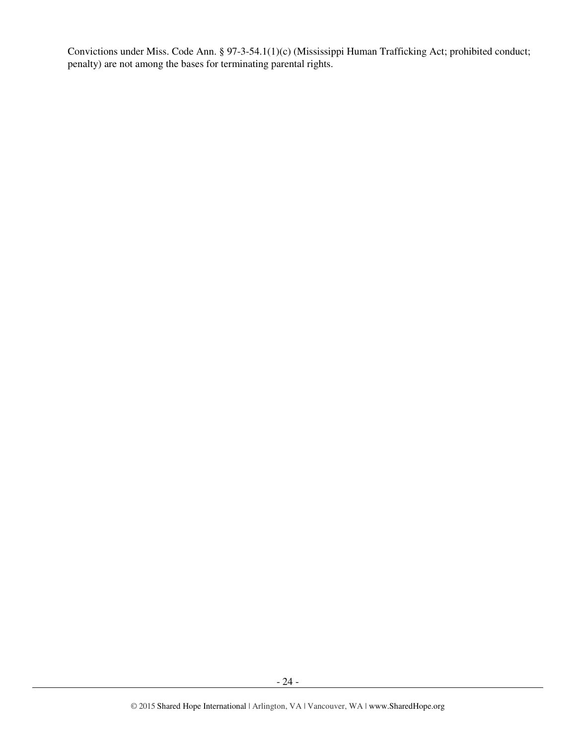Convictions under Miss. Code Ann. § 97-3-54.1(1)(c) (Mississippi Human Trafficking Act; prohibited conduct; penalty) are not among the bases for terminating parental rights.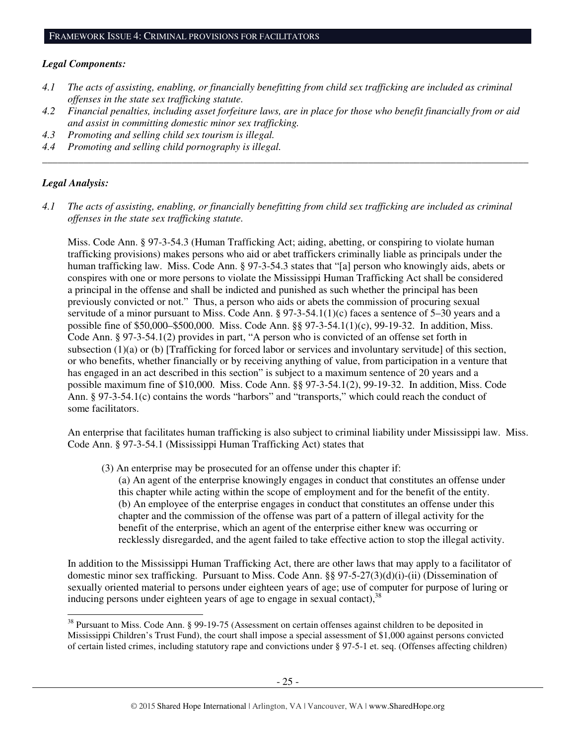#### *Legal Components:*

- *4.1 The acts of assisting, enabling, or financially benefitting from child sex trafficking are included as criminal offenses in the state sex trafficking statute.*
- *4.2 Financial penalties, including asset forfeiture laws, are in place for those who benefit financially from or aid and assist in committing domestic minor sex trafficking.*

*\_\_\_\_\_\_\_\_\_\_\_\_\_\_\_\_\_\_\_\_\_\_\_\_\_\_\_\_\_\_\_\_\_\_\_\_\_\_\_\_\_\_\_\_\_\_\_\_\_\_\_\_\_\_\_\_\_\_\_\_\_\_\_\_\_\_\_\_\_\_\_\_\_\_\_\_\_\_\_\_\_\_\_\_\_\_\_\_\_\_\_\_\_\_* 

- *4.3 Promoting and selling child sex tourism is illegal.*
- *4.4 Promoting and selling child pornography is illegal.*

#### *Legal Analysis:*

 $\overline{a}$ 

*4.1 The acts of assisting, enabling, or financially benefitting from child sex trafficking are included as criminal offenses in the state sex trafficking statute.*

Miss. Code Ann. § 97-3-54.3 (Human Trafficking Act; aiding, abetting, or conspiring to violate human trafficking provisions) makes persons who aid or abet traffickers criminally liable as principals under the human trafficking law. Miss. Code Ann. § 97-3-54.3 states that "[a] person who knowingly aids, abets or conspires with one or more persons to violate the Mississippi Human Trafficking Act shall be considered a principal in the offense and shall be indicted and punished as such whether the principal has been previously convicted or not." Thus, a person who aids or abets the commission of procuring sexual servitude of a minor pursuant to Miss. Code Ann. § 97-3-54.1(1)(c) faces a sentence of 5–30 years and a possible fine of \$50,000–\$500,000. Miss. Code Ann. §§ 97-3-54.1(1)(c), 99-19-32. In addition, Miss. Code Ann. § 97-3-54.1(2) provides in part, "A person who is convicted of an offense set forth in subsection (1)(a) or (b) [Trafficking for forced labor or services and involuntary servitude] of this section, or who benefits, whether financially or by receiving anything of value, from participation in a venture that has engaged in an act described in this section" is subject to a maximum sentence of 20 years and a possible maximum fine of \$10,000. Miss. Code Ann. §§ 97-3-54.1(2), 99-19-32. In addition, Miss. Code Ann. § 97-3-54.1(c) contains the words "harbors" and "transports," which could reach the conduct of some facilitators.

An enterprise that facilitates human trafficking is also subject to criminal liability under Mississippi law. Miss. Code Ann. § 97-3-54.1 (Mississippi Human Trafficking Act) states that

(3) An enterprise may be prosecuted for an offense under this chapter if:

(a) An agent of the enterprise knowingly engages in conduct that constitutes an offense under this chapter while acting within the scope of employment and for the benefit of the entity. (b) An employee of the enterprise engages in conduct that constitutes an offense under this chapter and the commission of the offense was part of a pattern of illegal activity for the benefit of the enterprise, which an agent of the enterprise either knew was occurring or recklessly disregarded, and the agent failed to take effective action to stop the illegal activity.

In addition to the Mississippi Human Trafficking Act, there are other laws that may apply to a facilitator of domestic minor sex trafficking. Pursuant to Miss. Code Ann. §§ 97-5-27(3)(d)(i)-(ii) (Dissemination of sexually oriented material to persons under eighteen years of age; use of computer for purpose of luring or inducing persons under eighteen years of age to engage in sexual contact), $38$ 

<sup>&</sup>lt;sup>38</sup> Pursuant to Miss. Code Ann. § 99-19-75 (Assessment on certain offenses against children to be deposited in Mississippi Children's Trust Fund), the court shall impose a special assessment of \$1,000 against persons convicted of certain listed crimes, including statutory rape and convictions under § 97-5-1 et. seq. (Offenses affecting children)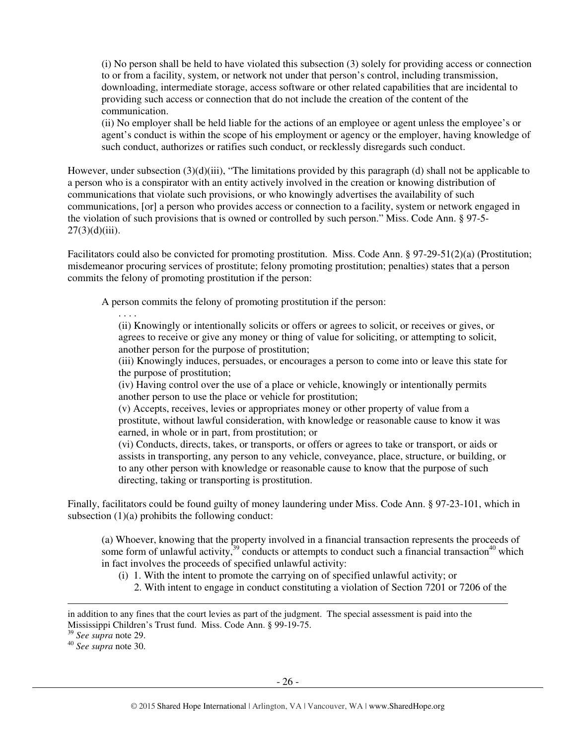(i) No person shall be held to have violated this subsection (3) solely for providing access or connection to or from a facility, system, or network not under that person's control, including transmission, downloading, intermediate storage, access software or other related capabilities that are incidental to providing such access or connection that do not include the creation of the content of the communication.

(ii) No employer shall be held liable for the actions of an employee or agent unless the employee's or agent's conduct is within the scope of his employment or agency or the employer, having knowledge of such conduct, authorizes or ratifies such conduct, or recklessly disregards such conduct.

However, under subsection (3)(d)(iii), "The limitations provided by this paragraph (d) shall not be applicable to a person who is a conspirator with an entity actively involved in the creation or knowing distribution of communications that violate such provisions, or who knowingly advertises the availability of such communications, [or] a person who provides access or connection to a facility, system or network engaged in the violation of such provisions that is owned or controlled by such person." Miss. Code Ann. § 97-5-  $27(3)(d)(iii)$ .

Facilitators could also be convicted for promoting prostitution. Miss. Code Ann. § 97-29-51(2)(a) (Prostitution; misdemeanor procuring services of prostitute; felony promoting prostitution; penalties) states that a person commits the felony of promoting prostitution if the person:

A person commits the felony of promoting prostitution if the person:

. . . . (ii) Knowingly or intentionally solicits or offers or agrees to solicit, or receives or gives, or agrees to receive or give any money or thing of value for soliciting, or attempting to solicit, another person for the purpose of prostitution;

(iii) Knowingly induces, persuades, or encourages a person to come into or leave this state for the purpose of prostitution;

(iv) Having control over the use of a place or vehicle, knowingly or intentionally permits another person to use the place or vehicle for prostitution;

(v) Accepts, receives, levies or appropriates money or other property of value from a prostitute, without lawful consideration, with knowledge or reasonable cause to know it was earned, in whole or in part, from prostitution; or

(vi) Conducts, directs, takes, or transports, or offers or agrees to take or transport, or aids or assists in transporting, any person to any vehicle, conveyance, place, structure, or building, or to any other person with knowledge or reasonable cause to know that the purpose of such directing, taking or transporting is prostitution.

Finally, facilitators could be found guilty of money laundering under Miss. Code Ann. § 97-23-101, which in subsection  $(1)(a)$  prohibits the following conduct:

(a) Whoever, knowing that the property involved in a financial transaction represents the proceeds of some form of unlawful activity,<sup>39</sup> conducts or attempts to conduct such a financial transaction<sup>40</sup> which in fact involves the proceeds of specified unlawful activity:

(i) 1. With the intent to promote the carrying on of specified unlawful activity; or

2. With intent to engage in conduct constituting a violation of Section 7201 or 7206 of the

<sup>39</sup> *See supra* note 29.

 $\overline{a}$ 

<sup>40</sup> *See supra* note 30.

in addition to any fines that the court levies as part of the judgment. The special assessment is paid into the Mississippi Children's Trust fund. Miss. Code Ann. § 99-19-75.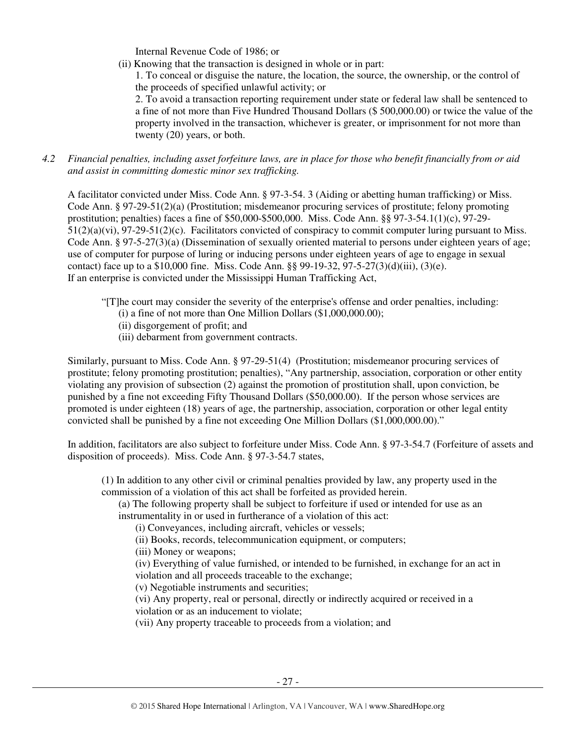Internal Revenue Code of 1986; or

(ii) Knowing that the transaction is designed in whole or in part:

1. To conceal or disguise the nature, the location, the source, the ownership, or the control of the proceeds of specified unlawful activity; or

2. To avoid a transaction reporting requirement under state or federal law shall be sentenced to a fine of not more than Five Hundred Thousand Dollars (\$ 500,000.00) or twice the value of the property involved in the transaction, whichever is greater, or imprisonment for not more than twenty (20) years, or both.

*4.2 Financial penalties, including asset forfeiture laws, are in place for those who benefit financially from or aid and assist in committing domestic minor sex trafficking.* 

A facilitator convicted under Miss. Code Ann. § 97-3-54. 3 (Aiding or abetting human trafficking) or Miss. Code Ann. § 97-29-51(2)(a) (Prostitution; misdemeanor procuring services of prostitute; felony promoting prostitution; penalties) faces a fine of \$50,000-\$500,000. Miss. Code Ann. §§ 97-3-54.1(1)(c), 97-29- 51(2)(a)(vi), 97-29-51(2)(c). Facilitators convicted of conspiracy to commit computer luring pursuant to Miss. Code Ann. § 97-5-27(3)(a) (Dissemination of sexually oriented material to persons under eighteen years of age; use of computer for purpose of luring or inducing persons under eighteen years of age to engage in sexual contact) face up to a \$10,000 fine. Miss. Code Ann.  $\S$ § 99-19-32, 97-5-27(3)(d)(iii), (3)(e). If an enterprise is convicted under the Mississippi Human Trafficking Act,

- "[T]he court may consider the severity of the enterprise's offense and order penalties, including:
	- (i) a fine of not more than One Million Dollars (\$1,000,000.00);
	- (ii) disgorgement of profit; and
	- (iii) debarment from government contracts.

Similarly, pursuant to Miss. Code Ann. § 97-29-51(4) (Prostitution; misdemeanor procuring services of prostitute; felony promoting prostitution; penalties), "Any partnership, association, corporation or other entity violating any provision of subsection (2) against the promotion of prostitution shall, upon conviction, be punished by a fine not exceeding Fifty Thousand Dollars (\$50,000.00). If the person whose services are promoted is under eighteen (18) years of age, the partnership, association, corporation or other legal entity convicted shall be punished by a fine not exceeding One Million Dollars (\$1,000,000.00)."

In addition, facilitators are also subject to forfeiture under Miss. Code Ann. § 97-3-54.7 (Forfeiture of assets and disposition of proceeds). Miss. Code Ann. § 97-3-54.7 states,

(1) In addition to any other civil or criminal penalties provided by law, any property used in the commission of a violation of this act shall be forfeited as provided herein.

(a) The following property shall be subject to forfeiture if used or intended for use as an instrumentality in or used in furtherance of a violation of this act:

(i) Conveyances, including aircraft, vehicles or vessels;

(ii) Books, records, telecommunication equipment, or computers;

(iii) Money or weapons;

(iv) Everything of value furnished, or intended to be furnished, in exchange for an act in violation and all proceeds traceable to the exchange;

(v) Negotiable instruments and securities;

(vi) Any property, real or personal, directly or indirectly acquired or received in a violation or as an inducement to violate;

(vii) Any property traceable to proceeds from a violation; and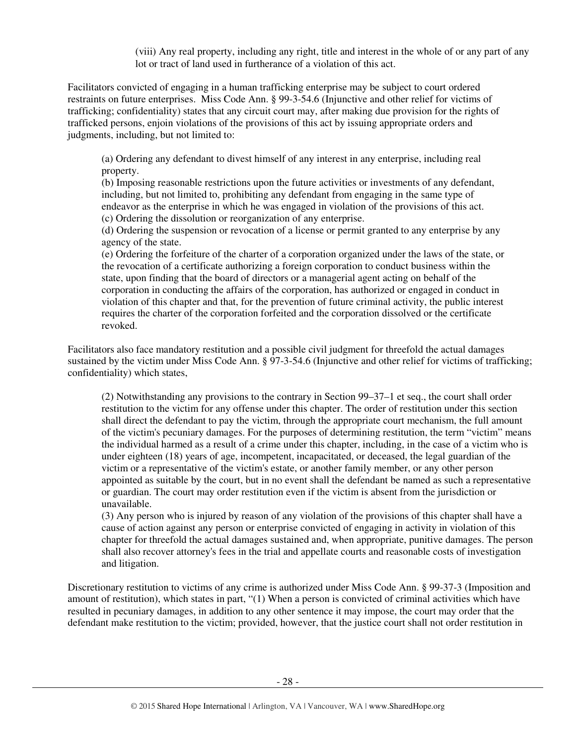(viii) Any real property, including any right, title and interest in the whole of or any part of any lot or tract of land used in furtherance of a violation of this act.

Facilitators convicted of engaging in a human trafficking enterprise may be subject to court ordered restraints on future enterprises. Miss Code Ann. § 99-3-54.6 (Injunctive and other relief for victims of trafficking; confidentiality) states that any circuit court may, after making due provision for the rights of trafficked persons, enjoin violations of the provisions of this act by issuing appropriate orders and judgments, including, but not limited to:

(a) Ordering any defendant to divest himself of any interest in any enterprise, including real property.

(b) Imposing reasonable restrictions upon the future activities or investments of any defendant, including, but not limited to, prohibiting any defendant from engaging in the same type of endeavor as the enterprise in which he was engaged in violation of the provisions of this act. (c) Ordering the dissolution or reorganization of any enterprise.

(d) Ordering the suspension or revocation of a license or permit granted to any enterprise by any agency of the state.

(e) Ordering the forfeiture of the charter of a corporation organized under the laws of the state, or the revocation of a certificate authorizing a foreign corporation to conduct business within the state, upon finding that the board of directors or a managerial agent acting on behalf of the corporation in conducting the affairs of the corporation, has authorized or engaged in conduct in violation of this chapter and that, for the prevention of future criminal activity, the public interest requires the charter of the corporation forfeited and the corporation dissolved or the certificate revoked.

Facilitators also face mandatory restitution and a possible civil judgment for threefold the actual damages sustained by the victim under Miss Code Ann. § 97-3-54.6 (Injunctive and other relief for victims of trafficking; confidentiality) which states,

(2) Notwithstanding any provisions to the contrary in Section 99–37–1 et seq., the court shall order restitution to the victim for any offense under this chapter. The order of restitution under this section shall direct the defendant to pay the victim, through the appropriate court mechanism, the full amount of the victim's pecuniary damages. For the purposes of determining restitution, the term "victim" means the individual harmed as a result of a crime under this chapter, including, in the case of a victim who is under eighteen (18) years of age, incompetent, incapacitated, or deceased, the legal guardian of the victim or a representative of the victim's estate, or another family member, or any other person appointed as suitable by the court, but in no event shall the defendant be named as such a representative or guardian. The court may order restitution even if the victim is absent from the jurisdiction or unavailable.

(3) Any person who is injured by reason of any violation of the provisions of this chapter shall have a cause of action against any person or enterprise convicted of engaging in activity in violation of this chapter for threefold the actual damages sustained and, when appropriate, punitive damages. The person shall also recover attorney's fees in the trial and appellate courts and reasonable costs of investigation and litigation.

Discretionary restitution to victims of any crime is authorized under Miss Code Ann. § 99-37-3 (Imposition and amount of restitution), which states in part, "(1) When a person is convicted of criminal activities which have resulted in pecuniary damages, in addition to any other sentence it may impose, the court may order that the defendant make restitution to the victim; provided, however, that the justice court shall not order restitution in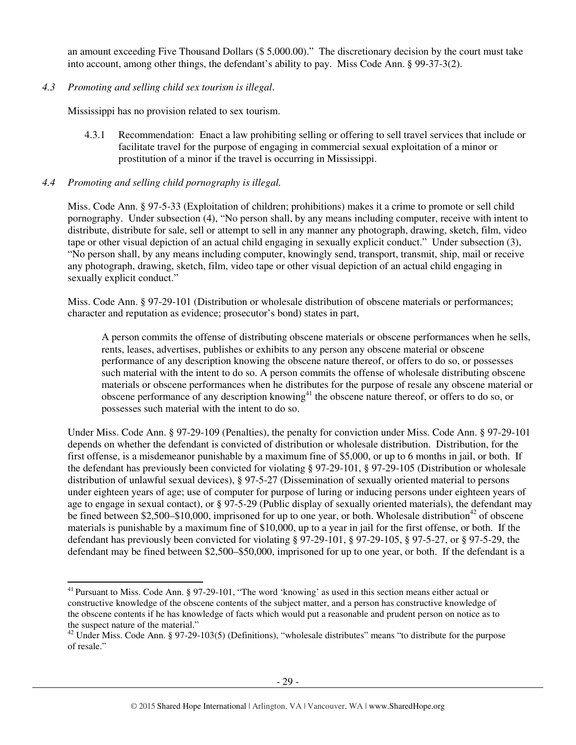an amount exceeding Five Thousand Dollars (\$ 5,000.00)." The discretionary decision by the court must take into account, among other things, the defendant's ability to pay. Miss Code Ann. § 99-37-3(2).

*4.3 Promoting and selling child sex tourism is illegal*.

Mississippi has no provision related to sex tourism.

4.3.1 Recommendation: Enact a law prohibiting selling or offering to sell travel services that include or facilitate travel for the purpose of engaging in commercial sexual exploitation of a minor or prostitution of a minor if the travel is occurring in Mississippi.

#### *4.4 Promoting and selling child pornography is illegal.*

Miss. Code Ann. § 97-5-33 (Exploitation of children; prohibitions) makes it a crime to promote or sell child pornography. Under subsection (4), "No person shall, by any means including computer, receive with intent to distribute, distribute for sale, sell or attempt to sell in any manner any photograph, drawing, sketch, film, video tape or other visual depiction of an actual child engaging in sexually explicit conduct." Under subsection (3), "No person shall, by any means including computer, knowingly send, transport, transmit, ship, mail or receive any photograph, drawing, sketch, film, video tape or other visual depiction of an actual child engaging in sexually explicit conduct."

Miss. Code Ann. § 97-29-101 (Distribution or wholesale distribution of obscene materials or performances; character and reputation as evidence; prosecutor's bond) states in part,

A person commits the offense of distributing obscene materials or obscene performances when he sells, rents, leases, advertises, publishes or exhibits to any person any obscene material or obscene performance of any description knowing the obscene nature thereof, or offers to do so, or possesses such material with the intent to do so. A person commits the offense of wholesale distributing obscene materials or obscene performances when he distributes for the purpose of resale any obscene material or obscene performance of any description knowing<sup>41</sup> the obscene nature thereof, or offers to do so, or possesses such material with the intent to do so.

Under Miss. Code Ann. § 97-29-109 (Penalties), the penalty for conviction under Miss. Code Ann. § 97-29-101 depends on whether the defendant is convicted of distribution or wholesale distribution. Distribution, for the first offense, is a misdemeanor punishable by a maximum fine of \$5,000, or up to 6 months in jail, or both. If the defendant has previously been convicted for violating § 97-29-101, § 97-29-105 (Distribution or wholesale distribution of unlawful sexual devices), § 97-5-27 (Dissemination of sexually oriented material to persons under eighteen years of age; use of computer for purpose of luring or inducing persons under eighteen years of age to engage in sexual contact), or § 97-5-29 (Public display of sexually oriented materials), the defendant may be fined between \$2,500–\$10,000, imprisoned for up to one year, or both. Wholesale distribution<sup>42</sup> of obscene materials is punishable by a maximum fine of \$10,000, up to a year in jail for the first offense, or both. If the defendant has previously been convicted for violating § 97-29-101, § 97-29-105, § 97-5-27, or § 97-5-29, the defendant may be fined between \$2,500–\$50,000, imprisoned for up to one year, or both. If the defendant is a

 $\overline{a}$ <sup>41</sup> Pursuant to Miss. Code Ann. § 97-29-101, "The word 'knowing' as used in this section means either actual or constructive knowledge of the obscene contents of the subject matter, and a person has constructive knowledge of the obscene contents if he has knowledge of facts which would put a reasonable and prudent person on notice as to the suspect nature of the material."

<sup>&</sup>lt;sup>42</sup> Under Miss. Code Ann. § 97-29-103(5) (Definitions), "wholesale distributes" means "to distribute for the purpose of resale."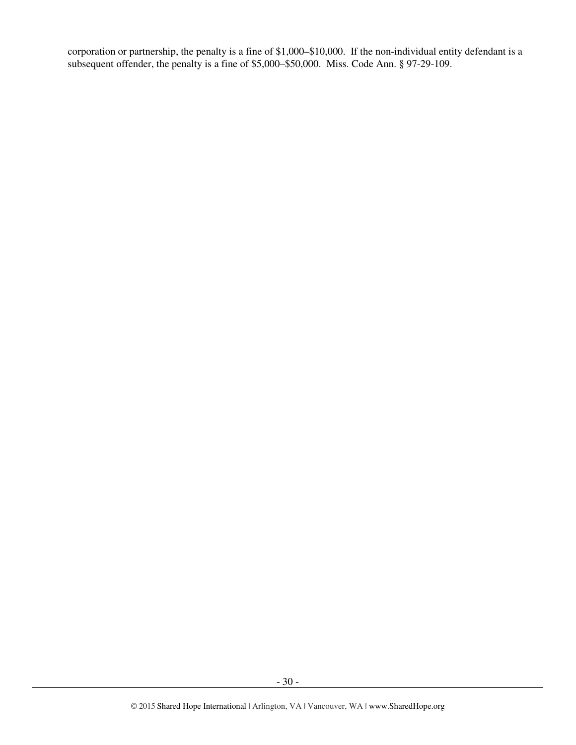corporation or partnership, the penalty is a fine of \$1,000–\$10,000. If the non-individual entity defendant is a subsequent offender, the penalty is a fine of \$5,000–\$50,000. Miss. Code Ann. § 97-29-109.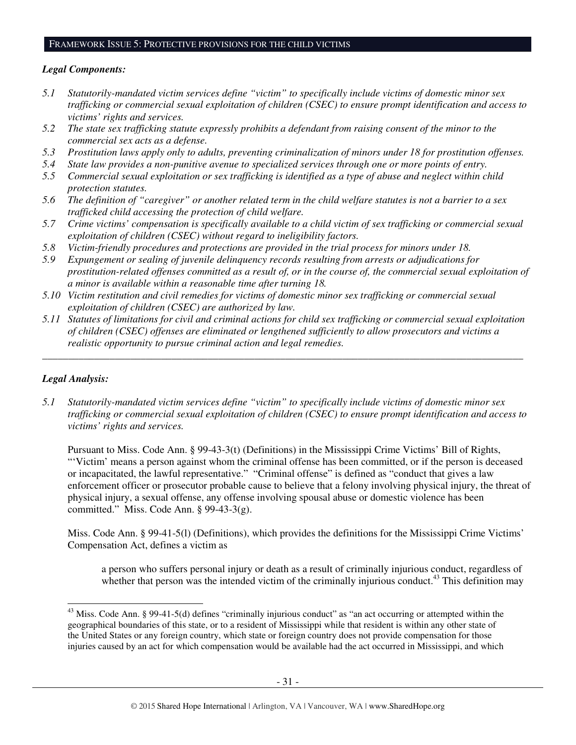#### *Legal Components:*

- *5.1 Statutorily-mandated victim services define "victim" to specifically include victims of domestic minor sex trafficking or commercial sexual exploitation of children (CSEC) to ensure prompt identification and access to victims' rights and services.*
- *5.2 The state sex trafficking statute expressly prohibits a defendant from raising consent of the minor to the commercial sex acts as a defense.*
- *5.3 Prostitution laws apply only to adults, preventing criminalization of minors under 18 for prostitution offenses.*
- *5.4 State law provides a non-punitive avenue to specialized services through one or more points of entry.*
- *5.5 Commercial sexual exploitation or sex trafficking is identified as a type of abuse and neglect within child protection statutes.*
- *5.6 The definition of "caregiver" or another related term in the child welfare statutes is not a barrier to a sex trafficked child accessing the protection of child welfare.*
- *5.7 Crime victims' compensation is specifically available to a child victim of sex trafficking or commercial sexual exploitation of children (CSEC) without regard to ineligibility factors.*
- *5.8 Victim-friendly procedures and protections are provided in the trial process for minors under 18.*
- *5.9 Expungement or sealing of juvenile delinquency records resulting from arrests or adjudications for prostitution-related offenses committed as a result of, or in the course of, the commercial sexual exploitation of a minor is available within a reasonable time after turning 18.*
- *5.10 Victim restitution and civil remedies for victims of domestic minor sex trafficking or commercial sexual exploitation of children (CSEC) are authorized by law.*
- *5.11 Statutes of limitations for civil and criminal actions for child sex trafficking or commercial sexual exploitation of children (CSEC) offenses are eliminated or lengthened sufficiently to allow prosecutors and victims a realistic opportunity to pursue criminal action and legal remedies.*

*\_\_\_\_\_\_\_\_\_\_\_\_\_\_\_\_\_\_\_\_\_\_\_\_\_\_\_\_\_\_\_\_\_\_\_\_\_\_\_\_\_\_\_\_\_\_\_\_\_\_\_\_\_\_\_\_\_\_\_\_\_\_\_\_\_\_\_\_\_\_\_\_\_\_\_\_\_\_\_\_\_\_\_\_\_\_\_\_\_\_\_\_\_* 

## *Legal Analysis:*

 $\overline{a}$ 

*5.1 Statutorily-mandated victim services define "victim" to specifically include victims of domestic minor sex trafficking or commercial sexual exploitation of children (CSEC) to ensure prompt identification and access to victims' rights and services.* 

Pursuant to Miss. Code Ann. § 99-43-3(t) (Definitions) in the Mississippi Crime Victims' Bill of Rights, "'Victim' means a person against whom the criminal offense has been committed, or if the person is deceased or incapacitated, the lawful representative." "Criminal offense" is defined as "conduct that gives a law enforcement officer or prosecutor probable cause to believe that a felony involving physical injury, the threat of physical injury, a sexual offense, any offense involving spousal abuse or domestic violence has been committed." Miss. Code Ann.  $\S$  99-43-3(g).

Miss. Code Ann. § 99-41-5(l) (Definitions), which provides the definitions for the Mississippi Crime Victims' Compensation Act, defines a victim as

a person who suffers personal injury or death as a result of criminally injurious conduct, regardless of whether that person was the intended victim of the criminally injurious conduct.<sup>43</sup> This definition may

 $43$  Miss. Code Ann. § 99-41-5(d) defines "criminally injurious conduct" as "an act occurring or attempted within the geographical boundaries of this state, or to a resident of Mississippi while that resident is within any other state of the United States or any foreign country, which state or foreign country does not provide compensation for those injuries caused by an act for which compensation would be available had the act occurred in Mississippi, and which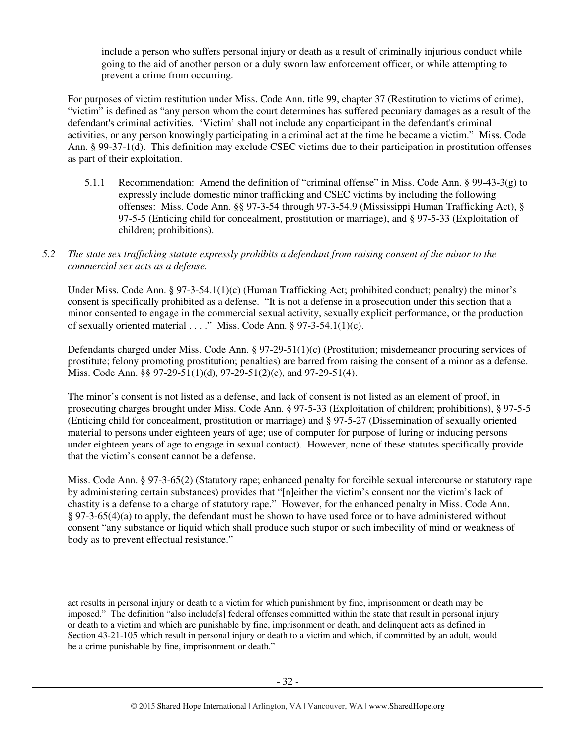include a person who suffers personal injury or death as a result of criminally injurious conduct while going to the aid of another person or a duly sworn law enforcement officer, or while attempting to prevent a crime from occurring.

For purposes of victim restitution under Miss. Code Ann. title 99, chapter 37 (Restitution to victims of crime), "victim" is defined as "any person whom the court determines has suffered pecuniary damages as a result of the defendant's criminal activities. 'Victim' shall not include any coparticipant in the defendant's criminal activities, or any person knowingly participating in a criminal act at the time he became a victim." Miss. Code Ann. § 99-37-1(d). This definition may exclude CSEC victims due to their participation in prostitution offenses as part of their exploitation.

- 5.1.1 Recommendation: Amend the definition of "criminal offense" in Miss. Code Ann. § 99-43-3(g) to expressly include domestic minor trafficking and CSEC victims by including the following offenses: Miss. Code Ann. §§ 97-3-54 through 97-3-54.9 (Mississippi Human Trafficking Act), § 97-5-5 (Enticing child for concealment, prostitution or marriage), and § 97-5-33 (Exploitation of children; prohibitions).
- *5.2 The state sex trafficking statute expressly prohibits a defendant from raising consent of the minor to the commercial sex acts as a defense.*

Under Miss. Code Ann. § 97-3-54.1(1)(c) (Human Trafficking Act; prohibited conduct; penalty) the minor's consent is specifically prohibited as a defense. "It is not a defense in a prosecution under this section that a minor consented to engage in the commercial sexual activity, sexually explicit performance, or the production of sexually oriented material  $\dots$ ." Miss. Code Ann. § 97-3-54.1(1)(c).

Defendants charged under Miss. Code Ann. § 97-29-51(1)(c) (Prostitution; misdemeanor procuring services of prostitute; felony promoting prostitution; penalties) are barred from raising the consent of a minor as a defense. Miss. Code Ann. §§ 97-29-51(1)(d), 97-29-51(2)(c), and 97-29-51(4).

The minor's consent is not listed as a defense, and lack of consent is not listed as an element of proof, in prosecuting charges brought under Miss. Code Ann. § 97-5-33 (Exploitation of children; prohibitions), § 97-5-5 (Enticing child for concealment, prostitution or marriage) and § 97-5-27 (Dissemination of sexually oriented material to persons under eighteen years of age; use of computer for purpose of luring or inducing persons under eighteen years of age to engage in sexual contact). However, none of these statutes specifically provide that the victim's consent cannot be a defense.

Miss. Code Ann. § 97-3-65(2) (Statutory rape; enhanced penalty for forcible sexual intercourse or statutory rape by administering certain substances) provides that "[n]either the victim's consent nor the victim's lack of chastity is a defense to a charge of statutory rape." However, for the enhanced penalty in Miss. Code Ann. § 97-3-65(4)(a) to apply, the defendant must be shown to have used force or to have administered without consent "any substance or liquid which shall produce such stupor or such imbecility of mind or weakness of body as to prevent effectual resistance."

 $\overline{a}$ act results in personal injury or death to a victim for which punishment by fine, imprisonment or death may be imposed." The definition "also include[s] federal offenses committed within the state that result in personal injury or death to a victim and which are punishable by fine, imprisonment or death, and delinquent acts as defined in Section 43-21-105 which result in personal injury or death to a victim and which, if committed by an adult, would be a crime punishable by fine, imprisonment or death."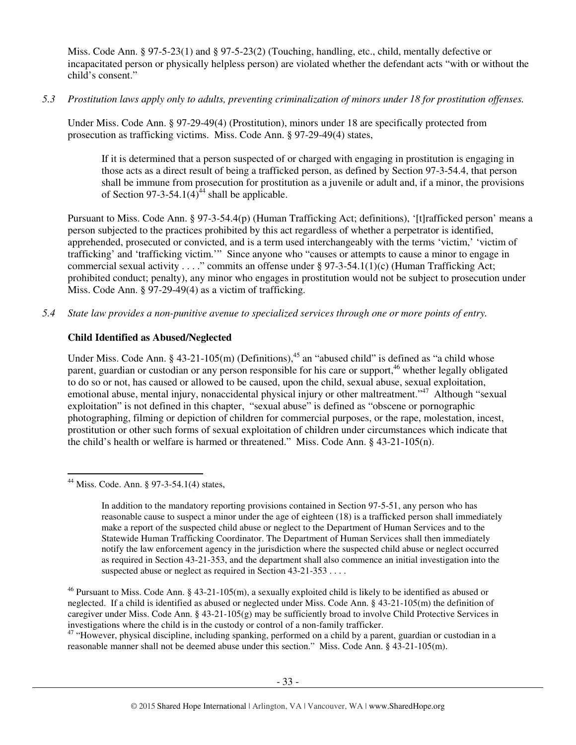Miss. Code Ann. § 97-5-23(1) and § 97-5-23(2) (Touching, handling, etc., child, mentally defective or incapacitated person or physically helpless person) are violated whether the defendant acts "with or without the child's consent."

#### *5.3 Prostitution laws apply only to adults, preventing criminalization of minors under 18 for prostitution offenses.*

Under Miss. Code Ann. § 97-29-49(4) (Prostitution), minors under 18 are specifically protected from prosecution as trafficking victims. Miss. Code Ann. § 97-29-49(4) states,

If it is determined that a person suspected of or charged with engaging in prostitution is engaging in those acts as a direct result of being a trafficked person, as defined by Section 97-3-54.4, that person shall be immune from prosecution for prostitution as a juvenile or adult and, if a minor, the provisions of Section 97-3-54.1(4)<sup>44</sup> shall be applicable.

Pursuant to Miss. Code Ann. § 97-3-54.4(p) (Human Trafficking Act; definitions), '[t]rafficked person' means a person subjected to the practices prohibited by this act regardless of whether a perpetrator is identified, apprehended, prosecuted or convicted, and is a term used interchangeably with the terms 'victim,' 'victim of trafficking' and 'trafficking victim.'" Since anyone who "causes or attempts to cause a minor to engage in commercial sexual activity . . . ." commits an offense under § 97-3-54.1(1)(c) (Human Trafficking Act; prohibited conduct; penalty), any minor who engages in prostitution would not be subject to prosecution under Miss. Code Ann. § 97-29-49(4) as a victim of trafficking.

*5.4 State law provides a non-punitive avenue to specialized services through one or more points of entry.* 

#### **Child Identified as Abused/Neglected**

Under Miss. Code Ann. § 43-21-105(m) (Definitions),<sup>45</sup> an "abused child" is defined as "a child whose parent, guardian or custodian or any person responsible for his care or support,<sup>46</sup> whether legally obligated to do so or not, has caused or allowed to be caused, upon the child, sexual abuse, sexual exploitation, emotional abuse, mental injury, nonaccidental physical injury or other maltreatment."<sup>47</sup> Although "sexual exploitation" is not defined in this chapter, "sexual abuse" is defined as "obscene or pornographic photographing, filming or depiction of children for commercial purposes, or the rape, molestation, incest, prostitution or other such forms of sexual exploitation of children under circumstances which indicate that the child's health or welfare is harmed or threatened." Miss. Code Ann. § 43-21-105(n).

 $47$  "However, physical discipline, including spanking, performed on a child by a parent, guardian or custodian in a reasonable manner shall not be deemed abuse under this section." Miss. Code Ann. § 43-21-105(m).

 $\overline{a}$ <sup>44</sup> Miss. Code. Ann. § 97-3-54.1(4) states,

In addition to the mandatory reporting provisions contained in Section 97-5-51, any person who has reasonable cause to suspect a minor under the age of eighteen (18) is a trafficked person shall immediately make a report of the suspected child abuse or neglect to the Department of Human Services and to the Statewide Human Trafficking Coordinator. The Department of Human Services shall then immediately notify the law enforcement agency in the jurisdiction where the suspected child abuse or neglect occurred as required in Section 43-21-353, and the department shall also commence an initial investigation into the suspected abuse or neglect as required in Section 43-21-353 . . . .

<sup>&</sup>lt;sup>46</sup> Pursuant to Miss. Code Ann. § 43-21-105(m), a sexually exploited child is likely to be identified as abused or neglected. If a child is identified as abused or neglected under Miss. Code Ann. § 43-21-105(m) the definition of caregiver under Miss. Code Ann. § 43-21-105(g) may be sufficiently broad to involve Child Protective Services in investigations where the child is in the custody or control of a non-family trafficker.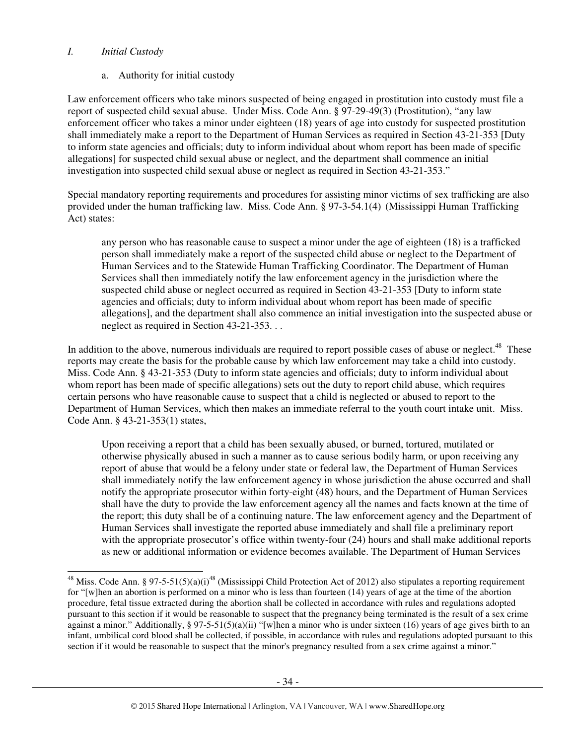#### *I. Initial Custody*

a. Authority for initial custody

Law enforcement officers who take minors suspected of being engaged in prostitution into custody must file a report of suspected child sexual abuse. Under Miss. Code Ann. § 97-29-49(3) (Prostitution), "any law enforcement officer who takes a minor under eighteen (18) years of age into custody for suspected prostitution shall immediately make a report to the Department of Human Services as required in Section 43-21-353 [Duty to inform state agencies and officials; duty to inform individual about whom report has been made of specific allegations] for suspected child sexual abuse or neglect, and the department shall commence an initial investigation into suspected child sexual abuse or neglect as required in Section 43-21-353."

Special mandatory reporting requirements and procedures for assisting minor victims of sex trafficking are also provided under the human trafficking law. Miss. Code Ann. § 97-3-54.1(4) (Mississippi Human Trafficking Act) states:

any person who has reasonable cause to suspect a minor under the age of eighteen (18) is a trafficked person shall immediately make a report of the suspected child abuse or neglect to the Department of Human Services and to the Statewide Human Trafficking Coordinator. The Department of Human Services shall then immediately notify the law enforcement agency in the jurisdiction where the suspected child abuse or neglect occurred as required in Section 43-21-353 [Duty to inform state agencies and officials; duty to inform individual about whom report has been made of specific allegations], and the department shall also commence an initial investigation into the suspected abuse or neglect as required in Section 43-21-353. . .

In addition to the above, numerous individuals are required to report possible cases of abuse or neglect.<sup>48</sup> These reports may create the basis for the probable cause by which law enforcement may take a child into custody. Miss. Code Ann. § 43-21-353 (Duty to inform state agencies and officials; duty to inform individual about whom report has been made of specific allegations) sets out the duty to report child abuse, which requires certain persons who have reasonable cause to suspect that a child is neglected or abused to report to the Department of Human Services, which then makes an immediate referral to the youth court intake unit. Miss. Code Ann. § 43-21-353(1) states,

Upon receiving a report that a child has been sexually abused, or burned, tortured, mutilated or otherwise physically abused in such a manner as to cause serious bodily harm, or upon receiving any report of abuse that would be a felony under state or federal law, the Department of Human Services shall immediately notify the law enforcement agency in whose jurisdiction the abuse occurred and shall notify the appropriate prosecutor within forty-eight (48) hours, and the Department of Human Services shall have the duty to provide the law enforcement agency all the names and facts known at the time of the report; this duty shall be of a continuing nature. The law enforcement agency and the Department of Human Services shall investigate the reported abuse immediately and shall file a preliminary report with the appropriate prosecutor's office within twenty-four (24) hours and shall make additional reports as new or additional information or evidence becomes available. The Department of Human Services

 $\ddot{\phantom{a}}$ <sup>48</sup> Miss. Code Ann. § 97-5-51(5)(a)(i)<sup>48</sup> (Mississippi Child Protection Act of 2012) also stipulates a reporting requirement for "[w]hen an abortion is performed on a minor who is less than fourteen (14) years of age at the time of the abortion procedure, fetal tissue extracted during the abortion shall be collected in accordance with rules and regulations adopted pursuant to this section if it would be reasonable to suspect that the pregnancy being terminated is the result of a sex crime against a minor." Additionally, § 97-5-51(5)(a)(ii) "[w]hen a minor who is under sixteen (16) years of age gives birth to an infant, umbilical cord blood shall be collected, if possible, in accordance with rules and regulations adopted pursuant to this section if it would be reasonable to suspect that the minor's pregnancy resulted from a sex crime against a minor."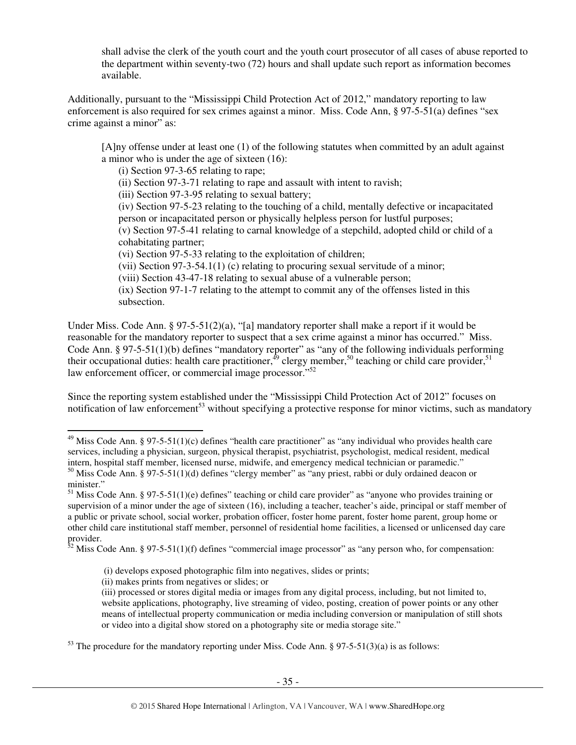shall advise the clerk of the youth court and the youth court prosecutor of all cases of abuse reported to the department within seventy-two (72) hours and shall update such report as information becomes available.

Additionally, pursuant to the "Mississippi Child Protection Act of 2012," mandatory reporting to law enforcement is also required for sex crimes against a minor. Miss. Code Ann, § 97-5-51(a) defines "sex crime against a minor" as:

[A]ny offense under at least one (1) of the following statutes when committed by an adult against a minor who is under the age of sixteen (16):

(i) Section 97-3-65 relating to rape;

(ii) Section 97-3-71 relating to rape and assault with intent to ravish;

(iii) Section 97-3-95 relating to sexual battery;

 (iv) Section 97-5-23 relating to the touching of a child, mentally defective or incapacitated person or incapacitated person or physically helpless person for lustful purposes;

 (v) Section 97-5-41 relating to carnal knowledge of a stepchild, adopted child or child of a cohabitating partner;

(vi) Section 97-5-33 relating to the exploitation of children;

(vii) Section 97-3-54.1(1) (c) relating to procuring sexual servitude of a minor;

(viii) Section 43-47-18 relating to sexual abuse of a vulnerable person;

 (ix) Section 97-1-7 relating to the attempt to commit any of the offenses listed in this subsection.

Under Miss. Code Ann. § 97-5-51(2)(a), "[a] mandatory reporter shall make a report if it would be reasonable for the mandatory reporter to suspect that a sex crime against a minor has occurred." Miss. Code Ann. § 97-5-51(1)(b) defines "mandatory reporter" as "any of the following individuals performing their occupational duties: health care practitioner,  $^{49}$  clergy member,  $^{50}$  teaching or child care provider,  $^{51}$ law enforcement officer, or commercial image processor."<sup>52</sup>

Since the reporting system established under the "Mississippi Child Protection Act of 2012" focuses on notification of law enforcement<sup>53</sup> without specifying a protective response for minor victims, such as mandatory

 $\overline{a}$ 

 $^{49}$  Miss Code Ann. § 97-5-51(1)(c) defines "health care practitioner" as "any individual who provides health care services, including a physician, surgeon, physical therapist, psychiatrist, psychologist, medical resident, medical intern, hospital staff member, licensed nurse, midwife, and emergency medical technician or paramedic."

 $50$  Miss Code Ann. § 97-5-51(1)(d) defines "clergy member" as "any priest, rabbi or duly ordained deacon or minister."

 $51$  Miss Code Ann. § 97-5-51(1)(e) defines" teaching or child care provider" as "anyone who provides training or supervision of a minor under the age of sixteen (16), including a teacher, teacher's aide, principal or staff member of a public or private school, social worker, probation officer, foster home parent, foster home parent, group home or other child care institutional staff member, personnel of residential home facilities, a licensed or unlicensed day care provider.

 $52$  Miss Code Ann. § 97-5-51(1)(f) defines "commercial image processor" as "any person who, for compensation:

 <sup>(</sup>i) develops exposed photographic film into negatives, slides or prints;

<sup>(</sup>ii) makes prints from negatives or slides; or

<sup>(</sup>iii) processed or stores digital media or images from any digital process, including, but not limited to, website applications, photography, live streaming of video, posting, creation of power points or any other means of intellectual property communication or media including conversion or manipulation of still shots or video into a digital show stored on a photography site or media storage site."

 $53$  The procedure for the mandatory reporting under Miss. Code Ann. § 97-5-51(3)(a) is as follows: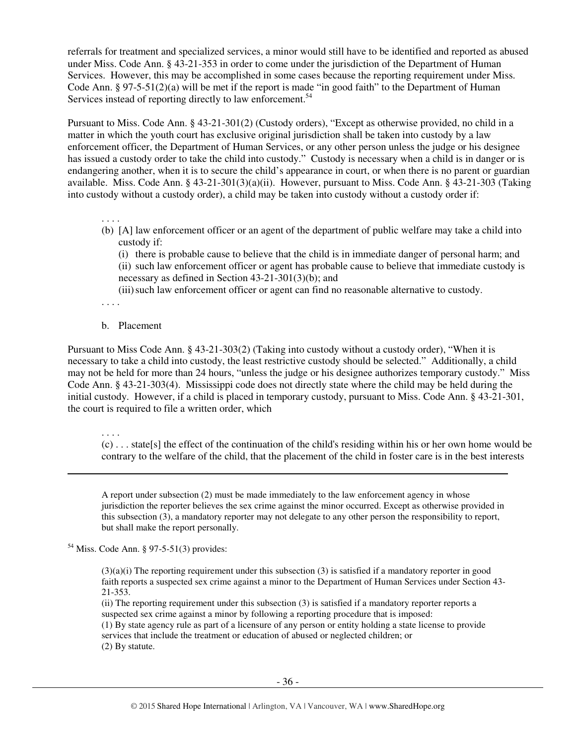referrals for treatment and specialized services, a minor would still have to be identified and reported as abused under Miss. Code Ann. § 43-21-353 in order to come under the jurisdiction of the Department of Human Services. However, this may be accomplished in some cases because the reporting requirement under Miss. Code Ann. § 97-5-51(2)(a) will be met if the report is made "in good faith" to the Department of Human Services instead of reporting directly to law enforcement.<sup>54</sup>

Pursuant to Miss. Code Ann. § 43-21-301(2) (Custody orders), "Except as otherwise provided, no child in a matter in which the youth court has exclusive original jurisdiction shall be taken into custody by a law enforcement officer, the Department of Human Services, or any other person unless the judge or his designee has issued a custody order to take the child into custody." Custody is necessary when a child is in danger or is endangering another, when it is to secure the child's appearance in court, or when there is no parent or guardian available. Miss. Code Ann. § 43-21-301(3)(a)(ii). However, pursuant to Miss. Code Ann. § 43-21-303 (Taking into custody without a custody order), a child may be taken into custody without a custody order if:

. . . .

(b) [A] law enforcement officer or an agent of the department of public welfare may take a child into custody if:

 (i) there is probable cause to believe that the child is in immediate danger of personal harm; and (ii) such law enforcement officer or agent has probable cause to believe that immediate custody is necessary as defined in Section 43-21-301(3)(b); and

(iii) such law enforcement officer or agent can find no reasonable alternative to custody.

. . . .

#### b. Placement

Pursuant to Miss Code Ann. § 43-21-303(2) (Taking into custody without a custody order), "When it is necessary to take a child into custody, the least restrictive custody should be selected." Additionally, a child may not be held for more than 24 hours, "unless the judge or his designee authorizes temporary custody." Miss Code Ann. § 43-21-303(4). Mississippi code does not directly state where the child may be held during the initial custody. However, if a child is placed in temporary custody, pursuant to Miss. Code Ann. § 43-21-301, the court is required to file a written order, which

. . . .

 $\overline{a}$ 

(c) . . . state[s] the effect of the continuation of the child's residing within his or her own home would be contrary to the welfare of the child, that the placement of the child in foster care is in the best interests

A report under subsection (2) must be made immediately to the law enforcement agency in whose jurisdiction the reporter believes the sex crime against the minor occurred. Except as otherwise provided in this subsection (3), a mandatory reporter may not delegate to any other person the responsibility to report, but shall make the report personally.

<sup>54</sup> Miss. Code Ann. § 97-5-51(3) provides:

 $(3)(a)(i)$  The reporting requirement under this subsection (3) is satisfied if a mandatory reporter in good faith reports a suspected sex crime against a minor to the Department of Human Services under Section 43- 21-353.

(ii) The reporting requirement under this subsection (3) is satisfied if a mandatory reporter reports a suspected sex crime against a minor by following a reporting procedure that is imposed: (1) By state agency rule as part of a licensure of any person or entity holding a state license to provide services that include the treatment or education of abused or neglected children; or (2) By statute.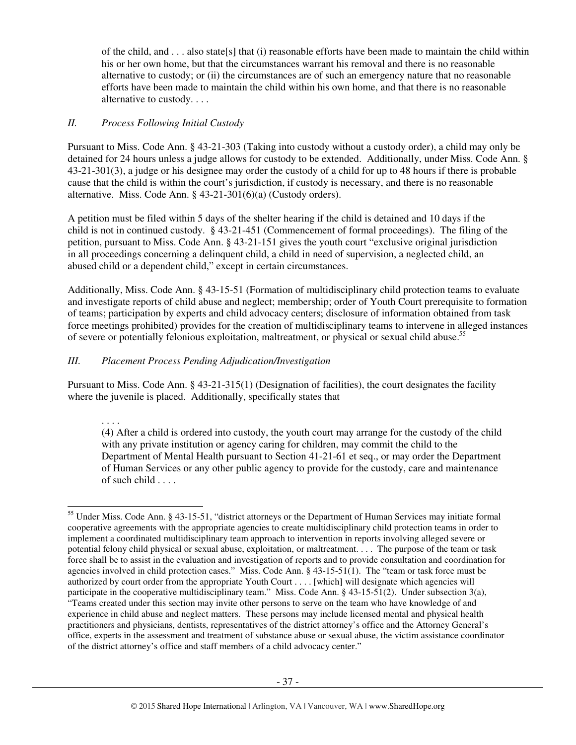of the child, and . . . also state[s] that (i) reasonable efforts have been made to maintain the child within his or her own home, but that the circumstances warrant his removal and there is no reasonable alternative to custody; or (ii) the circumstances are of such an emergency nature that no reasonable efforts have been made to maintain the child within his own home, and that there is no reasonable alternative to custody. . . .

#### *II. Process Following Initial Custody*

Pursuant to Miss. Code Ann. § 43-21-303 (Taking into custody without a custody order), a child may only be detained for 24 hours unless a judge allows for custody to be extended. Additionally, under Miss. Code Ann. § 43-21-301(3), a judge or his designee may order the custody of a child for up to 48 hours if there is probable cause that the child is within the court's jurisdiction, if custody is necessary, and there is no reasonable alternative. Miss. Code Ann. § 43-21-301(6)(a) (Custody orders).

A petition must be filed within 5 days of the shelter hearing if the child is detained and 10 days if the child is not in continued custody. § 43-21-451 (Commencement of formal proceedings). The filing of the petition, pursuant to Miss. Code Ann. § 43-21-151 gives the youth court "exclusive original jurisdiction in all proceedings concerning a delinquent child, a child in need of supervision, a neglected child, an abused child or a dependent child," except in certain circumstances.

Additionally, Miss. Code Ann. § 43-15-51 (Formation of multidisciplinary child protection teams to evaluate and investigate reports of child abuse and neglect; membership; order of Youth Court prerequisite to formation of teams; participation by experts and child advocacy centers; disclosure of information obtained from task force meetings prohibited) provides for the creation of multidisciplinary teams to intervene in alleged instances of severe or potentially felonious exploitation, maltreatment, or physical or sexual child abuse.<sup>55</sup>

## *III. Placement Process Pending Adjudication/Investigation*

Pursuant to Miss. Code Ann. § 43-21-315(1) (Designation of facilities), the court designates the facility where the juvenile is placed. Additionally, specifically states that

#### . . . .

 $\ddot{\phantom{a}}$ 

(4) After a child is ordered into custody, the youth court may arrange for the custody of the child with any private institution or agency caring for children, may commit the child to the Department of Mental Health pursuant to Section 41-21-61 et seq., or may order the Department of Human Services or any other public agency to provide for the custody, care and maintenance of such child . . . .

<sup>&</sup>lt;sup>55</sup> Under Miss. Code Ann. § 43-15-51, "district attorneys or the Department of Human Services may initiate formal cooperative agreements with the appropriate agencies to create multidisciplinary child protection teams in order to implement a coordinated multidisciplinary team approach to intervention in reports involving alleged severe or potential felony child physical or sexual abuse, exploitation, or maltreatment. . . . The purpose of the team or task force shall be to assist in the evaluation and investigation of reports and to provide consultation and coordination for agencies involved in child protection cases." Miss. Code Ann. § 43-15-51(1). The "team or task force must be authorized by court order from the appropriate Youth Court . . . . [which] will designate which agencies will participate in the cooperative multidisciplinary team." Miss. Code Ann. § 43-15-51(2). Under subsection 3(a), "Teams created under this section may invite other persons to serve on the team who have knowledge of and experience in child abuse and neglect matters. These persons may include licensed mental and physical health practitioners and physicians, dentists, representatives of the district attorney's office and the Attorney General's office, experts in the assessment and treatment of substance abuse or sexual abuse, the victim assistance coordinator of the district attorney's office and staff members of a child advocacy center."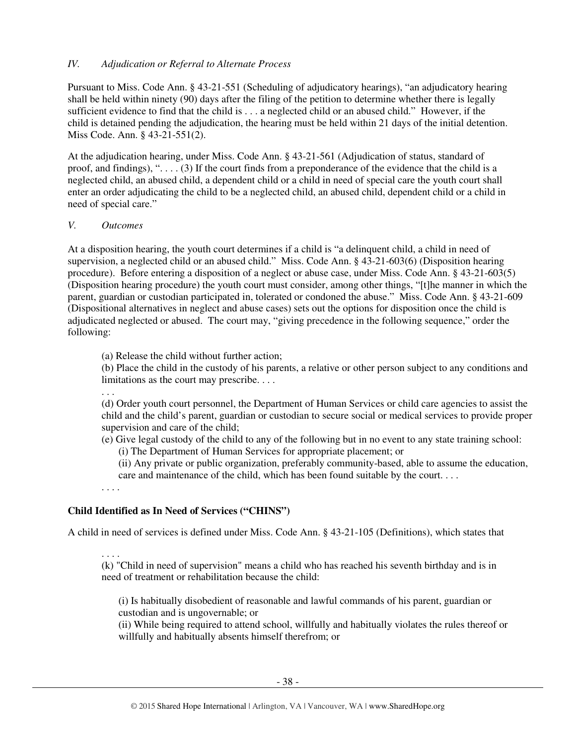#### *IV. Adjudication or Referral to Alternate Process*

Pursuant to Miss. Code Ann. § 43-21-551 (Scheduling of adjudicatory hearings), "an adjudicatory hearing shall be held within ninety (90) days after the filing of the petition to determine whether there is legally sufficient evidence to find that the child is . . . a neglected child or an abused child." However, if the child is detained pending the adjudication, the hearing must be held within 21 days of the initial detention. Miss Code. Ann. § 43-21-551(2).

At the adjudication hearing, under Miss. Code Ann. § 43-21-561 (Adjudication of status, standard of proof, and findings), " $\dots$  (3) If the court finds from a preponderance of the evidence that the child is a neglected child, an abused child, a dependent child or a child in need of special care the youth court shall enter an order adjudicating the child to be a neglected child, an abused child, dependent child or a child in need of special care."

#### *V. Outcomes*

At a disposition hearing, the youth court determines if a child is "a delinquent child, a child in need of supervision, a neglected child or an abused child." Miss. Code Ann. § 43-21-603(6) (Disposition hearing procedure). Before entering a disposition of a neglect or abuse case, under Miss. Code Ann. § 43-21-603(5) (Disposition hearing procedure) the youth court must consider, among other things, "[t]he manner in which the parent, guardian or custodian participated in, tolerated or condoned the abuse." Miss. Code Ann. § 43-21-609 (Dispositional alternatives in neglect and abuse cases) sets out the options for disposition once the child is adjudicated neglected or abused. The court may, "giving precedence in the following sequence," order the following:

(a) Release the child without further action;

(b) Place the child in the custody of his parents, a relative or other person subject to any conditions and limitations as the court may prescribe. . . .

. . .

(d) Order youth court personnel, the Department of Human Services or child care agencies to assist the child and the child's parent, guardian or custodian to secure social or medical services to provide proper supervision and care of the child;

(e) Give legal custody of the child to any of the following but in no event to any state training school:

(i) The Department of Human Services for appropriate placement; or

(ii) Any private or public organization, preferably community-based, able to assume the education, care and maintenance of the child, which has been found suitable by the court. . . .

. . . .

## **Child Identified as In Need of Services ("CHINS")**

A child in need of services is defined under Miss. Code Ann. § 43-21-105 (Definitions), which states that

. . . .

(k) "Child in need of supervision" means a child who has reached his seventh birthday and is in need of treatment or rehabilitation because the child:

(i) Is habitually disobedient of reasonable and lawful commands of his parent, guardian or custodian and is ungovernable; or

(ii) While being required to attend school, willfully and habitually violates the rules thereof or willfully and habitually absents himself therefrom; or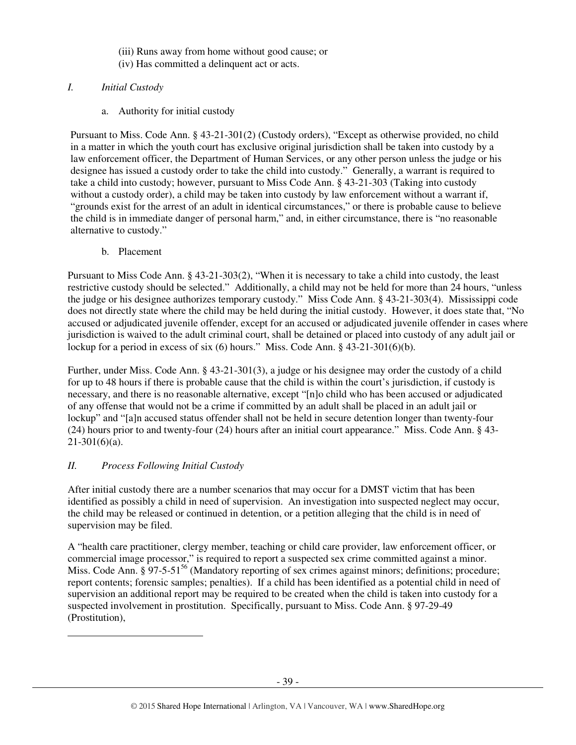- (iii) Runs away from home without good cause; or (iv) Has committed a delinquent act or acts.
- *I. Initial Custody* 
	- a. Authority for initial custody

Pursuant to Miss. Code Ann. § 43-21-301(2) (Custody orders), "Except as otherwise provided, no child in a matter in which the youth court has exclusive original jurisdiction shall be taken into custody by a law enforcement officer, the Department of Human Services, or any other person unless the judge or his designee has issued a custody order to take the child into custody." Generally, a warrant is required to take a child into custody; however, pursuant to Miss Code Ann. § 43-21-303 (Taking into custody without a custody order), a child may be taken into custody by law enforcement without a warrant if, "grounds exist for the arrest of an adult in identical circumstances," or there is probable cause to believe the child is in immediate danger of personal harm," and, in either circumstance, there is "no reasonable alternative to custody."

b. Placement

Pursuant to Miss Code Ann. § 43-21-303(2), "When it is necessary to take a child into custody, the least restrictive custody should be selected." Additionally, a child may not be held for more than 24 hours, "unless the judge or his designee authorizes temporary custody." Miss Code Ann. § 43-21-303(4). Mississippi code does not directly state where the child may be held during the initial custody. However, it does state that, "No accused or adjudicated juvenile offender, except for an accused or adjudicated juvenile offender in cases where jurisdiction is waived to the adult criminal court, shall be detained or placed into custody of any adult jail or lockup for a period in excess of six (6) hours." Miss. Code Ann. § 43-21-301(6)(b).

Further, under Miss. Code Ann. § 43-21-301(3), a judge or his designee may order the custody of a child for up to 48 hours if there is probable cause that the child is within the court's jurisdiction, if custody is necessary, and there is no reasonable alternative, except "[n]o child who has been accused or adjudicated of any offense that would not be a crime if committed by an adult shall be placed in an adult jail or lockup" and "[a]n accused status offender shall not be held in secure detention longer than twenty-four (24) hours prior to and twenty-four (24) hours after an initial court appearance." Miss. Code Ann. § 43-  $21-301(6)(a)$ .

# *II. Process Following Initial Custody*

 $\overline{a}$ 

After initial custody there are a number scenarios that may occur for a DMST victim that has been identified as possibly a child in need of supervision. An investigation into suspected neglect may occur, the child may be released or continued in detention, or a petition alleging that the child is in need of supervision may be filed.

A "health care practitioner, clergy member, teaching or child care provider, law enforcement officer, or commercial image processor," is required to report a suspected sex crime committed against a minor. Miss. Code Ann. § 97-5-51<sup>56</sup> (Mandatory reporting of sex crimes against minors; definitions; procedure; report contents; forensic samples; penalties). If a child has been identified as a potential child in need of supervision an additional report may be required to be created when the child is taken into custody for a suspected involvement in prostitution. Specifically, pursuant to Miss. Code Ann. § 97-29-49 (Prostitution),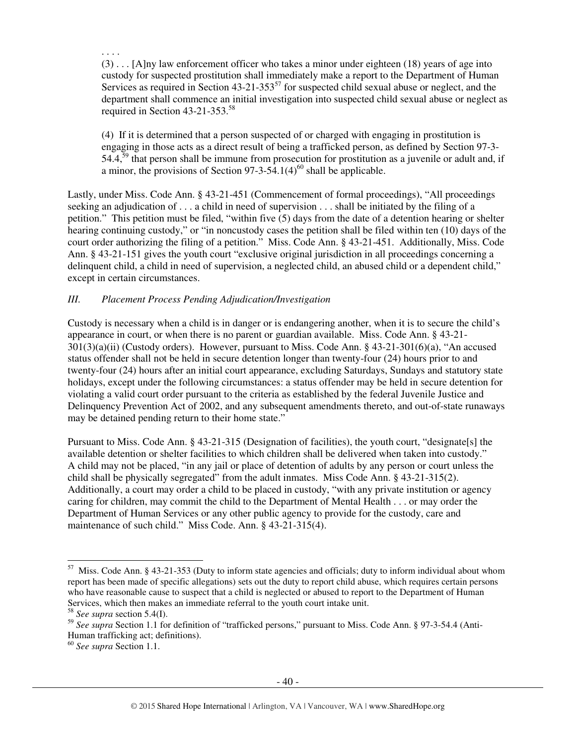. . . .

(3) . . . [A]ny law enforcement officer who takes a minor under eighteen (18) years of age into custody for suspected prostitution shall immediately make a report to the Department of Human Services as required in Section 43-21-353 $^{57}$  for suspected child sexual abuse or neglect, and the department shall commence an initial investigation into suspected child sexual abuse or neglect as required in Section 43-21-353.<sup>58</sup>

(4) If it is determined that a person suspected of or charged with engaging in prostitution is engaging in those acts as a direct result of being a trafficked person, as defined by Section 97-3-  $54.4<sup>59</sup>$  that person shall be immune from prosecution for prostitution as a juvenile or adult and, if a minor, the provisions of Section  $97-3-54.1(4)^{60}$  shall be applicable.

Lastly, under Miss. Code Ann. § 43-21-451 (Commencement of formal proceedings), "All proceedings seeking an adjudication of . . . a child in need of supervision . . . shall be initiated by the filing of a petition." This petition must be filed, "within five (5) days from the date of a detention hearing or shelter hearing continuing custody," or "in noncustody cases the petition shall be filed within ten (10) days of the court order authorizing the filing of a petition." Miss. Code Ann. § 43-21-451. Additionally, Miss. Code Ann. § 43-21-151 gives the youth court "exclusive original jurisdiction in all proceedings concerning a delinquent child, a child in need of supervision, a neglected child, an abused child or a dependent child," except in certain circumstances.

#### *III. Placement Process Pending Adjudication/Investigation*

Custody is necessary when a child is in danger or is endangering another, when it is to secure the child's appearance in court, or when there is no parent or guardian available. Miss. Code Ann. § 43-21- 301(3)(a)(ii) (Custody orders). However, pursuant to Miss. Code Ann. § 43-21-301(6)(a), "An accused status offender shall not be held in secure detention longer than twenty-four (24) hours prior to and twenty-four (24) hours after an initial court appearance, excluding Saturdays, Sundays and statutory state holidays, except under the following circumstances: a status offender may be held in secure detention for violating a valid court order pursuant to the criteria as established by the federal Juvenile Justice and Delinquency Prevention Act of 2002, and any subsequent amendments thereto, and out-of-state runaways may be detained pending return to their home state."

Pursuant to Miss. Code Ann. § 43-21-315 (Designation of facilities), the youth court, "designate[s] the available detention or shelter facilities to which children shall be delivered when taken into custody." A child may not be placed, "in any jail or place of detention of adults by any person or court unless the child shall be physically segregated" from the adult inmates. Miss Code Ann. § 43-21-315(2). Additionally, a court may order a child to be placed in custody, "with any private institution or agency caring for children, may commit the child to the Department of Mental Health . . . or may order the Department of Human Services or any other public agency to provide for the custody, care and maintenance of such child." Miss Code. Ann. § 43-21-315(4).

 $\overline{a}$ 

 $57$  Miss. Code Ann. § 43-21-353 (Duty to inform state agencies and officials; duty to inform individual about whom report has been made of specific allegations) sets out the duty to report child abuse, which requires certain persons who have reasonable cause to suspect that a child is neglected or abused to report to the Department of Human Services, which then makes an immediate referral to the youth court intake unit.

<sup>58</sup> *See supra* section 5.4(I).

<sup>59</sup> *See supra* Section 1.1 for definition of "trafficked persons," pursuant to Miss. Code Ann. § 97-3-54.4 (Anti-Human trafficking act; definitions).

<sup>60</sup> *See supra* Section 1.1.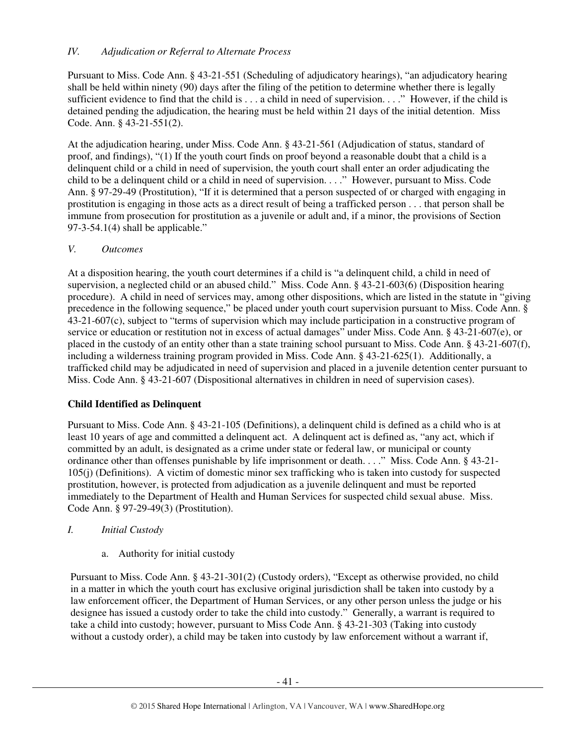## *IV. Adjudication or Referral to Alternate Process*

Pursuant to Miss. Code Ann. § 43-21-551 (Scheduling of adjudicatory hearings), "an adjudicatory hearing shall be held within ninety (90) days after the filing of the petition to determine whether there is legally sufficient evidence to find that the child is . . . a child in need of supervision. . . ." However, if the child is detained pending the adjudication, the hearing must be held within 21 days of the initial detention. Miss Code. Ann. § 43-21-551(2).

At the adjudication hearing, under Miss. Code Ann. § 43-21-561 (Adjudication of status, standard of proof, and findings), "(1) If the youth court finds on proof beyond a reasonable doubt that a child is a delinquent child or a child in need of supervision, the youth court shall enter an order adjudicating the child to be a delinquent child or a child in need of supervision. . . ." However, pursuant to Miss. Code Ann. § 97-29-49 (Prostitution), "If it is determined that a person suspected of or charged with engaging in prostitution is engaging in those acts as a direct result of being a trafficked person . . . that person shall be immune from prosecution for prostitution as a juvenile or adult and, if a minor, the provisions of Section  $97-3-54.1(4)$  shall be applicable."

## *V. Outcomes*

At a disposition hearing, the youth court determines if a child is "a delinquent child, a child in need of supervision, a neglected child or an abused child." Miss. Code Ann. § 43-21-603(6) (Disposition hearing procedure). A child in need of services may, among other dispositions, which are listed in the statute in "giving precedence in the following sequence," be placed under youth court supervision pursuant to Miss. Code Ann. § 43-21-607(c), subject to "terms of supervision which may include participation in a constructive program of service or education or restitution not in excess of actual damages" under Miss. Code Ann. § 43-21-607(e), or placed in the custody of an entity other than a state training school pursuant to Miss. Code Ann. § 43-21-607(f), including a wilderness training program provided in Miss. Code Ann. § 43-21-625(1). Additionally, a trafficked child may be adjudicated in need of supervision and placed in a juvenile detention center pursuant to Miss. Code Ann. § 43-21-607 (Dispositional alternatives in children in need of supervision cases).

# **Child Identified as Delinquent**

Pursuant to Miss. Code Ann. § 43-21-105 (Definitions), a delinquent child is defined as a child who is at least 10 years of age and committed a delinquent act. A delinquent act is defined as, "any act, which if committed by an adult, is designated as a crime under state or federal law, or municipal or county ordinance other than offenses punishable by life imprisonment or death. . . ." Miss. Code Ann. § 43-21- 105(j) (Definitions). A victim of domestic minor sex trafficking who is taken into custody for suspected prostitution, however, is protected from adjudication as a juvenile delinquent and must be reported immediately to the Department of Health and Human Services for suspected child sexual abuse. Miss. Code Ann. § 97-29-49(3) (Prostitution).

# *I. Initial Custody*

a. Authority for initial custody

Pursuant to Miss. Code Ann. § 43-21-301(2) (Custody orders), "Except as otherwise provided, no child in a matter in which the youth court has exclusive original jurisdiction shall be taken into custody by a law enforcement officer, the Department of Human Services, or any other person unless the judge or his designee has issued a custody order to take the child into custody." Generally, a warrant is required to take a child into custody; however, pursuant to Miss Code Ann. § 43-21-303 (Taking into custody without a custody order), a child may be taken into custody by law enforcement without a warrant if,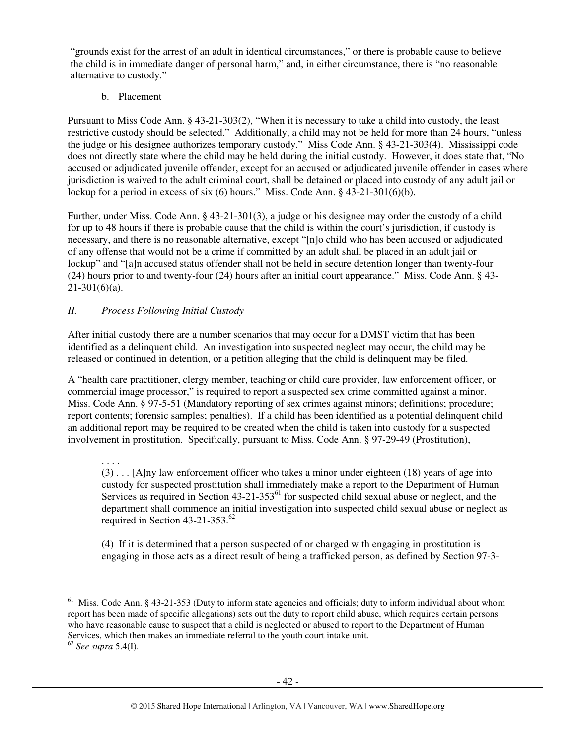"grounds exist for the arrest of an adult in identical circumstances," or there is probable cause to believe the child is in immediate danger of personal harm," and, in either circumstance, there is "no reasonable alternative to custody."

b. Placement

Pursuant to Miss Code Ann. § 43-21-303(2), "When it is necessary to take a child into custody, the least restrictive custody should be selected." Additionally, a child may not be held for more than 24 hours, "unless the judge or his designee authorizes temporary custody." Miss Code Ann. § 43-21-303(4). Mississippi code does not directly state where the child may be held during the initial custody. However, it does state that, "No accused or adjudicated juvenile offender, except for an accused or adjudicated juvenile offender in cases where jurisdiction is waived to the adult criminal court, shall be detained or placed into custody of any adult jail or lockup for a period in excess of six (6) hours." Miss. Code Ann. § 43-21-301(6)(b).

Further, under Miss. Code Ann. § 43-21-301(3), a judge or his designee may order the custody of a child for up to 48 hours if there is probable cause that the child is within the court's jurisdiction, if custody is necessary, and there is no reasonable alternative, except "[n]o child who has been accused or adjudicated of any offense that would not be a crime if committed by an adult shall be placed in an adult jail or lockup" and "[a]n accused status offender shall not be held in secure detention longer than twenty-four (24) hours prior to and twenty-four (24) hours after an initial court appearance." Miss. Code Ann. § 43-  $21-301(6)(a)$ .

# *II. Process Following Initial Custody*

After initial custody there are a number scenarios that may occur for a DMST victim that has been identified as a delinquent child. An investigation into suspected neglect may occur, the child may be released or continued in detention, or a petition alleging that the child is delinquent may be filed.

A "health care practitioner, clergy member, teaching or child care provider, law enforcement officer, or commercial image processor," is required to report a suspected sex crime committed against a minor. Miss. Code Ann. § 97-5-51 (Mandatory reporting of sex crimes against minors; definitions; procedure; report contents; forensic samples; penalties). If a child has been identified as a potential delinquent child an additional report may be required to be created when the child is taken into custody for a suspected involvement in prostitution. Specifically, pursuant to Miss. Code Ann. § 97-29-49 (Prostitution),

. . . .

(3) . . . [A]ny law enforcement officer who takes a minor under eighteen (18) years of age into custody for suspected prostitution shall immediately make a report to the Department of Human Services as required in Section  $43-21-353^{61}$  for suspected child sexual abuse or neglect, and the department shall commence an initial investigation into suspected child sexual abuse or neglect as required in Section 43-21-353.<sup>62</sup>

(4) If it is determined that a person suspected of or charged with engaging in prostitution is engaging in those acts as a direct result of being a trafficked person, as defined by Section 97-3-

 $\overline{a}$  $61$  Miss. Code Ann. § 43-21-353 (Duty to inform state agencies and officials; duty to inform individual about whom report has been made of specific allegations) sets out the duty to report child abuse, which requires certain persons who have reasonable cause to suspect that a child is neglected or abused to report to the Department of Human Services, which then makes an immediate referral to the youth court intake unit.

<sup>62</sup> *See supra* 5.4(I).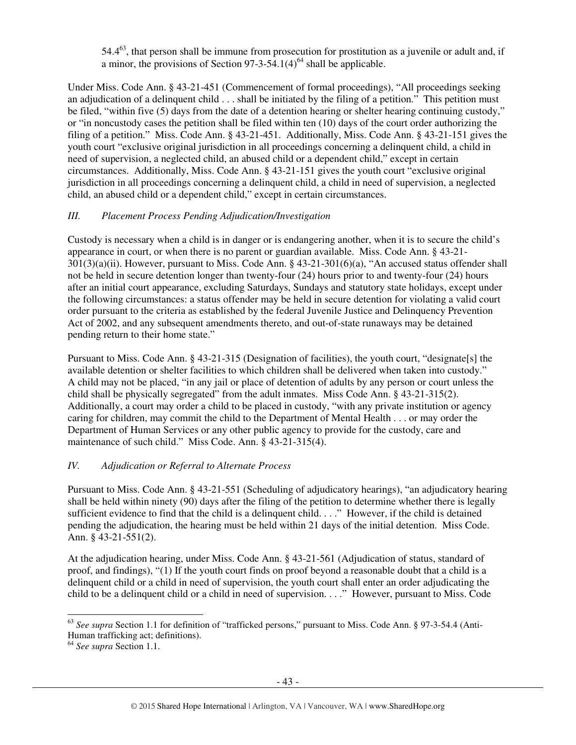54.4<sup>63</sup>, that person shall be immune from prosecution for prostitution as a juvenile or adult and, if a minor, the provisions of Section  $97-3-54.1(4)^{64}$  shall be applicable.

Under Miss. Code Ann. § 43-21-451 (Commencement of formal proceedings), "All proceedings seeking an adjudication of a delinquent child . . . shall be initiated by the filing of a petition." This petition must be filed, "within five (5) days from the date of a detention hearing or shelter hearing continuing custody," or "in noncustody cases the petition shall be filed within ten (10) days of the court order authorizing the filing of a petition." Miss. Code Ann. § 43-21-451. Additionally, Miss. Code Ann. § 43-21-151 gives the youth court "exclusive original jurisdiction in all proceedings concerning a delinquent child, a child in need of supervision, a neglected child, an abused child or a dependent child," except in certain circumstances. Additionally, Miss. Code Ann. § 43-21-151 gives the youth court "exclusive original jurisdiction in all proceedings concerning a delinquent child, a child in need of supervision, a neglected child, an abused child or a dependent child," except in certain circumstances.

## *III. Placement Process Pending Adjudication/Investigation*

Custody is necessary when a child is in danger or is endangering another, when it is to secure the child's appearance in court, or when there is no parent or guardian available. Miss. Code Ann. § 43-21- 301(3)(a)(ii). However, pursuant to Miss. Code Ann. § 43-21-301(6)(a), "An accused status offender shall not be held in secure detention longer than twenty-four (24) hours prior to and twenty-four (24) hours after an initial court appearance, excluding Saturdays, Sundays and statutory state holidays, except under the following circumstances: a status offender may be held in secure detention for violating a valid court order pursuant to the criteria as established by the federal Juvenile Justice and Delinquency Prevention Act of 2002, and any subsequent amendments thereto, and out-of-state runaways may be detained pending return to their home state."

Pursuant to Miss. Code Ann. § 43-21-315 (Designation of facilities), the youth court, "designate[s] the available detention or shelter facilities to which children shall be delivered when taken into custody." A child may not be placed, "in any jail or place of detention of adults by any person or court unless the child shall be physically segregated" from the adult inmates. Miss Code Ann. § 43-21-315(2). Additionally, a court may order a child to be placed in custody, "with any private institution or agency caring for children, may commit the child to the Department of Mental Health . . . or may order the Department of Human Services or any other public agency to provide for the custody, care and maintenance of such child." Miss Code. Ann. § 43-21-315(4).

## *IV. Adjudication or Referral to Alternate Process*

Pursuant to Miss. Code Ann. § 43-21-551 (Scheduling of adjudicatory hearings), "an adjudicatory hearing shall be held within ninety (90) days after the filing of the petition to determine whether there is legally sufficient evidence to find that the child is a delinquent child. . . ." However, if the child is detained pending the adjudication, the hearing must be held within 21 days of the initial detention. Miss Code. Ann. § 43-21-551(2).

At the adjudication hearing, under Miss. Code Ann. § 43-21-561 (Adjudication of status, standard of proof, and findings), "(1) If the youth court finds on proof beyond a reasonable doubt that a child is a delinquent child or a child in need of supervision, the youth court shall enter an order adjudicating the child to be a delinquent child or a child in need of supervision. . . ." However, pursuant to Miss. Code

 $\overline{a}$ <sup>63</sup> *See supra* Section 1.1 for definition of "trafficked persons," pursuant to Miss. Code Ann. § 97-3-54.4 (Anti-Human trafficking act; definitions).

<sup>64</sup> *See supra* Section 1.1.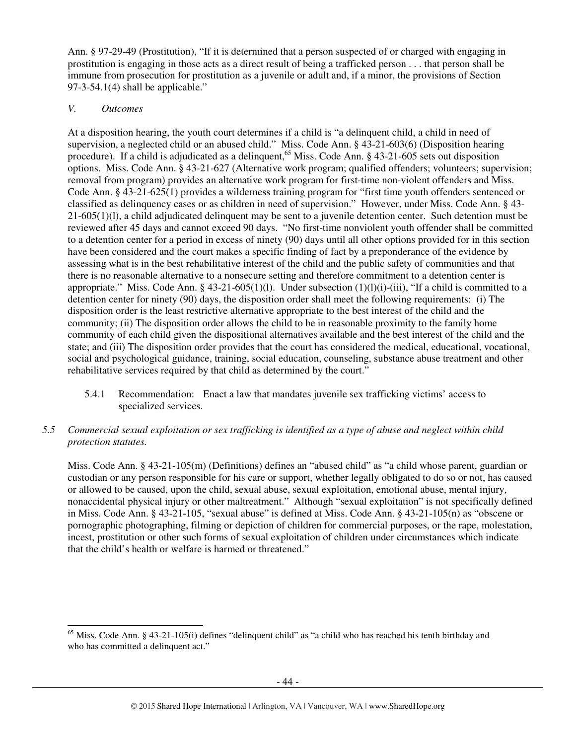Ann. § 97-29-49 (Prostitution), "If it is determined that a person suspected of or charged with engaging in prostitution is engaging in those acts as a direct result of being a trafficked person . . . that person shall be immune from prosecution for prostitution as a juvenile or adult and, if a minor, the provisions of Section  $97-3-54.1(4)$  shall be applicable."

#### *V. Outcomes*

At a disposition hearing, the youth court determines if a child is "a delinquent child, a child in need of supervision, a neglected child or an abused child." Miss. Code Ann. § 43-21-603(6) (Disposition hearing procedure). If a child is adjudicated as a delinquent,  $65$  Miss. Code Ann. § 43-21-605 sets out disposition options. Miss. Code Ann. § 43-21-627 (Alternative work program; qualified offenders; volunteers; supervision; removal from program) provides an alternative work program for first-time non-violent offenders and Miss. Code Ann. § 43-21-625(1) provides a wilderness training program for "first time youth offenders sentenced or classified as delinquency cases or as children in need of supervision." However, under Miss. Code Ann. § 43- 21-605(1)(l), a child adjudicated delinquent may be sent to a juvenile detention center. Such detention must be reviewed after 45 days and cannot exceed 90 days. "No first-time nonviolent youth offender shall be committed to a detention center for a period in excess of ninety (90) days until all other options provided for in this section have been considered and the court makes a specific finding of fact by a preponderance of the evidence by assessing what is in the best rehabilitative interest of the child and the public safety of communities and that there is no reasonable alternative to a nonsecure setting and therefore commitment to a detention center is appropriate." Miss. Code Ann.  $\S$  43-21-605(1)(1). Under subsection (1)(1)(i)-(iii), "If a child is committed to a detention center for ninety (90) days, the disposition order shall meet the following requirements: (i) The disposition order is the least restrictive alternative appropriate to the best interest of the child and the community; (ii) The disposition order allows the child to be in reasonable proximity to the family home community of each child given the dispositional alternatives available and the best interest of the child and the state; and (iii) The disposition order provides that the court has considered the medical, educational, vocational, social and psychological guidance, training, social education, counseling, substance abuse treatment and other rehabilitative services required by that child as determined by the court."

- 5.4.1 Recommendation: Enact a law that mandates juvenile sex trafficking victims' access to specialized services.
- *5.5 Commercial sexual exploitation or sex trafficking is identified as a type of abuse and neglect within child protection statutes.*

Miss. Code Ann. § 43-21-105(m) (Definitions) defines an "abused child" as "a child whose parent, guardian or custodian or any person responsible for his care or support, whether legally obligated to do so or not, has caused or allowed to be caused, upon the child, sexual abuse, sexual exploitation, emotional abuse, mental injury, nonaccidental physical injury or other maltreatment." Although "sexual exploitation" is not specifically defined in Miss. Code Ann. § 43-21-105, "sexual abuse" is defined at Miss. Code Ann. § 43-21-105(n) as "obscene or pornographic photographing, filming or depiction of children for commercial purposes, or the rape, molestation, incest, prostitution or other such forms of sexual exploitation of children under circumstances which indicate that the child's health or welfare is harmed or threatened."

 $\overline{a}$ <sup>65</sup> Miss. Code Ann. § 43-21-105(i) defines "delinquent child" as "a child who has reached his tenth birthday and who has committed a delinquent act."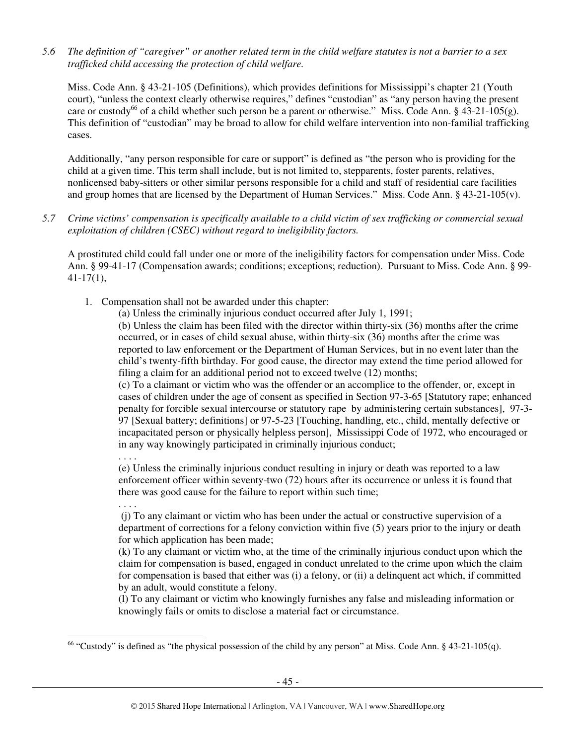*5.6 The definition of "caregiver" or another related term in the child welfare statutes is not a barrier to a sex trafficked child accessing the protection of child welfare.* 

Miss. Code Ann. § 43-21-105 (Definitions), which provides definitions for Mississippi's chapter 21 (Youth court), "unless the context clearly otherwise requires," defines "custodian" as "any person having the present care or custody<sup>66</sup> of a child whether such person be a parent or otherwise." Miss. Code Ann. § 43-21-105(g). This definition of "custodian" may be broad to allow for child welfare intervention into non-familial trafficking cases.

Additionally, "any person responsible for care or support" is defined as "the person who is providing for the child at a given time. This term shall include, but is not limited to, stepparents, foster parents, relatives, nonlicensed baby-sitters or other similar persons responsible for a child and staff of residential care facilities and group homes that are licensed by the Department of Human Services." Miss. Code Ann. § 43-21-105(v).

*5.7 Crime victims' compensation is specifically available to a child victim of sex trafficking or commercial sexual exploitation of children (CSEC) without regard to ineligibility factors.* 

A prostituted child could fall under one or more of the ineligibility factors for compensation under Miss. Code Ann. § 99-41-17 (Compensation awards; conditions; exceptions; reduction). Pursuant to Miss. Code Ann. § 99- 41-17(1),

1. Compensation shall not be awarded under this chapter:

(a) Unless the criminally injurious conduct occurred after July 1, 1991;

(b) Unless the claim has been filed with the director within thirty-six (36) months after the crime occurred, or in cases of child sexual abuse, within thirty-six (36) months after the crime was reported to law enforcement or the Department of Human Services, but in no event later than the child's twenty-fifth birthday. For good cause, the director may extend the time period allowed for filing a claim for an additional period not to exceed twelve (12) months;

(c) To a claimant or victim who was the offender or an accomplice to the offender, or, except in cases of children under the age of consent as specified in Section 97-3-65 [Statutory rape; enhanced penalty for forcible sexual intercourse or statutory rape by administering certain substances], 97-3- 97 [Sexual battery; definitions] or 97-5-23 [Touching, handling, etc., child, mentally defective or incapacitated person or physically helpless person], Mississippi Code of 1972, who encouraged or in any way knowingly participated in criminally injurious conduct;

(e) Unless the criminally injurious conduct resulting in injury or death was reported to a law enforcement officer within seventy-two (72) hours after its occurrence or unless it is found that there was good cause for the failure to report within such time;

. . . .

 $\ddot{\phantom{a}}$ 

. . . .

 (j) To any claimant or victim who has been under the actual or constructive supervision of a department of corrections for a felony conviction within five (5) years prior to the injury or death for which application has been made;

(k) To any claimant or victim who, at the time of the criminally injurious conduct upon which the claim for compensation is based, engaged in conduct unrelated to the crime upon which the claim for compensation is based that either was (i) a felony, or (ii) a delinquent act which, if committed by an adult, would constitute a felony.

(l) To any claimant or victim who knowingly furnishes any false and misleading information or knowingly fails or omits to disclose a material fact or circumstance.

 $66$  "Custody" is defined as "the physical possession of the child by any person" at Miss. Code Ann. § 43-21-105(q).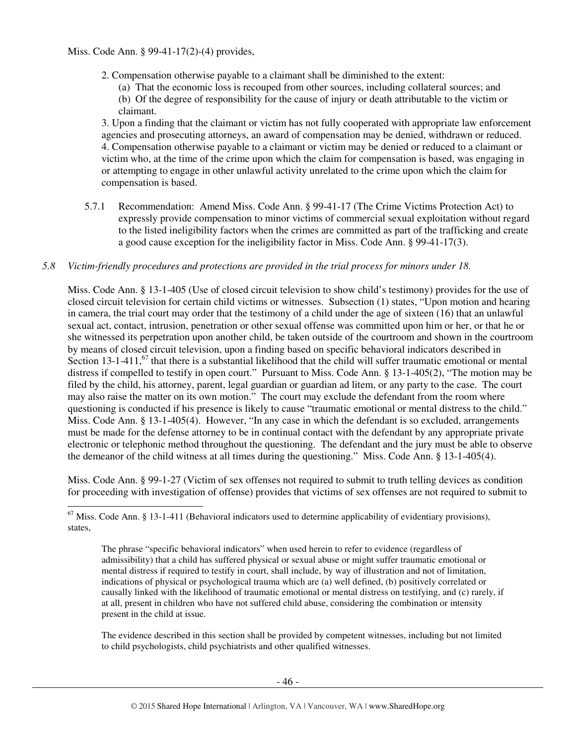Miss. Code Ann. § 99-41-17(2)-(4) provides,

- 2. Compensation otherwise payable to a claimant shall be diminished to the extent:
	- (a) That the economic loss is recouped from other sources, including collateral sources; and
	- (b) Of the degree of responsibility for the cause of injury or death attributable to the victim or claimant.

3. Upon a finding that the claimant or victim has not fully cooperated with appropriate law enforcement agencies and prosecuting attorneys, an award of compensation may be denied, withdrawn or reduced. 4. Compensation otherwise payable to a claimant or victim may be denied or reduced to a claimant or victim who, at the time of the crime upon which the claim for compensation is based, was engaging in or attempting to engage in other unlawful activity unrelated to the crime upon which the claim for compensation is based.

5.7.1 Recommendation: Amend Miss. Code Ann. § 99-41-17 (The Crime Victims Protection Act) to expressly provide compensation to minor victims of commercial sexual exploitation without regard to the listed ineligibility factors when the crimes are committed as part of the trafficking and create a good cause exception for the ineligibility factor in Miss. Code Ann. § 99-41-17(3).

## *5.8 Victim-friendly procedures and protections are provided in the trial process for minors under 18.*

Miss. Code Ann. § 13-1-405 (Use of closed circuit television to show child's testimony) provides for the use of closed circuit television for certain child victims or witnesses. Subsection (1) states, "Upon motion and hearing in camera, the trial court may order that the testimony of a child under the age of sixteen (16) that an unlawful sexual act, contact, intrusion, penetration or other sexual offense was committed upon him or her, or that he or she witnessed its perpetration upon another child, be taken outside of the courtroom and shown in the courtroom by means of closed circuit television, upon a finding based on specific behavioral indicators described in Section  $13$ -1-411,<sup>67</sup> that there is a substantial likelihood that the child will suffer traumatic emotional or mental distress if compelled to testify in open court." Pursuant to Miss. Code Ann. § 13-1-405(2), "The motion may be filed by the child, his attorney, parent, legal guardian or guardian ad litem, or any party to the case. The court may also raise the matter on its own motion." The court may exclude the defendant from the room where questioning is conducted if his presence is likely to cause "traumatic emotional or mental distress to the child." Miss. Code Ann. § 13-1-405(4). However, "In any case in which the defendant is so excluded, arrangements must be made for the defense attorney to be in continual contact with the defendant by any appropriate private electronic or telephonic method throughout the questioning. The defendant and the jury must be able to observe the demeanor of the child witness at all times during the questioning." Miss. Code Ann. § 13-1-405(4).

Miss. Code Ann. § 99-1-27 (Victim of sex offenses not required to submit to truth telling devices as condition for proceeding with investigation of offense) provides that victims of sex offenses are not required to submit to

The evidence described in this section shall be provided by competent witnesses, including but not limited to child psychologists, child psychiatrists and other qualified witnesses.

 $\ddot{\phantom{a}}$  $67$  Miss. Code Ann. § 13-1-411 (Behavioral indicators used to determine applicability of evidentiary provisions), states,

The phrase "specific behavioral indicators" when used herein to refer to evidence (regardless of admissibility) that a child has suffered physical or sexual abuse or might suffer traumatic emotional or mental distress if required to testify in court, shall include, by way of illustration and not of limitation, indications of physical or psychological trauma which are (a) well defined, (b) positively correlated or causally linked with the likelihood of traumatic emotional or mental distress on testifying, and (c) rarely, if at all, present in children who have not suffered child abuse, considering the combination or intensity present in the child at issue.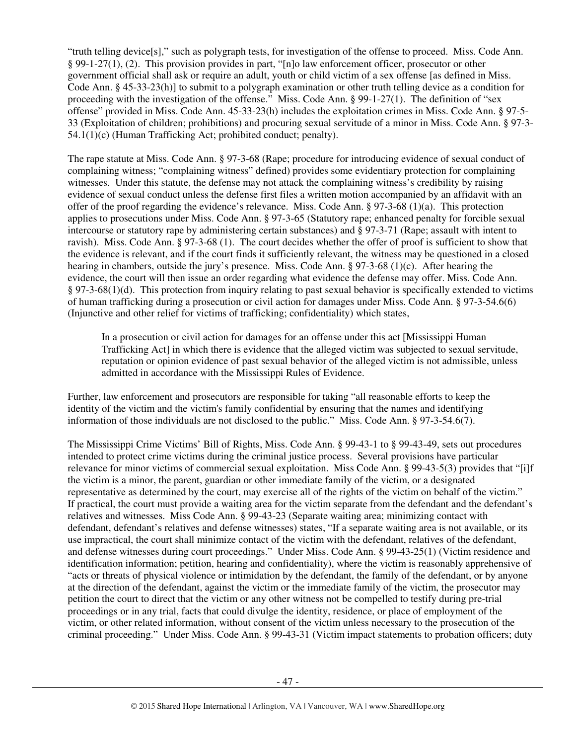"truth telling device[s]," such as polygraph tests, for investigation of the offense to proceed. Miss. Code Ann. § 99-1-27(1), (2). This provision provides in part, "[n]o law enforcement officer, prosecutor or other government official shall ask or require an adult, youth or child victim of a sex offense [as defined in Miss. Code Ann. § 45-33-23(h)] to submit to a polygraph examination or other truth telling device as a condition for proceeding with the investigation of the offense." Miss. Code Ann. § 99-1-27(1). The definition of "sex offense" provided in Miss. Code Ann. 45-33-23(h) includes the exploitation crimes in Miss. Code Ann. § 97-5- 33 (Exploitation of children; prohibitions) and procuring sexual servitude of a minor in Miss. Code Ann. § 97-3- 54.1(1)(c) (Human Trafficking Act; prohibited conduct; penalty).

The rape statute at Miss. Code Ann. § 97-3-68 (Rape; procedure for introducing evidence of sexual conduct of complaining witness; "complaining witness" defined) provides some evidentiary protection for complaining witnesses. Under this statute, the defense may not attack the complaining witness's credibility by raising evidence of sexual conduct unless the defense first files a written motion accompanied by an affidavit with an offer of the proof regarding the evidence's relevance. Miss. Code Ann. § 97-3-68 (1)(a). This protection applies to prosecutions under Miss. Code Ann. § 97-3-65 (Statutory rape; enhanced penalty for forcible sexual intercourse or statutory rape by administering certain substances) and § 97-3-71 (Rape; assault with intent to ravish). Miss. Code Ann. § 97-3-68 (1). The court decides whether the offer of proof is sufficient to show that the evidence is relevant, and if the court finds it sufficiently relevant, the witness may be questioned in a closed hearing in chambers, outside the jury's presence. Miss. Code Ann. § 97-3-68 (1)(c). After hearing the evidence, the court will then issue an order regarding what evidence the defense may offer. Miss. Code Ann. § 97-3-68(1)(d). This protection from inquiry relating to past sexual behavior is specifically extended to victims of human trafficking during a prosecution or civil action for damages under Miss. Code Ann. § 97-3-54.6(6) (Injunctive and other relief for victims of trafficking; confidentiality) which states,

In a prosecution or civil action for damages for an offense under this act [Mississippi Human Trafficking Act] in which there is evidence that the alleged victim was subjected to sexual servitude, reputation or opinion evidence of past sexual behavior of the alleged victim is not admissible, unless admitted in accordance with the Mississippi Rules of Evidence.

Further, law enforcement and prosecutors are responsible for taking "all reasonable efforts to keep the identity of the victim and the victim's family confidential by ensuring that the names and identifying information of those individuals are not disclosed to the public." Miss. Code Ann. § 97-3-54.6(7).

The Mississippi Crime Victims' Bill of Rights, Miss. Code Ann. § 99-43-1 to § 99-43-49, sets out procedures intended to protect crime victims during the criminal justice process. Several provisions have particular relevance for minor victims of commercial sexual exploitation. Miss Code Ann. § 99-43-5(3) provides that "[i]f the victim is a minor, the parent, guardian or other immediate family of the victim, or a designated representative as determined by the court, may exercise all of the rights of the victim on behalf of the victim." If practical, the court must provide a waiting area for the victim separate from the defendant and the defendant's relatives and witnesses. Miss Code Ann. § 99-43-23 (Separate waiting area; minimizing contact with defendant, defendant's relatives and defense witnesses) states, "If a separate waiting area is not available, or its use impractical, the court shall minimize contact of the victim with the defendant, relatives of the defendant, and defense witnesses during court proceedings." Under Miss. Code Ann. § 99-43-25(1) (Victim residence and identification information; petition, hearing and confidentiality), where the victim is reasonably apprehensive of "acts or threats of physical violence or intimidation by the defendant, the family of the defendant, or by anyone at the direction of the defendant, against the victim or the immediate family of the victim, the prosecutor may petition the court to direct that the victim or any other witness not be compelled to testify during pre-trial proceedings or in any trial, facts that could divulge the identity, residence, or place of employment of the victim, or other related information, without consent of the victim unless necessary to the prosecution of the criminal proceeding." Under Miss. Code Ann. § 99-43-31 (Victim impact statements to probation officers; duty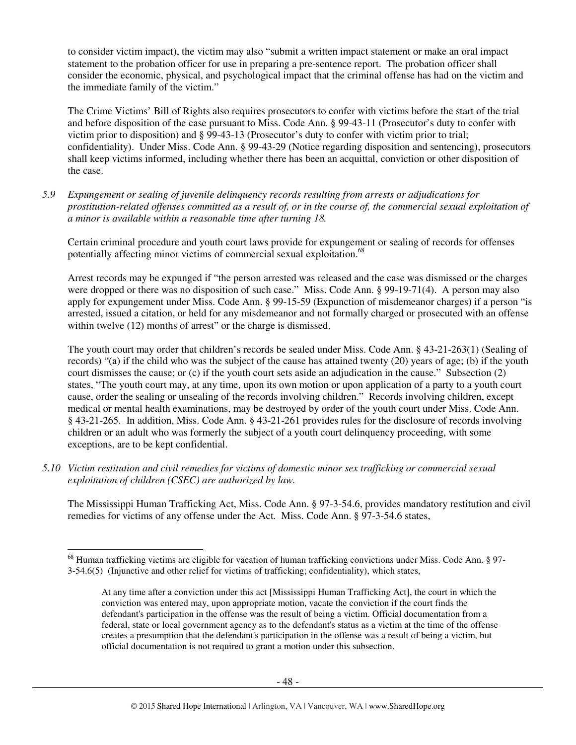to consider victim impact), the victim may also "submit a written impact statement or make an oral impact statement to the probation officer for use in preparing a pre-sentence report. The probation officer shall consider the economic, physical, and psychological impact that the criminal offense has had on the victim and the immediate family of the victim."

The Crime Victims' Bill of Rights also requires prosecutors to confer with victims before the start of the trial and before disposition of the case pursuant to Miss. Code Ann. § 99-43-11 (Prosecutor's duty to confer with victim prior to disposition) and § 99-43-13 (Prosecutor's duty to confer with victim prior to trial; confidentiality). Under Miss. Code Ann. § 99-43-29 (Notice regarding disposition and sentencing), prosecutors shall keep victims informed, including whether there has been an acquittal, conviction or other disposition of the case.

*5.9 Expungement or sealing of juvenile delinquency records resulting from arrests or adjudications for prostitution-related offenses committed as a result of, or in the course of, the commercial sexual exploitation of a minor is available within a reasonable time after turning 18.* 

Certain criminal procedure and youth court laws provide for expungement or sealing of records for offenses potentially affecting minor victims of commercial sexual exploitation.<sup>68</sup>

Arrest records may be expunged if "the person arrested was released and the case was dismissed or the charges were dropped or there was no disposition of such case." Miss. Code Ann. § 99-19-71(4). A person may also apply for expungement under Miss. Code Ann. § 99-15-59 (Expunction of misdemeanor charges) if a person "is arrested, issued a citation, or held for any misdemeanor and not formally charged or prosecuted with an offense within twelve  $(12)$  months of arrest" or the charge is dismissed.

The youth court may order that children's records be sealed under Miss. Code Ann. § 43-21-263(1) (Sealing of records) "(a) if the child who was the subject of the cause has attained twenty (20) years of age; (b) if the youth court dismisses the cause; or (c) if the youth court sets aside an adjudication in the cause." Subsection (2) states, "The youth court may, at any time, upon its own motion or upon application of a party to a youth court cause, order the sealing or unsealing of the records involving children." Records involving children, except medical or mental health examinations, may be destroyed by order of the youth court under Miss. Code Ann. § 43-21-265. In addition, Miss. Code Ann. § 43-21-261 provides rules for the disclosure of records involving children or an adult who was formerly the subject of a youth court delinquency proceeding, with some exceptions, are to be kept confidential.

*5.10 Victim restitution and civil remedies for victims of domestic minor sex trafficking or commercial sexual exploitation of children (CSEC) are authorized by law.* 

 $\overline{a}$ 

The Mississippi Human Trafficking Act, Miss. Code Ann. § 97-3-54.6, provides mandatory restitution and civil remedies for victims of any offense under the Act. Miss. Code Ann. § 97-3-54.6 states,

<sup>&</sup>lt;sup>68</sup> Human trafficking victims are eligible for vacation of human trafficking convictions under Miss. Code Ann. § 97-3-54.6(5) (Injunctive and other relief for victims of trafficking; confidentiality), which states,

At any time after a conviction under this act [Mississippi Human Trafficking Act], the court in which the conviction was entered may, upon appropriate motion, vacate the conviction if the court finds the defendant's participation in the offense was the result of being a victim. Official documentation from a federal, state or local government agency as to the defendant's status as a victim at the time of the offense creates a presumption that the defendant's participation in the offense was a result of being a victim, but official documentation is not required to grant a motion under this subsection.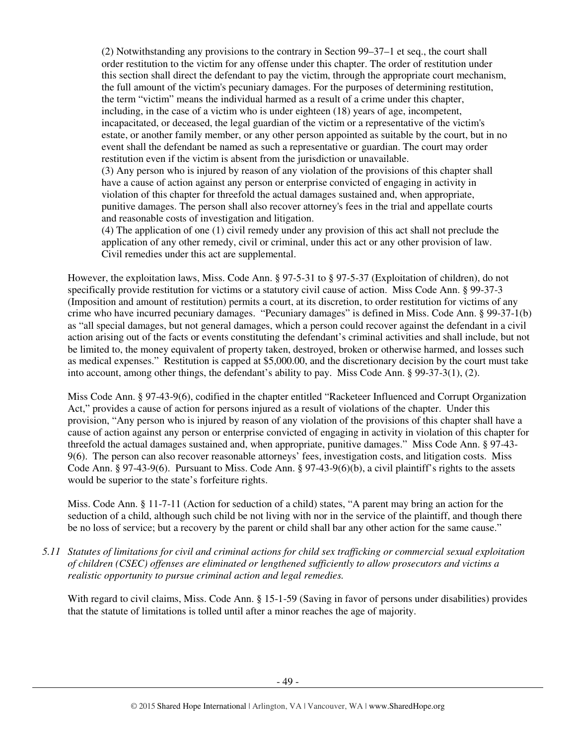(2) Notwithstanding any provisions to the contrary in Section 99–37–1 et seq., the court shall order restitution to the victim for any offense under this chapter. The order of restitution under this section shall direct the defendant to pay the victim, through the appropriate court mechanism, the full amount of the victim's pecuniary damages. For the purposes of determining restitution, the term "victim" means the individual harmed as a result of a crime under this chapter, including, in the case of a victim who is under eighteen (18) years of age, incompetent, incapacitated, or deceased, the legal guardian of the victim or a representative of the victim's estate, or another family member, or any other person appointed as suitable by the court, but in no event shall the defendant be named as such a representative or guardian. The court may order restitution even if the victim is absent from the jurisdiction or unavailable.

(3) Any person who is injured by reason of any violation of the provisions of this chapter shall have a cause of action against any person or enterprise convicted of engaging in activity in violation of this chapter for threefold the actual damages sustained and, when appropriate, punitive damages. The person shall also recover attorney's fees in the trial and appellate courts and reasonable costs of investigation and litigation.

(4) The application of one (1) civil remedy under any provision of this act shall not preclude the application of any other remedy, civil or criminal, under this act or any other provision of law. Civil remedies under this act are supplemental.

However, the exploitation laws, Miss. Code Ann. § 97-5-31 to § 97-5-37 (Exploitation of children), do not specifically provide restitution for victims or a statutory civil cause of action. Miss Code Ann. § 99-37-3 (Imposition and amount of restitution) permits a court, at its discretion, to order restitution for victims of any crime who have incurred pecuniary damages. "Pecuniary damages" is defined in Miss. Code Ann. § 99-37-1(b) as "all special damages, but not general damages, which a person could recover against the defendant in a civil action arising out of the facts or events constituting the defendant's criminal activities and shall include, but not be limited to, the money equivalent of property taken, destroyed, broken or otherwise harmed, and losses such as medical expenses." Restitution is capped at \$5,000.00, and the discretionary decision by the court must take into account, among other things, the defendant's ability to pay. Miss Code Ann. § 99-37-3(1), (2).

Miss Code Ann. § 97-43-9(6), codified in the chapter entitled "Racketeer Influenced and Corrupt Organization Act," provides a cause of action for persons injured as a result of violations of the chapter. Under this provision, "Any person who is injured by reason of any violation of the provisions of this chapter shall have a cause of action against any person or enterprise convicted of engaging in activity in violation of this chapter for threefold the actual damages sustained and, when appropriate, punitive damages." Miss Code Ann. § 97-43- 9(6). The person can also recover reasonable attorneys' fees, investigation costs, and litigation costs. Miss Code Ann. § 97-43-9(6). Pursuant to Miss. Code Ann. § 97-43-9(6)(b), a civil plaintiff's rights to the assets would be superior to the state's forfeiture rights.

Miss. Code Ann. § 11-7-11 (Action for seduction of a child) states, "A parent may bring an action for the seduction of a child, although such child be not living with nor in the service of the plaintiff, and though there be no loss of service; but a recovery by the parent or child shall bar any other action for the same cause."

*5.11 Statutes of limitations for civil and criminal actions for child sex trafficking or commercial sexual exploitation of children (CSEC) offenses are eliminated or lengthened sufficiently to allow prosecutors and victims a realistic opportunity to pursue criminal action and legal remedies.* 

With regard to civil claims, Miss. Code Ann. § 15-1-59 (Saving in favor of persons under disabilities) provides that the statute of limitations is tolled until after a minor reaches the age of majority.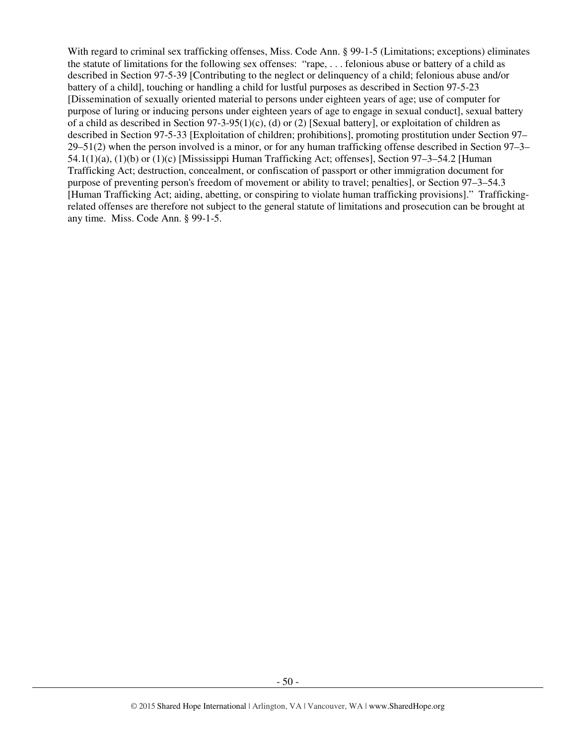With regard to criminal sex trafficking offenses, Miss. Code Ann. § 99-1-5 (Limitations; exceptions) eliminates the statute of limitations for the following sex offenses: "rape, . . . felonious abuse or battery of a child as described in Section 97-5-39 [Contributing to the neglect or delinquency of a child; felonious abuse and/or battery of a child], touching or handling a child for lustful purposes as described in Section 97-5-23 [Dissemination of sexually oriented material to persons under eighteen years of age; use of computer for purpose of luring or inducing persons under eighteen years of age to engage in sexual conduct], sexual battery of a child as described in Section  $97-3-95(1)(c)$ , (d) or (2) [Sexual battery], or exploitation of children as described in Section 97-5-33 [Exploitation of children; prohibitions], promoting prostitution under Section 97– 29–51(2) when the person involved is a minor, or for any human trafficking offense described in Section 97–3– 54.1(1)(a), (1)(b) or (1)(c) [Mississippi Human Trafficking Act; offenses], Section 97–3–54.2 [Human Trafficking Act; destruction, concealment, or confiscation of passport or other immigration document for purpose of preventing person's freedom of movement or ability to travel; penalties], or Section 97–3–54.3 [Human Trafficking Act; aiding, abetting, or conspiring to violate human trafficking provisions]." Traffickingrelated offenses are therefore not subject to the general statute of limitations and prosecution can be brought at any time. Miss. Code Ann. § 99-1-5.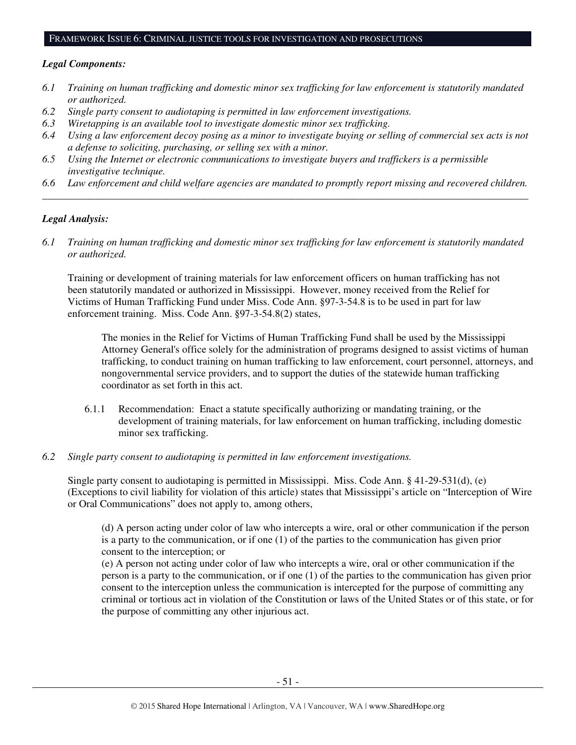#### FRAMEWORK ISSUE 6: CRIMINAL JUSTICE TOOLS FOR INVESTIGATION AND PROSECUTIONS

#### *Legal Components:*

- *6.1 Training on human trafficking and domestic minor sex trafficking for law enforcement is statutorily mandated or authorized.*
- *6.2 Single party consent to audiotaping is permitted in law enforcement investigations.*
- *6.3 Wiretapping is an available tool to investigate domestic minor sex trafficking.*
- *6.4 Using a law enforcement decoy posing as a minor to investigate buying or selling of commercial sex acts is not a defense to soliciting, purchasing, or selling sex with a minor.*
- *6.5 Using the Internet or electronic communications to investigate buyers and traffickers is a permissible investigative technique.*
- *6.6 Law enforcement and child welfare agencies are mandated to promptly report missing and recovered children. \_\_\_\_\_\_\_\_\_\_\_\_\_\_\_\_\_\_\_\_\_\_\_\_\_\_\_\_\_\_\_\_\_\_\_\_\_\_\_\_\_\_\_\_\_\_\_\_\_\_\_\_\_\_\_\_\_\_\_\_\_\_\_\_\_\_\_\_\_\_\_\_\_\_\_\_\_\_\_\_\_\_\_\_\_\_\_\_\_\_\_\_\_\_*

#### *Legal Analysis:*

*6.1 Training on human trafficking and domestic minor sex trafficking for law enforcement is statutorily mandated or authorized.*

Training or development of training materials for law enforcement officers on human trafficking has not been statutorily mandated or authorized in Mississippi. However, money received from the Relief for Victims of Human Trafficking Fund under Miss. Code Ann. §97-3-54.8 is to be used in part for law enforcement training. Miss. Code Ann. §97-3-54.8(2) states,

The monies in the Relief for Victims of Human Trafficking Fund shall be used by the Mississippi Attorney General's office solely for the administration of programs designed to assist victims of human trafficking, to conduct training on human trafficking to law enforcement, court personnel, attorneys, and nongovernmental service providers, and to support the duties of the statewide human trafficking coordinator as set forth in this act.

- 6.1.1 Recommendation: Enact a statute specifically authorizing or mandating training, or the development of training materials, for law enforcement on human trafficking, including domestic minor sex trafficking.
- *6.2 Single party consent to audiotaping is permitted in law enforcement investigations.*

Single party consent to audiotaping is permitted in Mississippi. Miss. Code Ann. § 41-29-531(d), (e) (Exceptions to civil liability for violation of this article) states that Mississippi's article on "Interception of Wire or Oral Communications" does not apply to, among others,

(d) A person acting under color of law who intercepts a wire, oral or other communication if the person is a party to the communication, or if one (1) of the parties to the communication has given prior consent to the interception; or

(e) A person not acting under color of law who intercepts a wire, oral or other communication if the person is a party to the communication, or if one (1) of the parties to the communication has given prior consent to the interception unless the communication is intercepted for the purpose of committing any criminal or tortious act in violation of the Constitution or laws of the United States or of this state, or for the purpose of committing any other injurious act.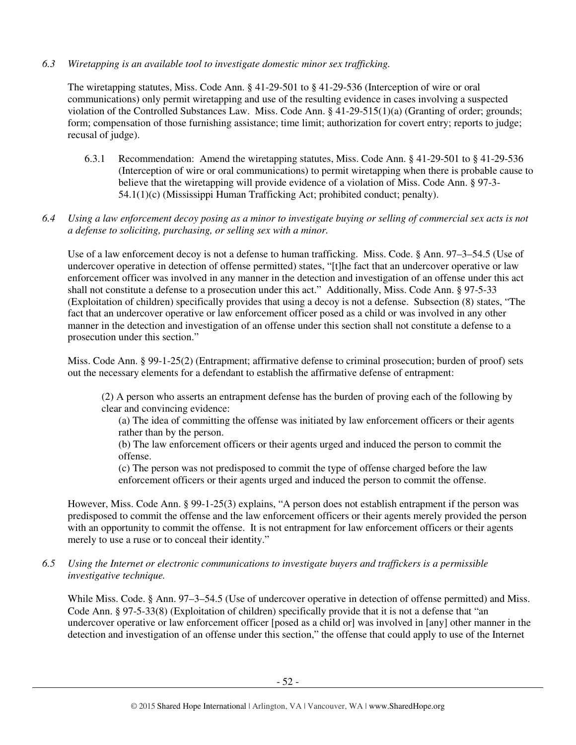#### *6.3 Wiretapping is an available tool to investigate domestic minor sex trafficking.*

The wiretapping statutes, Miss. Code Ann. § 41-29-501 to § 41-29-536 (Interception of wire or oral communications) only permit wiretapping and use of the resulting evidence in cases involving a suspected violation of the Controlled Substances Law. Miss. Code Ann. § 41-29-515(1)(a) (Granting of order; grounds; form; compensation of those furnishing assistance; time limit; authorization for covert entry; reports to judge; recusal of judge).

6.3.1 Recommendation: Amend the wiretapping statutes, Miss. Code Ann. § 41-29-501 to § 41-29-536 (Interception of wire or oral communications) to permit wiretapping when there is probable cause to believe that the wiretapping will provide evidence of a violation of Miss. Code Ann. § 97-3- 54.1(1)(c) (Mississippi Human Trafficking Act; prohibited conduct; penalty).

#### *6.4 Using a law enforcement decoy posing as a minor to investigate buying or selling of commercial sex acts is not a defense to soliciting, purchasing, or selling sex with a minor.*

Use of a law enforcement decoy is not a defense to human trafficking. Miss. Code. § Ann. 97–3–54.5 (Use of undercover operative in detection of offense permitted) states, "[t]he fact that an undercover operative or law enforcement officer was involved in any manner in the detection and investigation of an offense under this act shall not constitute a defense to a prosecution under this act." Additionally, Miss. Code Ann. § 97-5-33 (Exploitation of children) specifically provides that using a decoy is not a defense. Subsection (8) states, "The fact that an undercover operative or law enforcement officer posed as a child or was involved in any other manner in the detection and investigation of an offense under this section shall not constitute a defense to a prosecution under this section."

Miss. Code Ann. § 99-1-25(2) (Entrapment; affirmative defense to criminal prosecution; burden of proof) sets out the necessary elements for a defendant to establish the affirmative defense of entrapment:

(2) A person who asserts an entrapment defense has the burden of proving each of the following by clear and convincing evidence:

(a) The idea of committing the offense was initiated by law enforcement officers or their agents rather than by the person.

(b) The law enforcement officers or their agents urged and induced the person to commit the offense.

(c) The person was not predisposed to commit the type of offense charged before the law enforcement officers or their agents urged and induced the person to commit the offense.

However, Miss. Code Ann. § 99-1-25(3) explains, "A person does not establish entrapment if the person was predisposed to commit the offense and the law enforcement officers or their agents merely provided the person with an opportunity to commit the offense. It is not entrapment for law enforcement officers or their agents merely to use a ruse or to conceal their identity."

#### *6.5 Using the Internet or electronic communications to investigate buyers and traffickers is a permissible investigative technique.*

While Miss. Code. § Ann. 97–3–54.5 (Use of undercover operative in detection of offense permitted) and Miss. Code Ann. § 97-5-33(8) (Exploitation of children) specifically provide that it is not a defense that "an undercover operative or law enforcement officer [posed as a child or] was involved in [any] other manner in the detection and investigation of an offense under this section," the offense that could apply to use of the Internet